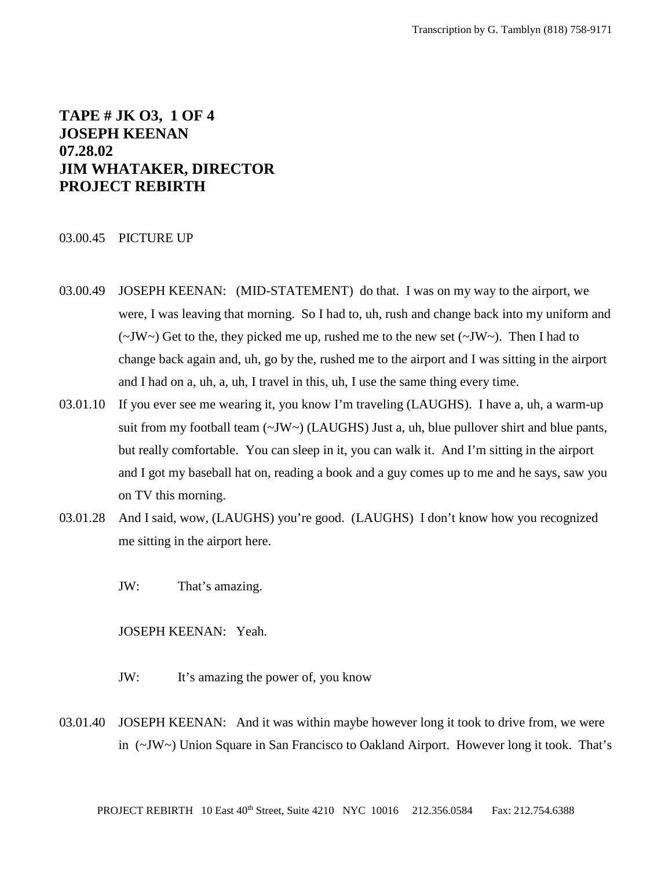# **TAPE # JK O3, 1 OF 4 JOSEPH KEENAN 07.28.02 JIM WHATAKER, DIRECTOR PROJECT REBIRTH**

## 03.00.45 PICTURE UP

- 03.00.49 JOSEPH KEENAN: (MID-STATEMENT) do that. I was on my way to the airport, we were, I was leaving that morning. So I had to, uh, rush and change back into my uniform and  $(\sim JW \sim)$  Get to the, they picked me up, rushed me to the new set  $(\sim JW \sim)$ . Then I had to change back again and, uh, go by the, rushed me to the airport and I was sitting in the airport and I had on a, uh, a, uh, I travel in this, uh, I use the same thing every time.
- 03.01.10 If you ever see me wearing it, you know I'm traveling (LAUGHS). I have a, uh, a warm-up suit from my football team  $(\sim JW)$  (LAUGHS) Just a, uh, blue pullover shirt and blue pants, but really comfortable. You can sleep in it, you can walk it. And I'm sitting in the airport and I got my baseball hat on, reading a book and a guy comes up to me and he says, saw you on TV this morning.
- 03.01.28 And I said, wow, (LAUGHS) you're good. (LAUGHS) I don't know how you recognized me sitting in the airport here.
	- JW: That's amazing.

JOSEPH KEENAN: Yeah.

- JW: It's amazing the power of, you know
- 03.01.40 JOSEPH KEENAN: And it was within maybe however long it took to drive from, we were in (~JW~) Union Square in San Francisco to Oakland Airport. However long it took. That's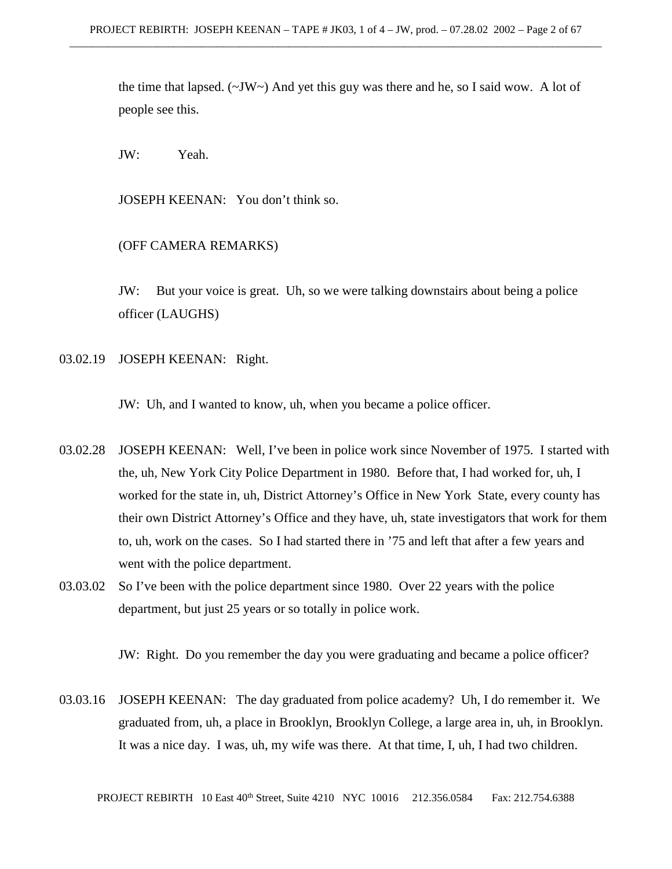the time that lapsed.  $(\sim JW \sim)$  And yet this guy was there and he, so I said wow. A lot of people see this.

JW: Yeah.

JOSEPH KEENAN: You don't think so.

(OFF CAMERA REMARKS)

JW: But your voice is great. Uh, so we were talking downstairs about being a police officer (LAUGHS)

03.02.19 JOSEPH KEENAN: Right.

JW: Uh, and I wanted to know, uh, when you became a police officer.

03.02.28 JOSEPH KEENAN: Well, I've been in police work since November of 1975. I started with the, uh, New York City Police Department in 1980. Before that, I had worked for, uh, I worked for the state in, uh, District Attorney's Office in New York State, every county has their own District Attorney's Office and they have, uh, state investigators that work for them to, uh, work on the cases. So I had started there in '75 and left that after a few years and went with the police department.

03.03.02 So I've been with the police department since 1980. Over 22 years with the police department, but just 25 years or so totally in police work.

JW: Right. Do you remember the day you were graduating and became a police officer?

03.03.16 JOSEPH KEENAN: The day graduated from police academy? Uh, I do remember it. We graduated from, uh, a place in Brooklyn, Brooklyn College, a large area in, uh, in Brooklyn. It was a nice day. I was, uh, my wife was there. At that time, I, uh, I had two children.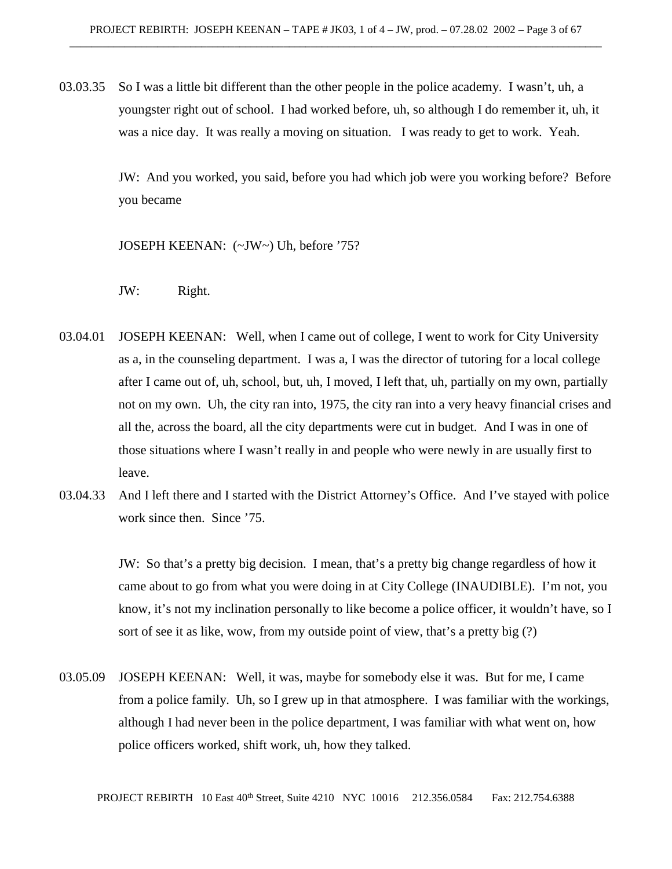03.03.35 So I was a little bit different than the other people in the police academy. I wasn't, uh, a youngster right out of school. I had worked before, uh, so although I do remember it, uh, it was a nice day. It was really a moving on situation. I was ready to get to work. Yeah.

> JW: And you worked, you said, before you had which job were you working before? Before you became

JOSEPH KEENAN: (~JW~) Uh, before '75?

- JW: Right.
- 03.04.01 JOSEPH KEENAN: Well, when I came out of college, I went to work for City University as a, in the counseling department. I was a, I was the director of tutoring for a local college after I came out of, uh, school, but, uh, I moved, I left that, uh, partially on my own, partially not on my own. Uh, the city ran into, 1975, the city ran into a very heavy financial crises and all the, across the board, all the city departments were cut in budget. And I was in one of those situations where I wasn't really in and people who were newly in are usually first to leave.
- 03.04.33 And I left there and I started with the District Attorney's Office. And I've stayed with police work since then. Since '75.

JW: So that's a pretty big decision. I mean, that's a pretty big change regardless of how it came about to go from what you were doing in at City College (INAUDIBLE). I'm not, you know, it's not my inclination personally to like become a police officer, it wouldn't have, so I sort of see it as like, wow, from my outside point of view, that's a pretty big (?)

03.05.09 JOSEPH KEENAN: Well, it was, maybe for somebody else it was. But for me, I came from a police family. Uh, so I grew up in that atmosphere. I was familiar with the workings, although I had never been in the police department, I was familiar with what went on, how police officers worked, shift work, uh, how they talked.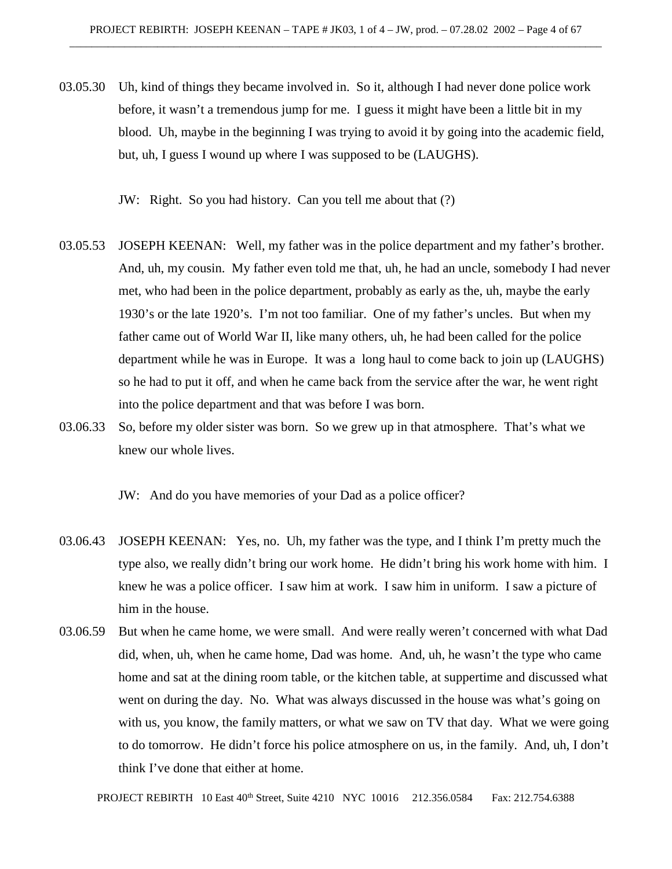03.05.30 Uh, kind of things they became involved in. So it, although I had never done police work before, it wasn't a tremendous jump for me. I guess it might have been a little bit in my blood. Uh, maybe in the beginning I was trying to avoid it by going into the academic field, but, uh, I guess I wound up where I was supposed to be (LAUGHS).

JW: Right. So you had history. Can you tell me about that (?)

- 03.05.53 JOSEPH KEENAN: Well, my father was in the police department and my father's brother. And, uh, my cousin. My father even told me that, uh, he had an uncle, somebody I had never met, who had been in the police department, probably as early as the, uh, maybe the early 1930's or the late 1920's. I'm not too familiar. One of my father's uncles. But when my father came out of World War II, like many others, uh, he had been called for the police department while he was in Europe. It was a long haul to come back to join up (LAUGHS) so he had to put it off, and when he came back from the service after the war, he went right into the police department and that was before I was born.
- 03.06.33 So, before my older sister was born. So we grew up in that atmosphere. That's what we knew our whole lives.

JW: And do you have memories of your Dad as a police officer?

- 03.06.43 JOSEPH KEENAN: Yes, no. Uh, my father was the type, and I think I'm pretty much the type also, we really didn't bring our work home. He didn't bring his work home with him. I knew he was a police officer. I saw him at work. I saw him in uniform. I saw a picture of him in the house.
- 03.06.59 But when he came home, we were small. And were really weren't concerned with what Dad did, when, uh, when he came home, Dad was home. And, uh, he wasn't the type who came home and sat at the dining room table, or the kitchen table, at suppertime and discussed what went on during the day. No. What was always discussed in the house was what's going on with us, you know, the family matters, or what we saw on TV that day. What we were going to do tomorrow. He didn't force his police atmosphere on us, in the family. And, uh, I don't think I've done that either at home.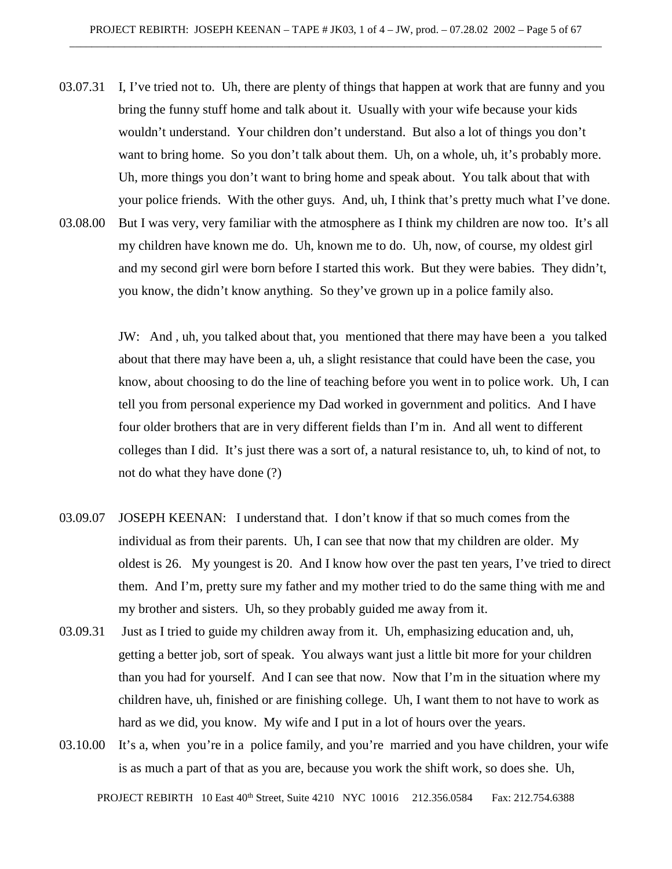- 03.07.31 I, I've tried not to. Uh, there are plenty of things that happen at work that are funny and you bring the funny stuff home and talk about it. Usually with your wife because your kids wouldn't understand. Your children don't understand. But also a lot of things you don't want to bring home. So you don't talk about them. Uh, on a whole, uh, it's probably more. Uh, more things you don't want to bring home and speak about. You talk about that with your police friends. With the other guys. And, uh, I think that's pretty much what I've done.
- 03.08.00 But I was very, very familiar with the atmosphere as I think my children are now too. It's all my children have known me do. Uh, known me to do. Uh, now, of course, my oldest girl and my second girl were born before I started this work. But they were babies. They didn't, you know, the didn't know anything. So they've grown up in a police family also.

JW: And , uh, you talked about that, you mentioned that there may have been a you talked about that there may have been a, uh, a slight resistance that could have been the case, you know, about choosing to do the line of teaching before you went in to police work. Uh, I can tell you from personal experience my Dad worked in government and politics. And I have four older brothers that are in very different fields than I'm in. And all went to different colleges than I did. It's just there was a sort of, a natural resistance to, uh, to kind of not, to not do what they have done (?)

- 03.09.07 JOSEPH KEENAN: I understand that. I don't know if that so much comes from the individual as from their parents. Uh, I can see that now that my children are older. My oldest is 26. My youngest is 20. And I know how over the past ten years, I've tried to direct them. And I'm, pretty sure my father and my mother tried to do the same thing with me and my brother and sisters. Uh, so they probably guided me away from it.
- 03.09.31 Just as I tried to guide my children away from it. Uh, emphasizing education and, uh, getting a better job, sort of speak. You always want just a little bit more for your children than you had for yourself. And I can see that now. Now that I'm in the situation where my children have, uh, finished or are finishing college. Uh, I want them to not have to work as hard as we did, you know. My wife and I put in a lot of hours over the years.
- 03.10.00 It's a, when you're in a police family, and you're married and you have children, your wife is as much a part of that as you are, because you work the shift work, so does she. Uh,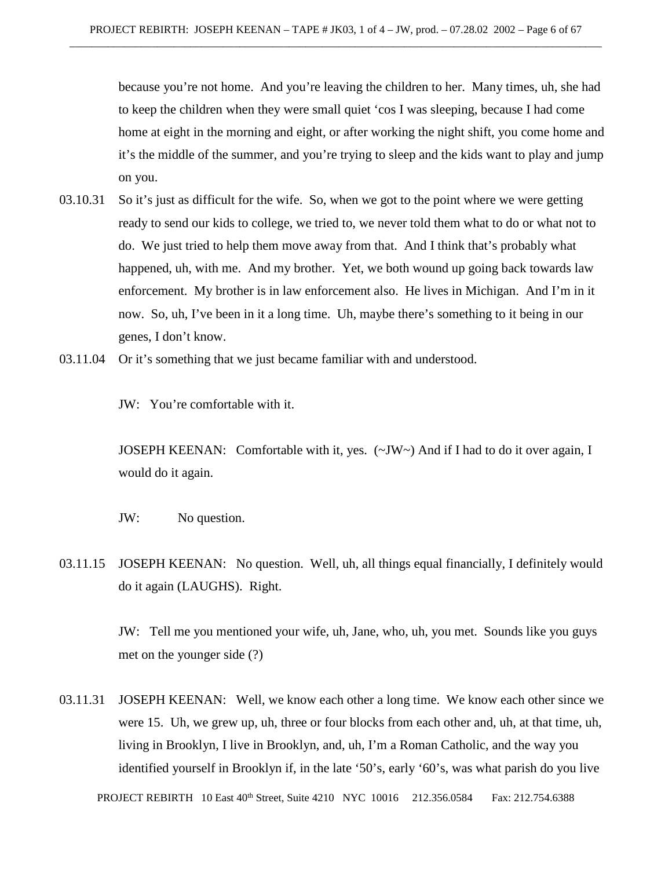because you're not home. And you're leaving the children to her. Many times, uh, she had to keep the children when they were small quiet 'cos I was sleeping, because I had come home at eight in the morning and eight, or after working the night shift, you come home and it's the middle of the summer, and you're trying to sleep and the kids want to play and jump on you.

- 03.10.31 So it's just as difficult for the wife. So, when we got to the point where we were getting ready to send our kids to college, we tried to, we never told them what to do or what not to do. We just tried to help them move away from that. And I think that's probably what happened, uh, with me. And my brother. Yet, we both wound up going back towards law enforcement. My brother is in law enforcement also. He lives in Michigan. And I'm in it now. So, uh, I've been in it a long time. Uh, maybe there's something to it being in our genes, I don't know.
- 03.11.04 Or it's something that we just became familiar with and understood.

JW: You're comfortable with it.

JOSEPH KEENAN: Comfortable with it, yes. (~JW~) And if I had to do it over again, I would do it again.

- JW: No question.
- 03.11.15 JOSEPH KEENAN: No question. Well, uh, all things equal financially, I definitely would do it again (LAUGHS). Right.

JW: Tell me you mentioned your wife, uh, Jane, who, uh, you met. Sounds like you guys met on the younger side (?)

03.11.31 JOSEPH KEENAN: Well, we know each other a long time. We know each other since we were 15. Uh, we grew up, uh, three or four blocks from each other and, uh, at that time, uh, living in Brooklyn, I live in Brooklyn, and, uh, I'm a Roman Catholic, and the way you identified yourself in Brooklyn if, in the late '50's, early '60's, was what parish do you live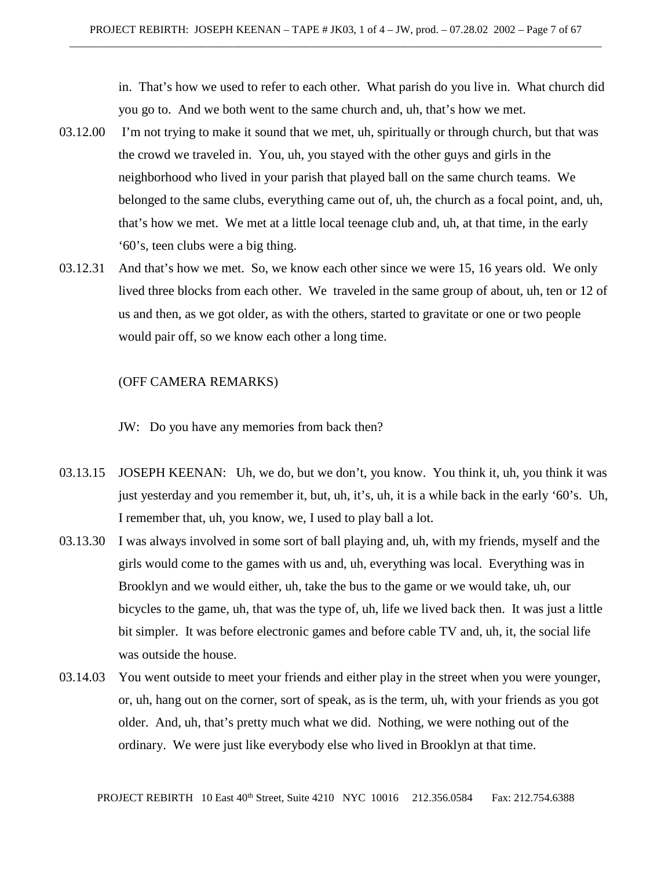in. That's how we used to refer to each other. What parish do you live in. What church did you go to. And we both went to the same church and, uh, that's how we met.

- 03.12.00 I'm not trying to make it sound that we met, uh, spiritually or through church, but that was the crowd we traveled in. You, uh, you stayed with the other guys and girls in the neighborhood who lived in your parish that played ball on the same church teams. We belonged to the same clubs, everything came out of, uh, the church as a focal point, and, uh, that's how we met. We met at a little local teenage club and, uh, at that time, in the early '60's, teen clubs were a big thing.
- 03.12.31 And that's how we met. So, we know each other since we were 15, 16 years old. We only lived three blocks from each other. We traveled in the same group of about, uh, ten or 12 of us and then, as we got older, as with the others, started to gravitate or one or two people would pair off, so we know each other a long time.

# (OFF CAMERA REMARKS)

JW: Do you have any memories from back then?

- 03.13.15 JOSEPH KEENAN: Uh, we do, but we don't, you know. You think it, uh, you think it was just yesterday and you remember it, but, uh, it's, uh, it is a while back in the early '60's. Uh, I remember that, uh, you know, we, I used to play ball a lot.
- 03.13.30 I was always involved in some sort of ball playing and, uh, with my friends, myself and the girls would come to the games with us and, uh, everything was local. Everything was in Brooklyn and we would either, uh, take the bus to the game or we would take, uh, our bicycles to the game, uh, that was the type of, uh, life we lived back then. It was just a little bit simpler. It was before electronic games and before cable TV and, uh, it, the social life was outside the house.
- 03.14.03 You went outside to meet your friends and either play in the street when you were younger, or, uh, hang out on the corner, sort of speak, as is the term, uh, with your friends as you got older. And, uh, that's pretty much what we did. Nothing, we were nothing out of the ordinary. We were just like everybody else who lived in Brooklyn at that time.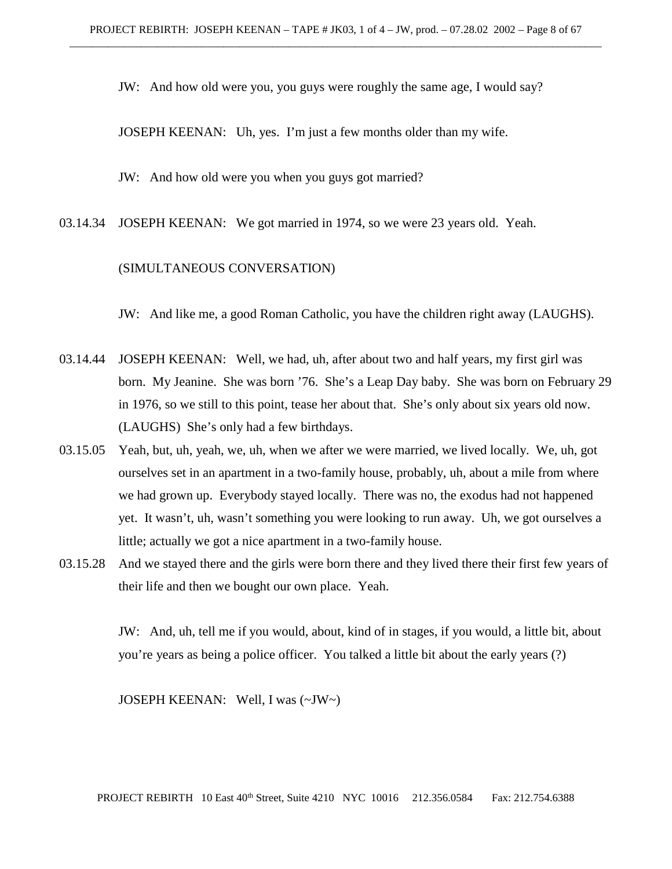JW: And how old were you, you guys were roughly the same age, I would say?

JOSEPH KEENAN: Uh, yes. I'm just a few months older than my wife.

JW: And how old were you when you guys got married?

03.14.34 JOSEPH KEENAN: We got married in 1974, so we were 23 years old. Yeah.

# (SIMULTANEOUS CONVERSATION)

JW: And like me, a good Roman Catholic, you have the children right away (LAUGHS).

- 03.14.44 JOSEPH KEENAN: Well, we had, uh, after about two and half years, my first girl was born. My Jeanine. She was born '76. She's a Leap Day baby. She was born on February 29 in 1976, so we still to this point, tease her about that. She's only about six years old now. (LAUGHS) She's only had a few birthdays.
- 03.15.05 Yeah, but, uh, yeah, we, uh, when we after we were married, we lived locally. We, uh, got ourselves set in an apartment in a two-family house, probably, uh, about a mile from where we had grown up. Everybody stayed locally. There was no, the exodus had not happened yet. It wasn't, uh, wasn't something you were looking to run away. Uh, we got ourselves a little; actually we got a nice apartment in a two-family house.
- 03.15.28 And we stayed there and the girls were born there and they lived there their first few years of their life and then we bought our own place. Yeah.

JW: And, uh, tell me if you would, about, kind of in stages, if you would, a little bit, about you're years as being a police officer. You talked a little bit about the early years (?)

JOSEPH KEENAN: Well, I was (~JW~)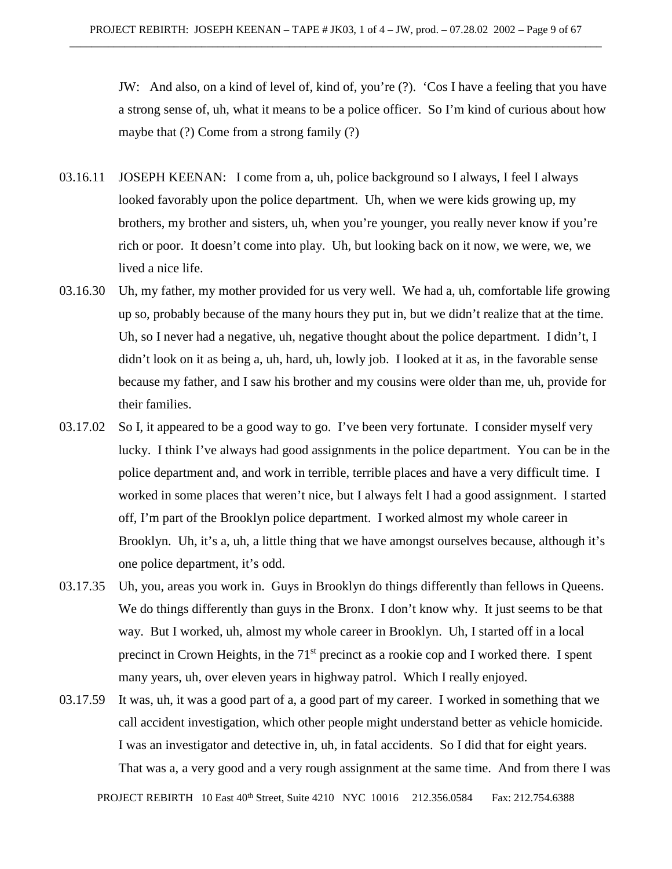JW: And also, on a kind of level of, kind of, you're (?). 'Cos I have a feeling that you have a strong sense of, uh, what it means to be a police officer. So I'm kind of curious about how maybe that (?) Come from a strong family (?)

- 03.16.11 JOSEPH KEENAN: I come from a, uh, police background so I always, I feel I always looked favorably upon the police department. Uh, when we were kids growing up, my brothers, my brother and sisters, uh, when you're younger, you really never know if you're rich or poor. It doesn't come into play. Uh, but looking back on it now, we were, we, we lived a nice life.
- 03.16.30 Uh, my father, my mother provided for us very well. We had a, uh, comfortable life growing up so, probably because of the many hours they put in, but we didn't realize that at the time. Uh, so I never had a negative, uh, negative thought about the police department. I didn't, I didn't look on it as being a, uh, hard, uh, lowly job. I looked at it as, in the favorable sense because my father, and I saw his brother and my cousins were older than me, uh, provide for their families.
- 03.17.02 So I, it appeared to be a good way to go. I've been very fortunate. I consider myself very lucky. I think I've always had good assignments in the police department. You can be in the police department and, and work in terrible, terrible places and have a very difficult time. I worked in some places that weren't nice, but I always felt I had a good assignment. I started off, I'm part of the Brooklyn police department. I worked almost my whole career in Brooklyn. Uh, it's a, uh, a little thing that we have amongst ourselves because, although it's one police department, it's odd.
- 03.17.35 Uh, you, areas you work in. Guys in Brooklyn do things differently than fellows in Queens. We do things differently than guys in the Bronx. I don't know why. It just seems to be that way. But I worked, uh, almost my whole career in Brooklyn. Uh, I started off in a local precinct in Crown Heights, in the  $71<sup>st</sup>$  precinct as a rookie cop and I worked there. I spent many years, uh, over eleven years in highway patrol. Which I really enjoyed.
- 03.17.59 It was, uh, it was a good part of a, a good part of my career. I worked in something that we call accident investigation, which other people might understand better as vehicle homicide. I was an investigator and detective in, uh, in fatal accidents. So I did that for eight years. That was a, a very good and a very rough assignment at the same time. And from there I was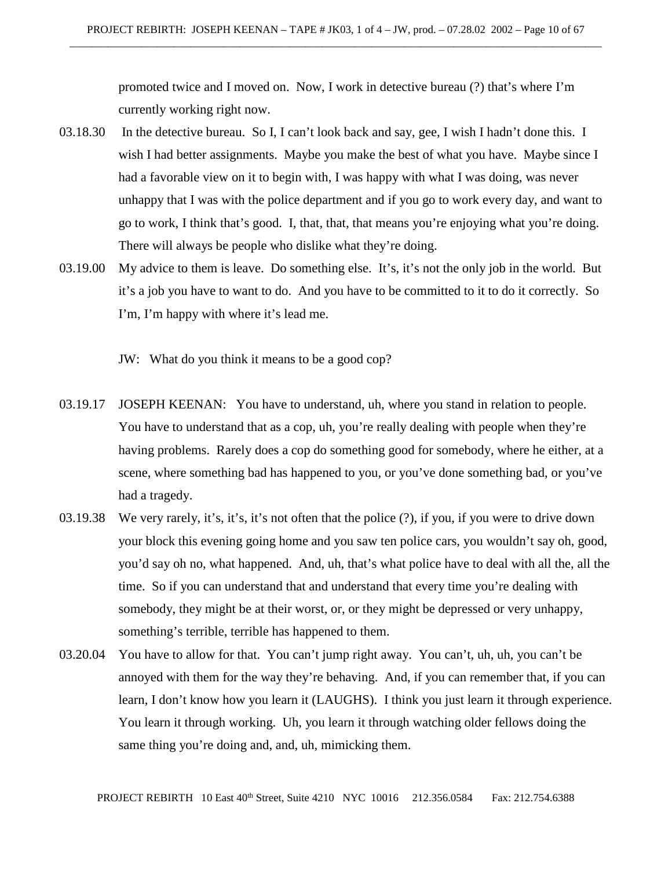promoted twice and I moved on. Now, I work in detective bureau (?) that's where I'm currently working right now.

- 03.18.30 In the detective bureau. So I, I can't look back and say, gee, I wish I hadn't done this. I wish I had better assignments. Maybe you make the best of what you have. Maybe since I had a favorable view on it to begin with, I was happy with what I was doing, was never unhappy that I was with the police department and if you go to work every day, and want to go to work, I think that's good. I, that, that, that means you're enjoying what you're doing. There will always be people who dislike what they're doing.
- 03.19.00 My advice to them is leave. Do something else. It's, it's not the only job in the world. But it's a job you have to want to do. And you have to be committed to it to do it correctly. So I'm, I'm happy with where it's lead me.
	- JW: What do you think it means to be a good cop?
- 03.19.17 JOSEPH KEENAN: You have to understand, uh, where you stand in relation to people. You have to understand that as a cop, uh, you're really dealing with people when they're having problems. Rarely does a cop do something good for somebody, where he either, at a scene, where something bad has happened to you, or you've done something bad, or you've had a tragedy.
- 03.19.38 We very rarely, it's, it's, it's not often that the police (?), if you, if you were to drive down your block this evening going home and you saw ten police cars, you wouldn't say oh, good, you'd say oh no, what happened. And, uh, that's what police have to deal with all the, all the time. So if you can understand that and understand that every time you're dealing with somebody, they might be at their worst, or, or they might be depressed or very unhappy, something's terrible, terrible has happened to them.
- 03.20.04 You have to allow for that. You can't jump right away. You can't, uh, uh, you can't be annoyed with them for the way they're behaving. And, if you can remember that, if you can learn, I don't know how you learn it (LAUGHS). I think you just learn it through experience. You learn it through working. Uh, you learn it through watching older fellows doing the same thing you're doing and, and, uh, mimicking them.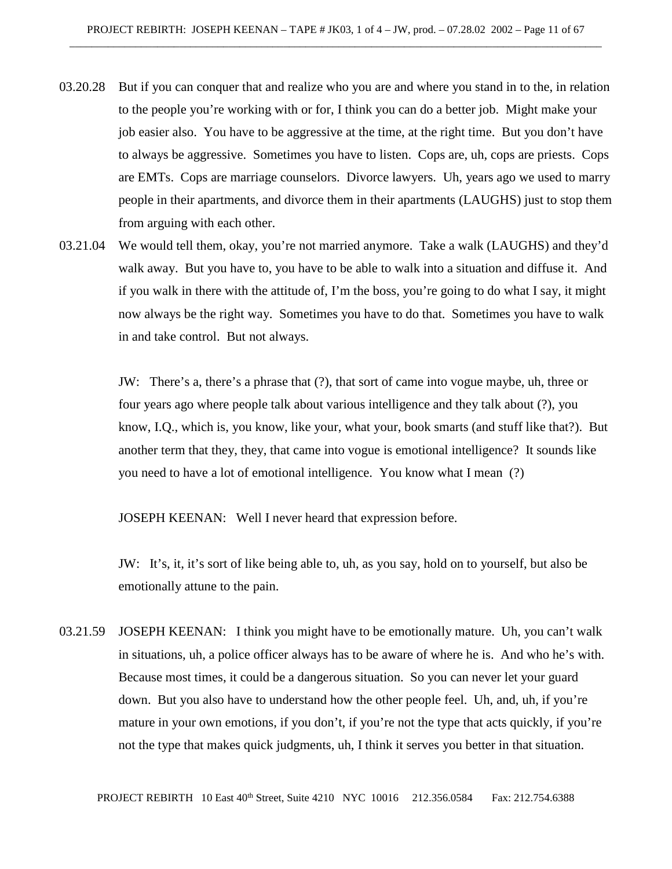- 03.20.28 But if you can conquer that and realize who you are and where you stand in to the, in relation to the people you're working with or for, I think you can do a better job. Might make your job easier also. You have to be aggressive at the time, at the right time. But you don't have to always be aggressive. Sometimes you have to listen. Cops are, uh, cops are priests. Cops are EMTs. Cops are marriage counselors. Divorce lawyers. Uh, years ago we used to marry people in their apartments, and divorce them in their apartments (LAUGHS) just to stop them from arguing with each other.
- 03.21.04 We would tell them, okay, you're not married anymore. Take a walk (LAUGHS) and they'd walk away. But you have to, you have to be able to walk into a situation and diffuse it. And if you walk in there with the attitude of, I'm the boss, you're going to do what I say, it might now always be the right way. Sometimes you have to do that. Sometimes you have to walk in and take control. But not always.

JW: There's a, there's a phrase that (?), that sort of came into vogue maybe, uh, three or four years ago where people talk about various intelligence and they talk about (?), you know, I.Q., which is, you know, like your, what your, book smarts (and stuff like that?). But another term that they, they, that came into vogue is emotional intelligence? It sounds like you need to have a lot of emotional intelligence. You know what I mean (?)

JOSEPH KEENAN: Well I never heard that expression before.

JW: It's, it, it's sort of like being able to, uh, as you say, hold on to yourself, but also be emotionally attune to the pain.

03.21.59 JOSEPH KEENAN: I think you might have to be emotionally mature. Uh, you can't walk in situations, uh, a police officer always has to be aware of where he is. And who he's with. Because most times, it could be a dangerous situation. So you can never let your guard down. But you also have to understand how the other people feel. Uh, and, uh, if you're mature in your own emotions, if you don't, if you're not the type that acts quickly, if you're not the type that makes quick judgments, uh, I think it serves you better in that situation.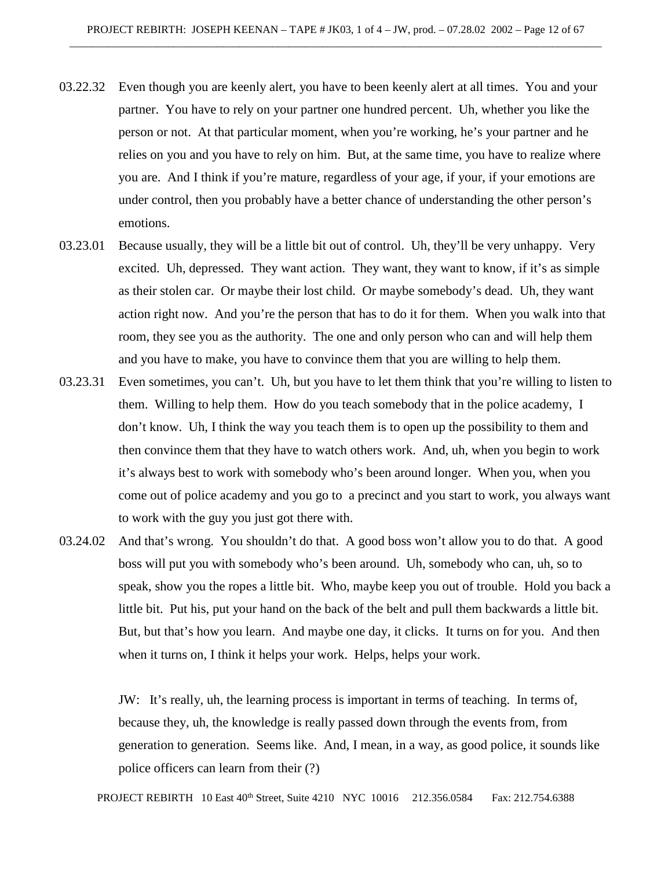- 03.22.32 Even though you are keenly alert, you have to been keenly alert at all times. You and your partner. You have to rely on your partner one hundred percent. Uh, whether you like the person or not. At that particular moment, when you're working, he's your partner and he relies on you and you have to rely on him. But, at the same time, you have to realize where you are. And I think if you're mature, regardless of your age, if your, if your emotions are under control, then you probably have a better chance of understanding the other person's emotions.
- 03.23.01 Because usually, they will be a little bit out of control. Uh, they'll be very unhappy. Very excited. Uh, depressed. They want action. They want, they want to know, if it's as simple as their stolen car. Or maybe their lost child. Or maybe somebody's dead. Uh, they want action right now. And you're the person that has to do it for them. When you walk into that room, they see you as the authority. The one and only person who can and will help them and you have to make, you have to convince them that you are willing to help them.
- 03.23.31 Even sometimes, you can't. Uh, but you have to let them think that you're willing to listen to them. Willing to help them. How do you teach somebody that in the police academy, I don't know. Uh, I think the way you teach them is to open up the possibility to them and then convince them that they have to watch others work. And, uh, when you begin to work it's always best to work with somebody who's been around longer. When you, when you come out of police academy and you go to a precinct and you start to work, you always want to work with the guy you just got there with.
- 03.24.02 And that's wrong. You shouldn't do that. A good boss won't allow you to do that. A good boss will put you with somebody who's been around. Uh, somebody who can, uh, so to speak, show you the ropes a little bit. Who, maybe keep you out of trouble. Hold you back a little bit. Put his, put your hand on the back of the belt and pull them backwards a little bit. But, but that's how you learn. And maybe one day, it clicks. It turns on for you. And then when it turns on, I think it helps your work. Helps, helps your work.

JW: It's really, uh, the learning process is important in terms of teaching. In terms of, because they, uh, the knowledge is really passed down through the events from, from generation to generation. Seems like. And, I mean, in a way, as good police, it sounds like police officers can learn from their (?)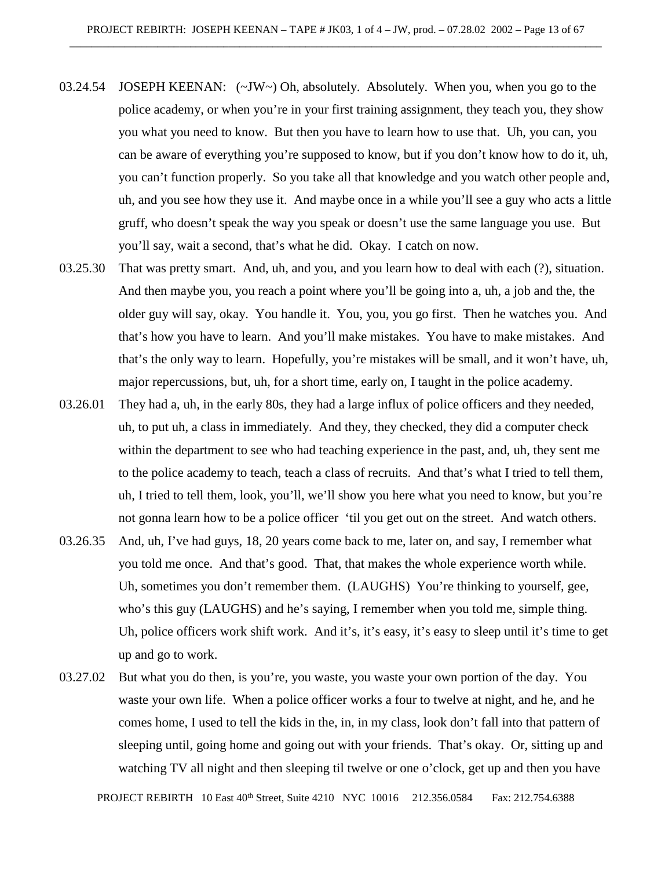- 03.24.54 JOSEPH KEENAN: (~JW~) Oh, absolutely. Absolutely. When you, when you go to the police academy, or when you're in your first training assignment, they teach you, they show you what you need to know. But then you have to learn how to use that. Uh, you can, you can be aware of everything you're supposed to know, but if you don't know how to do it, uh, you can't function properly. So you take all that knowledge and you watch other people and, uh, and you see how they use it. And maybe once in a while you'll see a guy who acts a little gruff, who doesn't speak the way you speak or doesn't use the same language you use. But you'll say, wait a second, that's what he did. Okay. I catch on now.
- 03.25.30 That was pretty smart. And, uh, and you, and you learn how to deal with each (?), situation. And then maybe you, you reach a point where you'll be going into a, uh, a job and the, the older guy will say, okay. You handle it. You, you, you go first. Then he watches you. And that's how you have to learn. And you'll make mistakes. You have to make mistakes. And that's the only way to learn. Hopefully, you're mistakes will be small, and it won't have, uh, major repercussions, but, uh, for a short time, early on, I taught in the police academy.
- 03.26.01 They had a, uh, in the early 80s, they had a large influx of police officers and they needed, uh, to put uh, a class in immediately. And they, they checked, they did a computer check within the department to see who had teaching experience in the past, and, uh, they sent me to the police academy to teach, teach a class of recruits. And that's what I tried to tell them, uh, I tried to tell them, look, you'll, we'll show you here what you need to know, but you're not gonna learn how to be a police officer 'til you get out on the street. And watch others.
- 03.26.35 And, uh, I've had guys, 18, 20 years come back to me, later on, and say, I remember what you told me once. And that's good. That, that makes the whole experience worth while. Uh, sometimes you don't remember them. (LAUGHS) You're thinking to yourself, gee, who's this guy (LAUGHS) and he's saying, I remember when you told me, simple thing. Uh, police officers work shift work. And it's, it's easy, it's easy to sleep until it's time to get up and go to work.
- 03.27.02 But what you do then, is you're, you waste, you waste your own portion of the day. You waste your own life. When a police officer works a four to twelve at night, and he, and he comes home, I used to tell the kids in the, in, in my class, look don't fall into that pattern of sleeping until, going home and going out with your friends. That's okay. Or, sitting up and watching TV all night and then sleeping til twelve or one o'clock, get up and then you have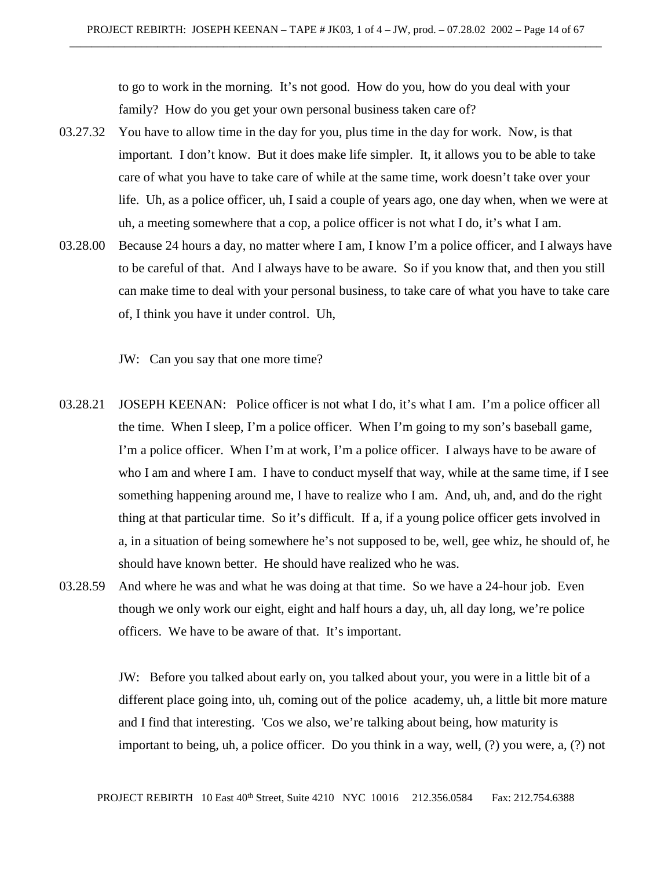to go to work in the morning. It's not good. How do you, how do you deal with your family? How do you get your own personal business taken care of?

- 03.27.32 You have to allow time in the day for you, plus time in the day for work. Now, is that important. I don't know. But it does make life simpler. It, it allows you to be able to take care of what you have to take care of while at the same time, work doesn't take over your life. Uh, as a police officer, uh, I said a couple of years ago, one day when, when we were at uh, a meeting somewhere that a cop, a police officer is not what I do, it's what I am.
- 03.28.00 Because 24 hours a day, no matter where I am, I know I'm a police officer, and I always have to be careful of that. And I always have to be aware. So if you know that, and then you still can make time to deal with your personal business, to take care of what you have to take care of, I think you have it under control. Uh,

JW: Can you say that one more time?

- 03.28.21 JOSEPH KEENAN: Police officer is not what I do, it's what I am. I'm a police officer all the time. When I sleep, I'm a police officer. When I'm going to my son's baseball game, I'm a police officer. When I'm at work, I'm a police officer. I always have to be aware of who I am and where I am. I have to conduct myself that way, while at the same time, if I see something happening around me, I have to realize who I am. And, uh, and, and do the right thing at that particular time. So it's difficult. If a, if a young police officer gets involved in a, in a situation of being somewhere he's not supposed to be, well, gee whiz, he should of, he should have known better. He should have realized who he was.
- 03.28.59 And where he was and what he was doing at that time. So we have a 24-hour job. Even though we only work our eight, eight and half hours a day, uh, all day long, we're police officers. We have to be aware of that. It's important.

JW: Before you talked about early on, you talked about your, you were in a little bit of a different place going into, uh, coming out of the police academy, uh, a little bit more mature and I find that interesting. 'Cos we also, we're talking about being, how maturity is important to being, uh, a police officer. Do you think in a way, well, (?) you were, a, (?) not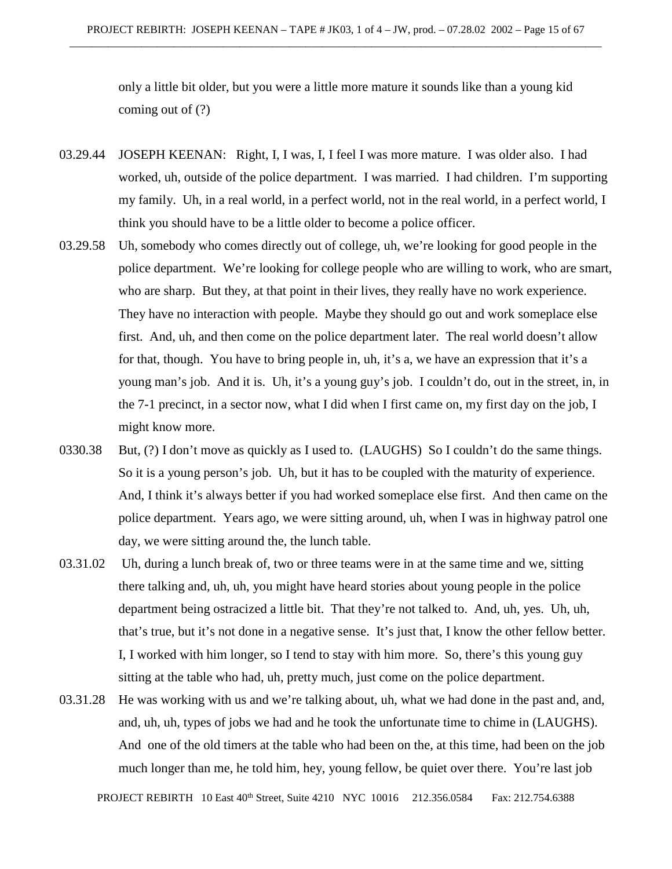only a little bit older, but you were a little more mature it sounds like than a young kid coming out of (?)

- 03.29.44 JOSEPH KEENAN: Right, I, I was, I, I feel I was more mature. I was older also. I had worked, uh, outside of the police department. I was married. I had children. I'm supporting my family. Uh, in a real world, in a perfect world, not in the real world, in a perfect world, I think you should have to be a little older to become a police officer.
- 03.29.58 Uh, somebody who comes directly out of college, uh, we're looking for good people in the police department. We're looking for college people who are willing to work, who are smart, who are sharp. But they, at that point in their lives, they really have no work experience. They have no interaction with people. Maybe they should go out and work someplace else first. And, uh, and then come on the police department later. The real world doesn't allow for that, though. You have to bring people in, uh, it's a, we have an expression that it's a young man's job. And it is. Uh, it's a young guy's job. I couldn't do, out in the street, in, in the 7-1 precinct, in a sector now, what I did when I first came on, my first day on the job, I might know more.
- 0330.38 But, (?) I don't move as quickly as I used to. (LAUGHS) So I couldn't do the same things. So it is a young person's job. Uh, but it has to be coupled with the maturity of experience. And, I think it's always better if you had worked someplace else first. And then came on the police department. Years ago, we were sitting around, uh, when I was in highway patrol one day, we were sitting around the, the lunch table.
- 03.31.02 Uh, during a lunch break of, two or three teams were in at the same time and we, sitting there talking and, uh, uh, you might have heard stories about young people in the police department being ostracized a little bit. That they're not talked to. And, uh, yes. Uh, uh, that's true, but it's not done in a negative sense. It's just that, I know the other fellow better. I, I worked with him longer, so I tend to stay with him more. So, there's this young guy sitting at the table who had, uh, pretty much, just come on the police department.
- 03.31.28 He was working with us and we're talking about, uh, what we had done in the past and, and, and, uh, uh, types of jobs we had and he took the unfortunate time to chime in (LAUGHS). And one of the old timers at the table who had been on the, at this time, had been on the job much longer than me, he told him, hey, young fellow, be quiet over there. You're last job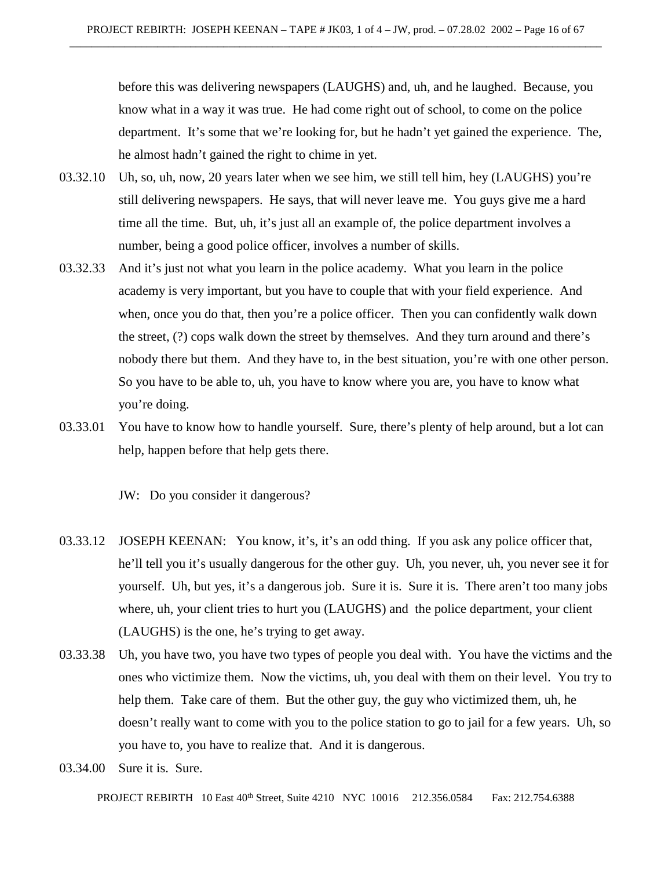before this was delivering newspapers (LAUGHS) and, uh, and he laughed. Because, you know what in a way it was true. He had come right out of school, to come on the police department. It's some that we're looking for, but he hadn't yet gained the experience. The, he almost hadn't gained the right to chime in yet.

- 03.32.10 Uh, so, uh, now, 20 years later when we see him, we still tell him, hey (LAUGHS) you're still delivering newspapers. He says, that will never leave me. You guys give me a hard time all the time. But, uh, it's just all an example of, the police department involves a number, being a good police officer, involves a number of skills.
- 03.32.33 And it's just not what you learn in the police academy. What you learn in the police academy is very important, but you have to couple that with your field experience. And when, once you do that, then you're a police officer. Then you can confidently walk down the street, (?) cops walk down the street by themselves. And they turn around and there's nobody there but them. And they have to, in the best situation, you're with one other person. So you have to be able to, uh, you have to know where you are, you have to know what you're doing.
- 03.33.01 You have to know how to handle yourself. Sure, there's plenty of help around, but a lot can help, happen before that help gets there.

JW: Do you consider it dangerous?

- 03.33.12 JOSEPH KEENAN: You know, it's, it's an odd thing. If you ask any police officer that, he'll tell you it's usually dangerous for the other guy. Uh, you never, uh, you never see it for yourself. Uh, but yes, it's a dangerous job. Sure it is. Sure it is. There aren't too many jobs where, uh, your client tries to hurt you (LAUGHS) and the police department, your client (LAUGHS) is the one, he's trying to get away.
- 03.33.38 Uh, you have two, you have two types of people you deal with. You have the victims and the ones who victimize them. Now the victims, uh, you deal with them on their level. You try to help them. Take care of them. But the other guy, the guy who victimized them, uh, he doesn't really want to come with you to the police station to go to jail for a few years. Uh, so you have to, you have to realize that. And it is dangerous.
- 03.34.00 Sure it is. Sure.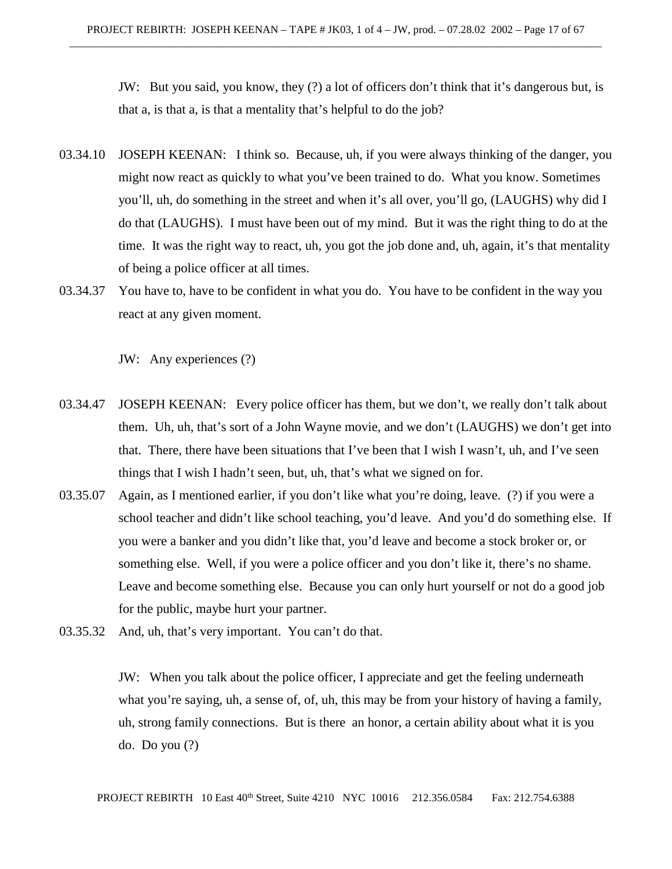JW: But you said, you know, they (?) a lot of officers don't think that it's dangerous but, is that a, is that a, is that a mentality that's helpful to do the job?

- 03.34.10 JOSEPH KEENAN: I think so. Because, uh, if you were always thinking of the danger, you might now react as quickly to what you've been trained to do. What you know. Sometimes you'll, uh, do something in the street and when it's all over, you'll go, (LAUGHS) why did I do that (LAUGHS). I must have been out of my mind. But it was the right thing to do at the time. It was the right way to react, uh, you got the job done and, uh, again, it's that mentality of being a police officer at all times.
- 03.34.37 You have to, have to be confident in what you do. You have to be confident in the way you react at any given moment.

JW: Any experiences (?)

- 03.34.47 JOSEPH KEENAN: Every police officer has them, but we don't, we really don't talk about them. Uh, uh, that's sort of a John Wayne movie, and we don't (LAUGHS) we don't get into that. There, there have been situations that I've been that I wish I wasn't, uh, and I've seen things that I wish I hadn't seen, but, uh, that's what we signed on for.
- 03.35.07 Again, as I mentioned earlier, if you don't like what you're doing, leave. (?) if you were a school teacher and didn't like school teaching, you'd leave. And you'd do something else. If you were a banker and you didn't like that, you'd leave and become a stock broker or, or something else. Well, if you were a police officer and you don't like it, there's no shame. Leave and become something else. Because you can only hurt yourself or not do a good job for the public, maybe hurt your partner.
- 03.35.32 And, uh, that's very important. You can't do that.

JW: When you talk about the police officer, I appreciate and get the feeling underneath what you're saying, uh, a sense of, of, uh, this may be from your history of having a family, uh, strong family connections. But is there an honor, a certain ability about what it is you do. Do you (?)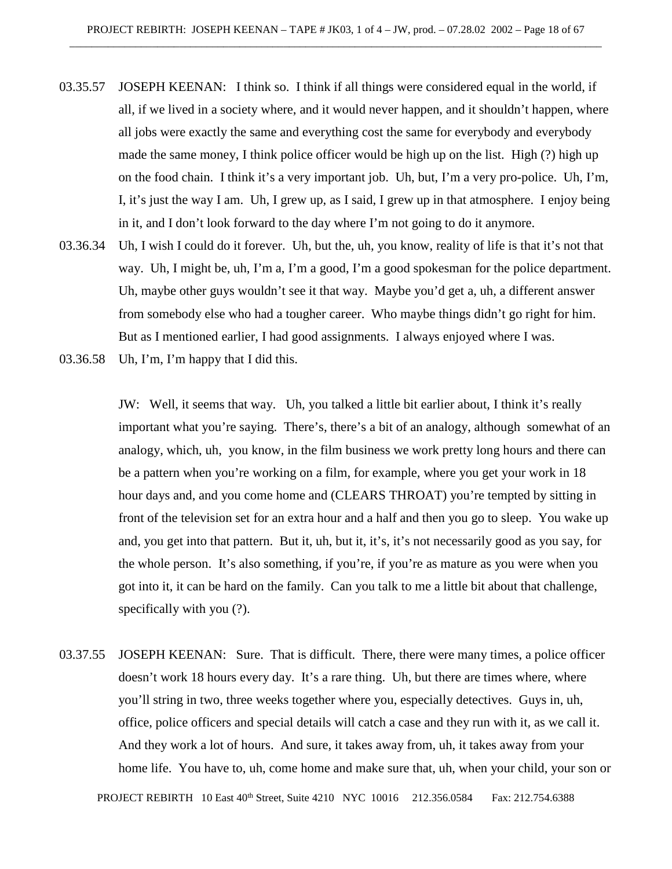- 03.35.57 JOSEPH KEENAN: I think so. I think if all things were considered equal in the world, if all, if we lived in a society where, and it would never happen, and it shouldn't happen, where all jobs were exactly the same and everything cost the same for everybody and everybody made the same money, I think police officer would be high up on the list. High (?) high up on the food chain. I think it's a very important job. Uh, but, I'm a very pro-police. Uh, I'm, I, it's just the way I am. Uh, I grew up, as I said, I grew up in that atmosphere. I enjoy being in it, and I don't look forward to the day where I'm not going to do it anymore.
- 03.36.34 Uh, I wish I could do it forever. Uh, but the, uh, you know, reality of life is that it's not that way. Uh, I might be, uh, I'm a, I'm a good, I'm a good spokesman for the police department. Uh, maybe other guys wouldn't see it that way. Maybe you'd get a, uh, a different answer from somebody else who had a tougher career. Who maybe things didn't go right for him. But as I mentioned earlier, I had good assignments. I always enjoyed where I was.
- 03.36.58 Uh, I'm, I'm happy that I did this.

JW: Well, it seems that way. Uh, you talked a little bit earlier about, I think it's really important what you're saying. There's, there's a bit of an analogy, although somewhat of an analogy, which, uh, you know, in the film business we work pretty long hours and there can be a pattern when you're working on a film, for example, where you get your work in 18 hour days and, and you come home and (CLEARS THROAT) you're tempted by sitting in front of the television set for an extra hour and a half and then you go to sleep. You wake up and, you get into that pattern. But it, uh, but it, it's, it's not necessarily good as you say, for the whole person. It's also something, if you're, if you're as mature as you were when you got into it, it can be hard on the family. Can you talk to me a little bit about that challenge, specifically with you (?).

03.37.55 JOSEPH KEENAN: Sure. That is difficult. There, there were many times, a police officer doesn't work 18 hours every day. It's a rare thing. Uh, but there are times where, where you'll string in two, three weeks together where you, especially detectives. Guys in, uh, office, police officers and special details will catch a case and they run with it, as we call it. And they work a lot of hours. And sure, it takes away from, uh, it takes away from your home life. You have to, uh, come home and make sure that, uh, when your child, your son or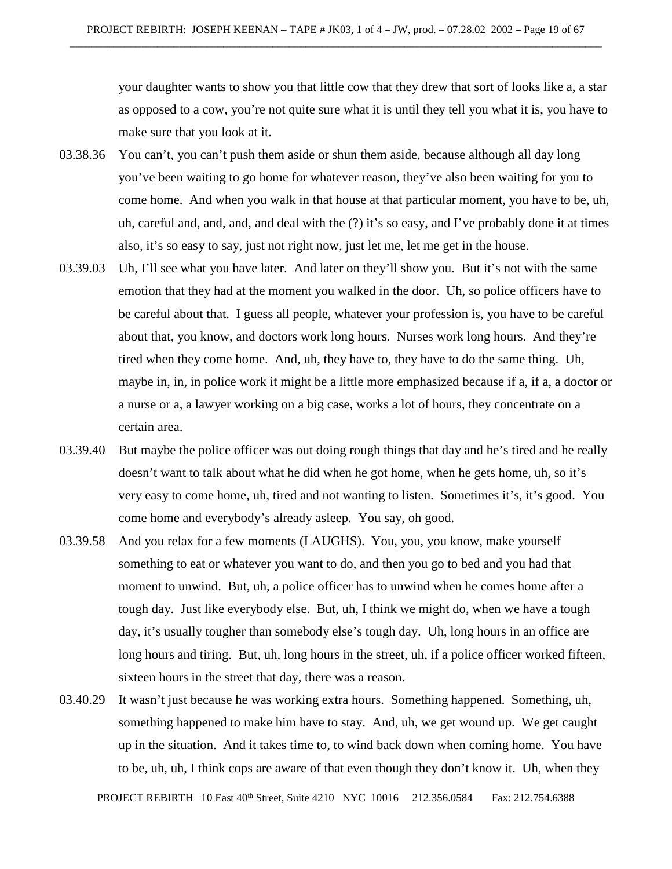your daughter wants to show you that little cow that they drew that sort of looks like a, a star as opposed to a cow, you're not quite sure what it is until they tell you what it is, you have to make sure that you look at it.

- 03.38.36 You can't, you can't push them aside or shun them aside, because although all day long you've been waiting to go home for whatever reason, they've also been waiting for you to come home. And when you walk in that house at that particular moment, you have to be, uh, uh, careful and, and, and, and deal with the (?) it's so easy, and I've probably done it at times also, it's so easy to say, just not right now, just let me, let me get in the house.
- 03.39.03 Uh, I'll see what you have later. And later on they'll show you. But it's not with the same emotion that they had at the moment you walked in the door. Uh, so police officers have to be careful about that. I guess all people, whatever your profession is, you have to be careful about that, you know, and doctors work long hours. Nurses work long hours. And they're tired when they come home. And, uh, they have to, they have to do the same thing. Uh, maybe in, in, in police work it might be a little more emphasized because if a, if a, a doctor or a nurse or a, a lawyer working on a big case, works a lot of hours, they concentrate on a certain area.
- 03.39.40 But maybe the police officer was out doing rough things that day and he's tired and he really doesn't want to talk about what he did when he got home, when he gets home, uh, so it's very easy to come home, uh, tired and not wanting to listen. Sometimes it's, it's good. You come home and everybody's already asleep. You say, oh good.
- 03.39.58 And you relax for a few moments (LAUGHS). You, you, you know, make yourself something to eat or whatever you want to do, and then you go to bed and you had that moment to unwind. But, uh, a police officer has to unwind when he comes home after a tough day. Just like everybody else. But, uh, I think we might do, when we have a tough day, it's usually tougher than somebody else's tough day. Uh, long hours in an office are long hours and tiring. But, uh, long hours in the street, uh, if a police officer worked fifteen, sixteen hours in the street that day, there was a reason.
- 03.40.29 It wasn't just because he was working extra hours. Something happened. Something, uh, something happened to make him have to stay. And, uh, we get wound up. We get caught up in the situation. And it takes time to, to wind back down when coming home. You have to be, uh, uh, I think cops are aware of that even though they don't know it. Uh, when they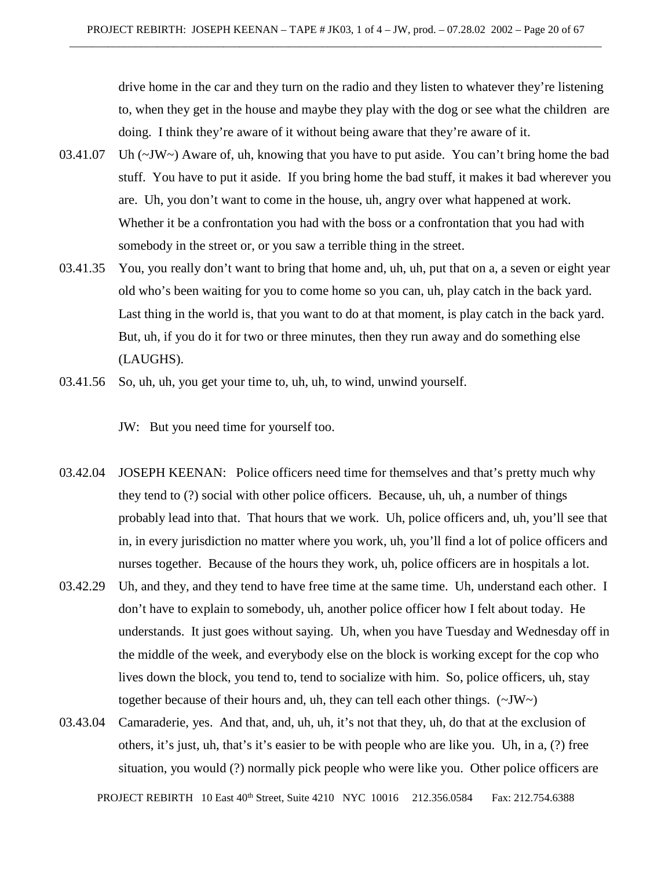drive home in the car and they turn on the radio and they listen to whatever they're listening to, when they get in the house and maybe they play with the dog or see what the children are doing. I think they're aware of it without being aware that they're aware of it.

- 03.41.07 Uh (~JW~) Aware of, uh, knowing that you have to put aside. You can't bring home the bad stuff. You have to put it aside. If you bring home the bad stuff, it makes it bad wherever you are. Uh, you don't want to come in the house, uh, angry over what happened at work. Whether it be a confrontation you had with the boss or a confrontation that you had with somebody in the street or, or you saw a terrible thing in the street.
- 03.41.35 You, you really don't want to bring that home and, uh, uh, put that on a, a seven or eight year old who's been waiting for you to come home so you can, uh, play catch in the back yard. Last thing in the world is, that you want to do at that moment, is play catch in the back yard. But, uh, if you do it for two or three minutes, then they run away and do something else (LAUGHS).
- 03.41.56 So, uh, uh, you get your time to, uh, uh, to wind, unwind yourself.

JW: But you need time for yourself too.

- 03.42.04 JOSEPH KEENAN: Police officers need time for themselves and that's pretty much why they tend to (?) social with other police officers. Because, uh, uh, a number of things probably lead into that. That hours that we work. Uh, police officers and, uh, you'll see that in, in every jurisdiction no matter where you work, uh, you'll find a lot of police officers and nurses together. Because of the hours they work, uh, police officers are in hospitals a lot.
- 03.42.29 Uh, and they, and they tend to have free time at the same time. Uh, understand each other. I don't have to explain to somebody, uh, another police officer how I felt about today. He understands. It just goes without saying. Uh, when you have Tuesday and Wednesday off in the middle of the week, and everybody else on the block is working except for the cop who lives down the block, you tend to, tend to socialize with him. So, police officers, uh, stay together because of their hours and, uh, they can tell each other things. (~JW~)
- 03.43.04 Camaraderie, yes. And that, and, uh, uh, it's not that they, uh, do that at the exclusion of others, it's just, uh, that's it's easier to be with people who are like you. Uh, in a, (?) free situation, you would (?) normally pick people who were like you. Other police officers are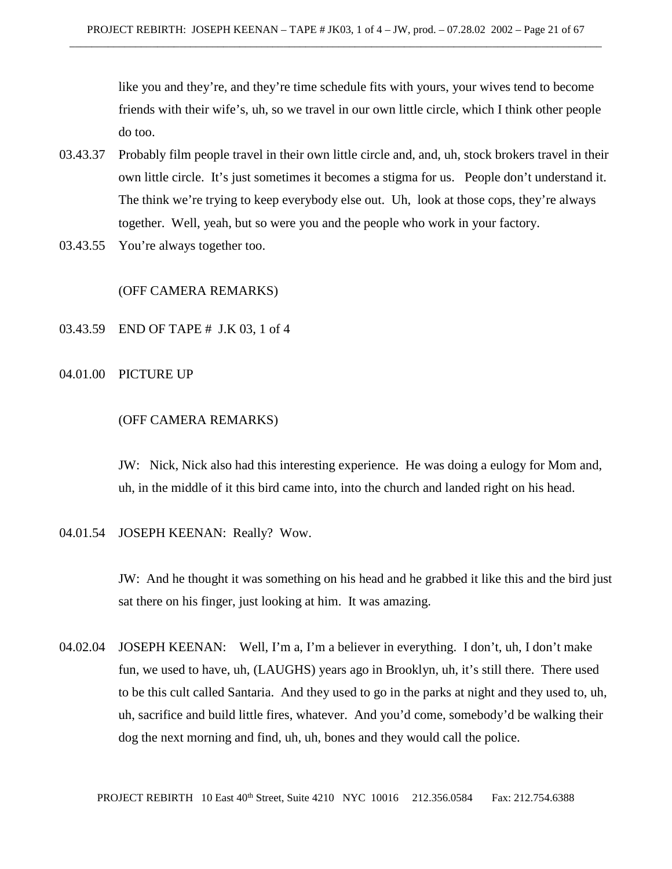like you and they're, and they're time schedule fits with yours, your wives tend to become friends with their wife's, uh, so we travel in our own little circle, which I think other people do too.

- 03.43.37 Probably film people travel in their own little circle and, and, uh, stock brokers travel in their own little circle. It's just sometimes it becomes a stigma for us. People don't understand it. The think we're trying to keep everybody else out. Uh, look at those cops, they're always together. Well, yeah, but so were you and the people who work in your factory.
- 03.43.55 You're always together too.

# (OFF CAMERA REMARKS)

03.43.59 END OF TAPE # J.K 03, 1 of 4

#### 04.01.00 PICTURE UP

## (OFF CAMERA REMARKS)

JW: Nick, Nick also had this interesting experience. He was doing a eulogy for Mom and, uh, in the middle of it this bird came into, into the church and landed right on his head.

## 04.01.54 JOSEPH KEENAN: Really? Wow.

JW: And he thought it was something on his head and he grabbed it like this and the bird just sat there on his finger, just looking at him. It was amazing.

04.02.04 JOSEPH KEENAN: Well, I'm a, I'm a believer in everything. I don't, uh, I don't make fun, we used to have, uh, (LAUGHS) years ago in Brooklyn, uh, it's still there. There used to be this cult called Santaria. And they used to go in the parks at night and they used to, uh, uh, sacrifice and build little fires, whatever. And you'd come, somebody'd be walking their dog the next morning and find, uh, uh, bones and they would call the police.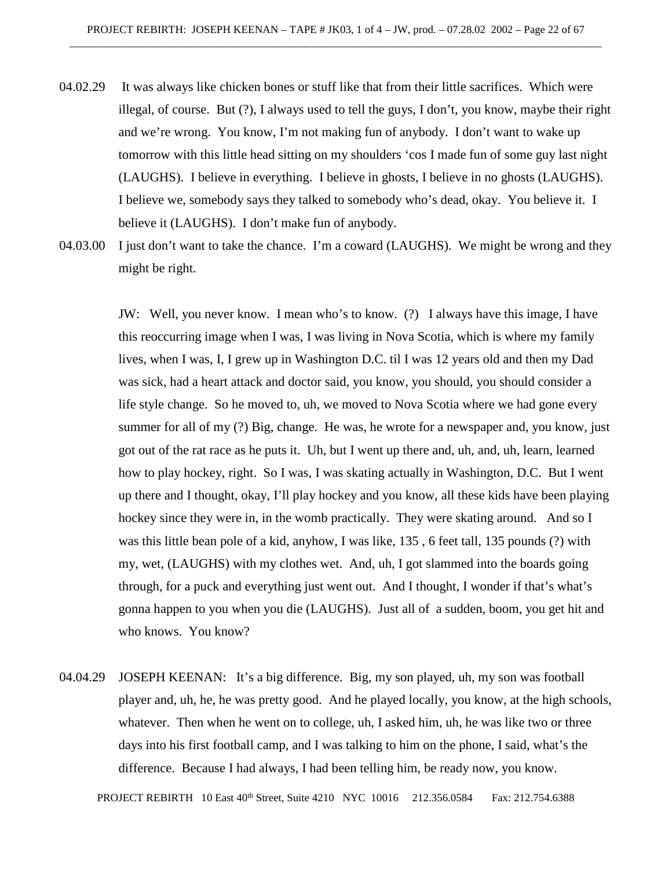- 04.02.29 It was always like chicken bones or stuff like that from their little sacrifices. Which were illegal, of course. But (?), I always used to tell the guys, I don't, you know, maybe their right and we're wrong. You know, I'm not making fun of anybody. I don't want to wake up tomorrow with this little head sitting on my shoulders 'cos I made fun of some guy last night (LAUGHS). I believe in everything. I believe in ghosts, I believe in no ghosts (LAUGHS). I believe we, somebody says they talked to somebody who's dead, okay. You believe it. I believe it (LAUGHS). I don't make fun of anybody.
- 04.03.00 I just don't want to take the chance. I'm a coward (LAUGHS). We might be wrong and they might be right.

JW: Well, you never know. I mean who's to know. (?) I always have this image, I have this reoccurring image when I was, I was living in Nova Scotia, which is where my family lives, when I was, I, I grew up in Washington D.C. til I was 12 years old and then my Dad was sick, had a heart attack and doctor said, you know, you should, you should consider a life style change. So he moved to, uh, we moved to Nova Scotia where we had gone every summer for all of my (?) Big, change. He was, he wrote for a newspaper and, you know, just got out of the rat race as he puts it. Uh, but I went up there and, uh, and, uh, learn, learned how to play hockey, right. So I was, I was skating actually in Washington, D.C. But I went up there and I thought, okay, I'll play hockey and you know, all these kids have been playing hockey since they were in, in the womb practically. They were skating around. And so I was this little bean pole of a kid, anyhow, I was like, 135 , 6 feet tall, 135 pounds (?) with my, wet, (LAUGHS) with my clothes wet. And, uh, I got slammed into the boards going through, for a puck and everything just went out. And I thought, I wonder if that's what's gonna happen to you when you die (LAUGHS). Just all of a sudden, boom, you get hit and who knows. You know?

04.04.29 JOSEPH KEENAN: It's a big difference. Big, my son played, uh, my son was football player and, uh, he, he was pretty good. And he played locally, you know, at the high schools, whatever. Then when he went on to college, uh, I asked him, uh, he was like two or three days into his first football camp, and I was talking to him on the phone, I said, what's the difference. Because I had always, I had been telling him, be ready now, you know.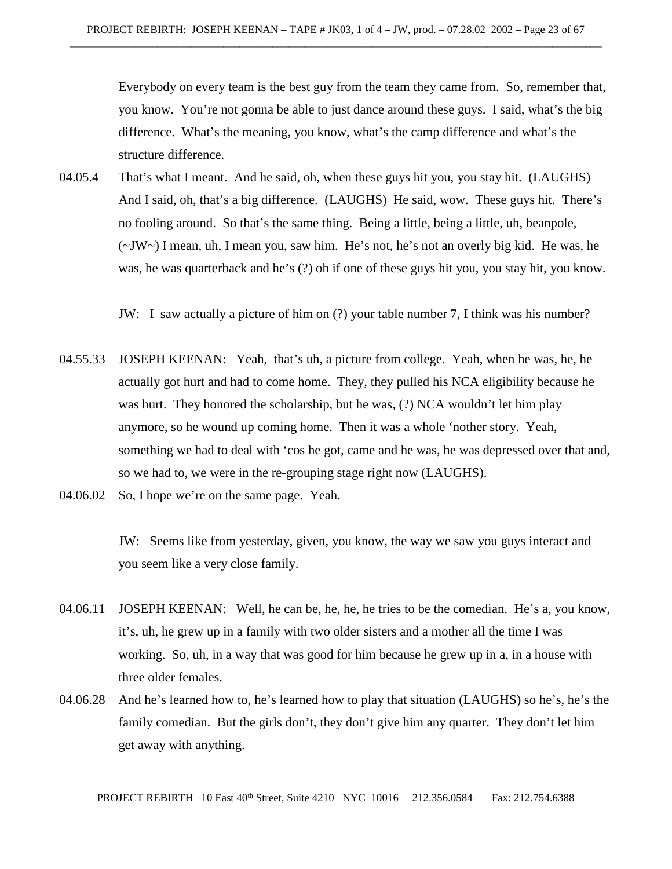Everybody on every team is the best guy from the team they came from. So, remember that, you know. You're not gonna be able to just dance around these guys. I said, what's the big difference. What's the meaning, you know, what's the camp difference and what's the structure difference.

04.05.4 That's what I meant. And he said, oh, when these guys hit you, you stay hit. (LAUGHS) And I said, oh, that's a big difference. (LAUGHS) He said, wow. These guys hit. There's no fooling around. So that's the same thing. Being a little, being a little, uh, beanpole,  $(\sim JW \sim)$  I mean, uh, I mean you, saw him. He's not, he's not an overly big kid. He was, he was, he was quarterback and he's (?) oh if one of these guys hit you, you stay hit, you know.

JW: I saw actually a picture of him on (?) your table number 7, I think was his number?

- 04.55.33 JOSEPH KEENAN: Yeah, that's uh, a picture from college. Yeah, when he was, he, he actually got hurt and had to come home. They, they pulled his NCA eligibility because he was hurt. They honored the scholarship, but he was, (?) NCA wouldn't let him play anymore, so he wound up coming home. Then it was a whole 'nother story. Yeah, something we had to deal with 'cos he got, came and he was, he was depressed over that and, so we had to, we were in the re-grouping stage right now (LAUGHS).
- 04.06.02 So, I hope we're on the same page. Yeah.

JW: Seems like from yesterday, given, you know, the way we saw you guys interact and you seem like a very close family.

- 04.06.11 JOSEPH KEENAN: Well, he can be, he, he, he tries to be the comedian. He's a, you know, it's, uh, he grew up in a family with two older sisters and a mother all the time I was working. So, uh, in a way that was good for him because he grew up in a, in a house with three older females.
- 04.06.28 And he's learned how to, he's learned how to play that situation (LAUGHS) so he's, he's the family comedian. But the girls don't, they don't give him any quarter. They don't let him get away with anything.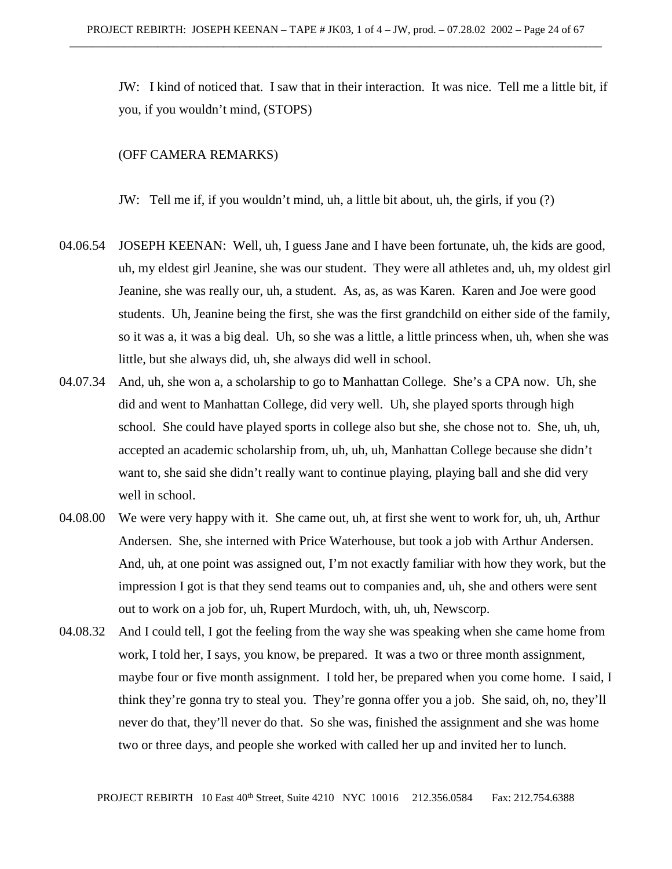JW: I kind of noticed that. I saw that in their interaction. It was nice. Tell me a little bit, if you, if you wouldn't mind, (STOPS)

## (OFF CAMERA REMARKS)

JW: Tell me if, if you wouldn't mind, uh, a little bit about, uh, the girls, if you (?)

- 04.06.54 JOSEPH KEENAN: Well, uh, I guess Jane and I have been fortunate, uh, the kids are good, uh, my eldest girl Jeanine, she was our student. They were all athletes and, uh, my oldest girl Jeanine, she was really our, uh, a student. As, as, as was Karen. Karen and Joe were good students. Uh, Jeanine being the first, she was the first grandchild on either side of the family, so it was a, it was a big deal. Uh, so she was a little, a little princess when, uh, when she was little, but she always did, uh, she always did well in school.
- 04.07.34 And, uh, she won a, a scholarship to go to Manhattan College. She's a CPA now. Uh, she did and went to Manhattan College, did very well. Uh, she played sports through high school. She could have played sports in college also but she, she chose not to. She, uh, uh, accepted an academic scholarship from, uh, uh, uh, Manhattan College because she didn't want to, she said she didn't really want to continue playing, playing ball and she did very well in school.
- 04.08.00 We were very happy with it. She came out, uh, at first she went to work for, uh, uh, Arthur Andersen. She, she interned with Price Waterhouse, but took a job with Arthur Andersen. And, uh, at one point was assigned out, I'm not exactly familiar with how they work, but the impression I got is that they send teams out to companies and, uh, she and others were sent out to work on a job for, uh, Rupert Murdoch, with, uh, uh, Newscorp.
- 04.08.32 And I could tell, I got the feeling from the way she was speaking when she came home from work, I told her, I says, you know, be prepared. It was a two or three month assignment, maybe four or five month assignment. I told her, be prepared when you come home. I said, I think they're gonna try to steal you. They're gonna offer you a job. She said, oh, no, they'll never do that, they'll never do that. So she was, finished the assignment and she was home two or three days, and people she worked with called her up and invited her to lunch.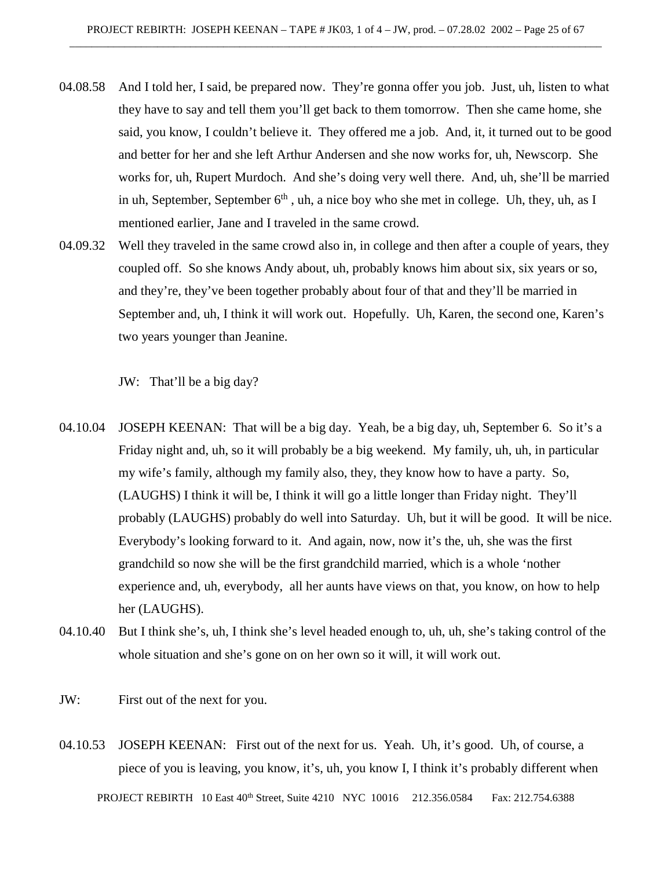- 04.08.58 And I told her, I said, be prepared now. They're gonna offer you job. Just, uh, listen to what they have to say and tell them you'll get back to them tomorrow. Then she came home, she said, you know, I couldn't believe it. They offered me a job. And, it, it turned out to be good and better for her and she left Arthur Andersen and she now works for, uh, Newscorp. She works for, uh, Rupert Murdoch. And she's doing very well there. And, uh, she'll be married in uh, September, September  $6<sup>th</sup>$ , uh, a nice boy who she met in college. Uh, they, uh, as I mentioned earlier, Jane and I traveled in the same crowd.
- 04.09.32 Well they traveled in the same crowd also in, in college and then after a couple of years, they coupled off. So she knows Andy about, uh, probably knows him about six, six years or so, and they're, they've been together probably about four of that and they'll be married in September and, uh, I think it will work out. Hopefully. Uh, Karen, the second one, Karen's two years younger than Jeanine.

JW: That'll be a big day?

- 04.10.04 JOSEPH KEENAN: That will be a big day. Yeah, be a big day, uh, September 6. So it's a Friday night and, uh, so it will probably be a big weekend. My family, uh, uh, in particular my wife's family, although my family also, they, they know how to have a party. So, (LAUGHS) I think it will be, I think it will go a little longer than Friday night. They'll probably (LAUGHS) probably do well into Saturday. Uh, but it will be good. It will be nice. Everybody's looking forward to it. And again, now, now it's the, uh, she was the first grandchild so now she will be the first grandchild married, which is a whole 'nother experience and, uh, everybody, all her aunts have views on that, you know, on how to help her (LAUGHS).
- 04.10.40 But I think she's, uh, I think she's level headed enough to, uh, uh, she's taking control of the whole situation and she's gone on on her own so it will, it will work out.
- JW: First out of the next for you.
- PROJECT REBIRTH 10 East 40th Street, Suite 4210 NYC 10016 212.356.0584 Fax: 212.754.6388 04.10.53 JOSEPH KEENAN: First out of the next for us. Yeah. Uh, it's good. Uh, of course, a piece of you is leaving, you know, it's, uh, you know I, I think it's probably different when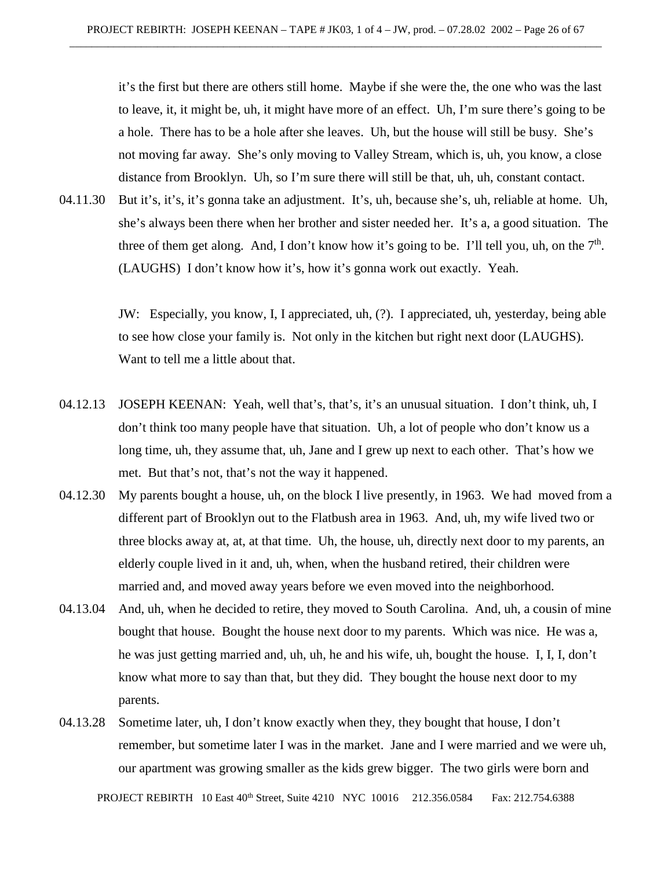it's the first but there are others still home. Maybe if she were the, the one who was the last to leave, it, it might be, uh, it might have more of an effect. Uh, I'm sure there's going to be a hole. There has to be a hole after she leaves. Uh, but the house will still be busy. She's not moving far away. She's only moving to Valley Stream, which is, uh, you know, a close distance from Brooklyn. Uh, so I'm sure there will still be that, uh, uh, constant contact.

04.11.30 But it's, it's, it's gonna take an adjustment. It's, uh, because she's, uh, reliable at home. Uh, she's always been there when her brother and sister needed her. It's a, a good situation. The three of them get along. And, I don't know how it's going to be. I'll tell you, uh, on the  $7<sup>th</sup>$ . (LAUGHS) I don't know how it's, how it's gonna work out exactly. Yeah.

> JW: Especially, you know, I, I appreciated, uh, (?). I appreciated, uh, yesterday, being able to see how close your family is. Not only in the kitchen but right next door (LAUGHS). Want to tell me a little about that.

- 04.12.13 JOSEPH KEENAN: Yeah, well that's, that's, it's an unusual situation. I don't think, uh, I don't think too many people have that situation. Uh, a lot of people who don't know us a long time, uh, they assume that, uh, Jane and I grew up next to each other. That's how we met. But that's not, that's not the way it happened.
- 04.12.30 My parents bought a house, uh, on the block I live presently, in 1963. We had moved from a different part of Brooklyn out to the Flatbush area in 1963. And, uh, my wife lived two or three blocks away at, at, at that time. Uh, the house, uh, directly next door to my parents, an elderly couple lived in it and, uh, when, when the husband retired, their children were married and, and moved away years before we even moved into the neighborhood.
- 04.13.04 And, uh, when he decided to retire, they moved to South Carolina. And, uh, a cousin of mine bought that house. Bought the house next door to my parents. Which was nice. He was a, he was just getting married and, uh, uh, he and his wife, uh, bought the house. I, I, I, don't know what more to say than that, but they did. They bought the house next door to my parents.
- 04.13.28 Sometime later, uh, I don't know exactly when they, they bought that house, I don't remember, but sometime later I was in the market. Jane and I were married and we were uh, our apartment was growing smaller as the kids grew bigger. The two girls were born and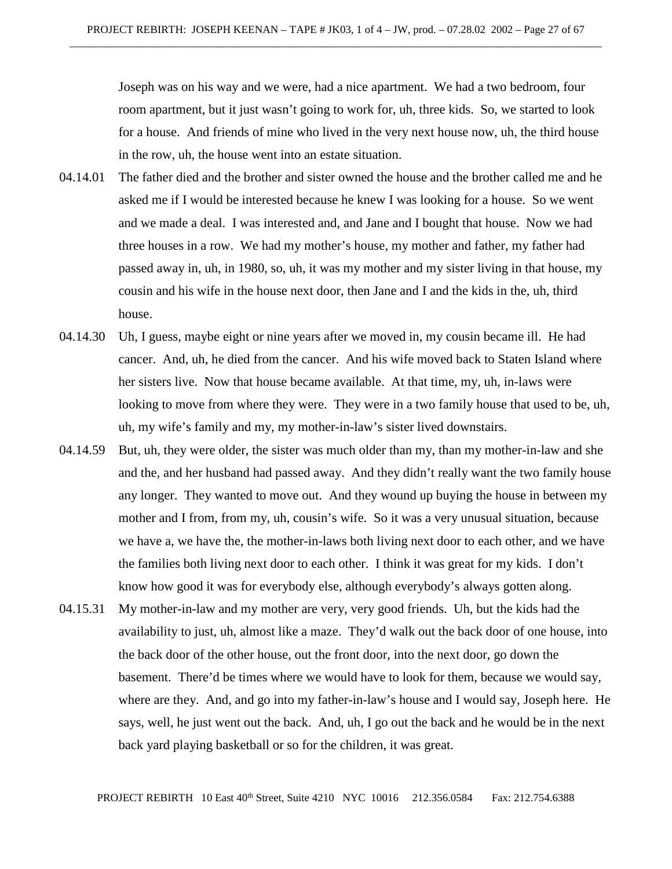Joseph was on his way and we were, had a nice apartment. We had a two bedroom, four room apartment, but it just wasn't going to work for, uh, three kids. So, we started to look for a house. And friends of mine who lived in the very next house now, uh, the third house in the row, uh, the house went into an estate situation.

- 04.14.01 The father died and the brother and sister owned the house and the brother called me and he asked me if I would be interested because he knew I was looking for a house. So we went and we made a deal. I was interested and, and Jane and I bought that house. Now we had three houses in a row. We had my mother's house, my mother and father, my father had passed away in, uh, in 1980, so, uh, it was my mother and my sister living in that house, my cousin and his wife in the house next door, then Jane and I and the kids in the, uh, third house.
- 04.14.30 Uh, I guess, maybe eight or nine years after we moved in, my cousin became ill. He had cancer. And, uh, he died from the cancer. And his wife moved back to Staten Island where her sisters live. Now that house became available. At that time, my, uh, in-laws were looking to move from where they were. They were in a two family house that used to be, uh, uh, my wife's family and my, my mother-in-law's sister lived downstairs.
- 04.14.59 But, uh, they were older, the sister was much older than my, than my mother-in-law and she and the, and her husband had passed away. And they didn't really want the two family house any longer. They wanted to move out. And they wound up buying the house in between my mother and I from, from my, uh, cousin's wife. So it was a very unusual situation, because we have a, we have the, the mother-in-laws both living next door to each other, and we have the families both living next door to each other. I think it was great for my kids. I don't know how good it was for everybody else, although everybody's always gotten along.
- 04.15.31 My mother-in-law and my mother are very, very good friends. Uh, but the kids had the availability to just, uh, almost like a maze. They'd walk out the back door of one house, into the back door of the other house, out the front door, into the next door, go down the basement. There'd be times where we would have to look for them, because we would say, where are they. And, and go into my father-in-law's house and I would say, Joseph here. He says, well, he just went out the back. And, uh, I go out the back and he would be in the next back yard playing basketball or so for the children, it was great.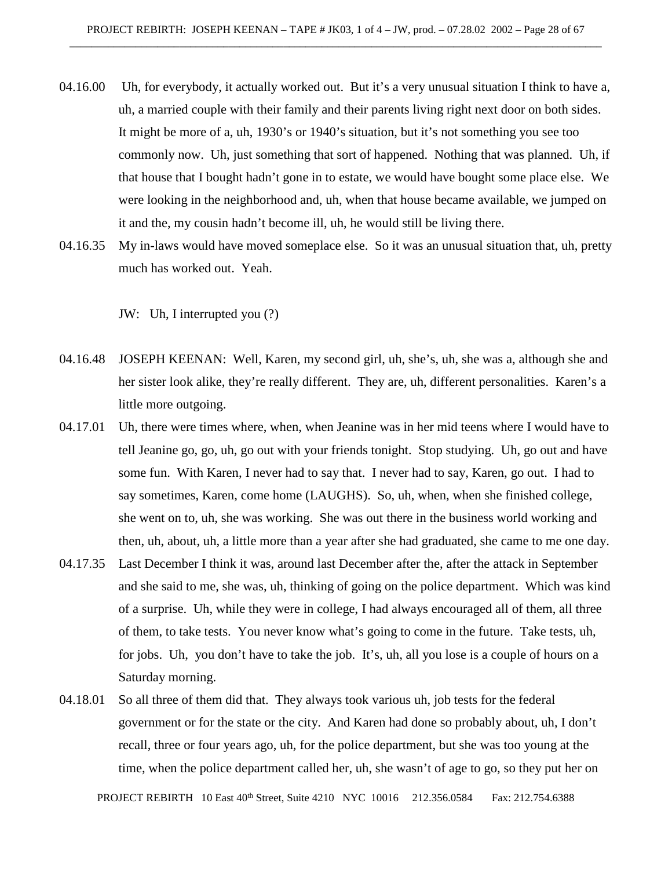- 04.16.00 Uh, for everybody, it actually worked out. But it's a very unusual situation I think to have a, uh, a married couple with their family and their parents living right next door on both sides. It might be more of a, uh, 1930's or 1940's situation, but it's not something you see too commonly now. Uh, just something that sort of happened. Nothing that was planned. Uh, if that house that I bought hadn't gone in to estate, we would have bought some place else. We were looking in the neighborhood and, uh, when that house became available, we jumped on it and the, my cousin hadn't become ill, uh, he would still be living there.
- 04.16.35 My in-laws would have moved someplace else. So it was an unusual situation that, uh, pretty much has worked out. Yeah.

JW: Uh, I interrupted you (?)

- 04.16.48 JOSEPH KEENAN: Well, Karen, my second girl, uh, she's, uh, she was a, although she and her sister look alike, they're really different. They are, uh, different personalities. Karen's a little more outgoing.
- 04.17.01 Uh, there were times where, when, when Jeanine was in her mid teens where I would have to tell Jeanine go, go, uh, go out with your friends tonight. Stop studying. Uh, go out and have some fun. With Karen, I never had to say that. I never had to say, Karen, go out. I had to say sometimes, Karen, come home (LAUGHS). So, uh, when, when she finished college, she went on to, uh, she was working. She was out there in the business world working and then, uh, about, uh, a little more than a year after she had graduated, she came to me one day.
- 04.17.35 Last December I think it was, around last December after the, after the attack in September and she said to me, she was, uh, thinking of going on the police department. Which was kind of a surprise. Uh, while they were in college, I had always encouraged all of them, all three of them, to take tests. You never know what's going to come in the future. Take tests, uh, for jobs. Uh, you don't have to take the job. It's, uh, all you lose is a couple of hours on a Saturday morning.
- 04.18.01 So all three of them did that. They always took various uh, job tests for the federal government or for the state or the city. And Karen had done so probably about, uh, I don't recall, three or four years ago, uh, for the police department, but she was too young at the time, when the police department called her, uh, she wasn't of age to go, so they put her on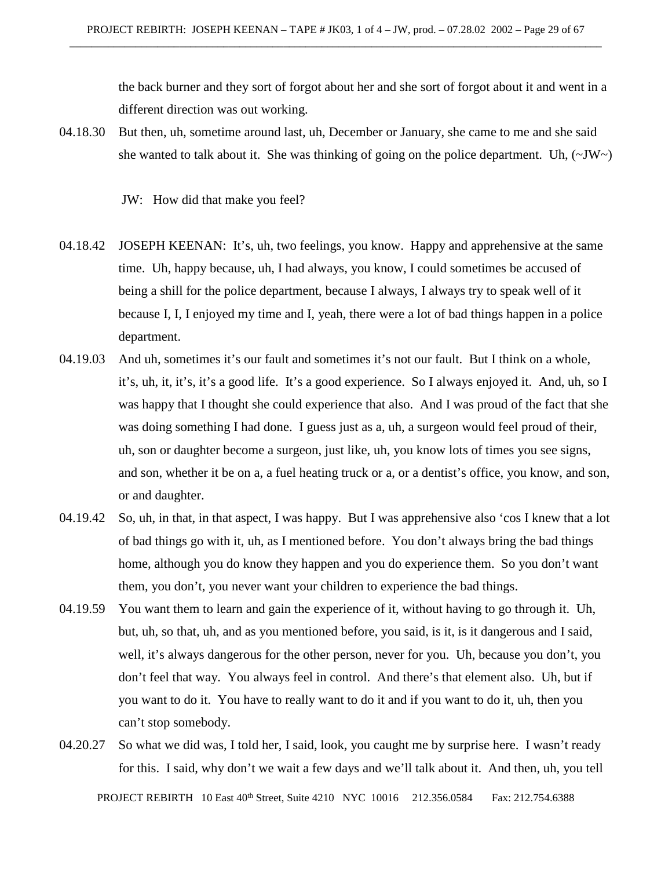the back burner and they sort of forgot about her and she sort of forgot about it and went in a different direction was out working.

04.18.30 But then, uh, sometime around last, uh, December or January, she came to me and she said she wanted to talk about it. She was thinking of going on the police department. Uh,  $(\sim JW)$ 

JW: How did that make you feel?

- 04.18.42 JOSEPH KEENAN: It's, uh, two feelings, you know. Happy and apprehensive at the same time. Uh, happy because, uh, I had always, you know, I could sometimes be accused of being a shill for the police department, because I always, I always try to speak well of it because I, I, I enjoyed my time and I, yeah, there were a lot of bad things happen in a police department.
- 04.19.03 And uh, sometimes it's our fault and sometimes it's not our fault. But I think on a whole, it's, uh, it, it's, it's a good life. It's a good experience. So I always enjoyed it. And, uh, so I was happy that I thought she could experience that also. And I was proud of the fact that she was doing something I had done. I guess just as a, uh, a surgeon would feel proud of their, uh, son or daughter become a surgeon, just like, uh, you know lots of times you see signs, and son, whether it be on a, a fuel heating truck or a, or a dentist's office, you know, and son, or and daughter.
- 04.19.42 So, uh, in that, in that aspect, I was happy. But I was apprehensive also 'cos I knew that a lot of bad things go with it, uh, as I mentioned before. You don't always bring the bad things home, although you do know they happen and you do experience them. So you don't want them, you don't, you never want your children to experience the bad things.
- 04.19.59 You want them to learn and gain the experience of it, without having to go through it. Uh, but, uh, so that, uh, and as you mentioned before, you said, is it, is it dangerous and I said, well, it's always dangerous for the other person, never for you. Uh, because you don't, you don't feel that way. You always feel in control. And there's that element also. Uh, but if you want to do it. You have to really want to do it and if you want to do it, uh, then you can't stop somebody.
- PROJECT REBIRTH 10 East 40<sup>th</sup> Street, Suite 4210 NYC 10016 212.356.0584 Fax: 212.754.6388 04.20.27 So what we did was, I told her, I said, look, you caught me by surprise here. I wasn't ready for this. I said, why don't we wait a few days and we'll talk about it. And then, uh, you tell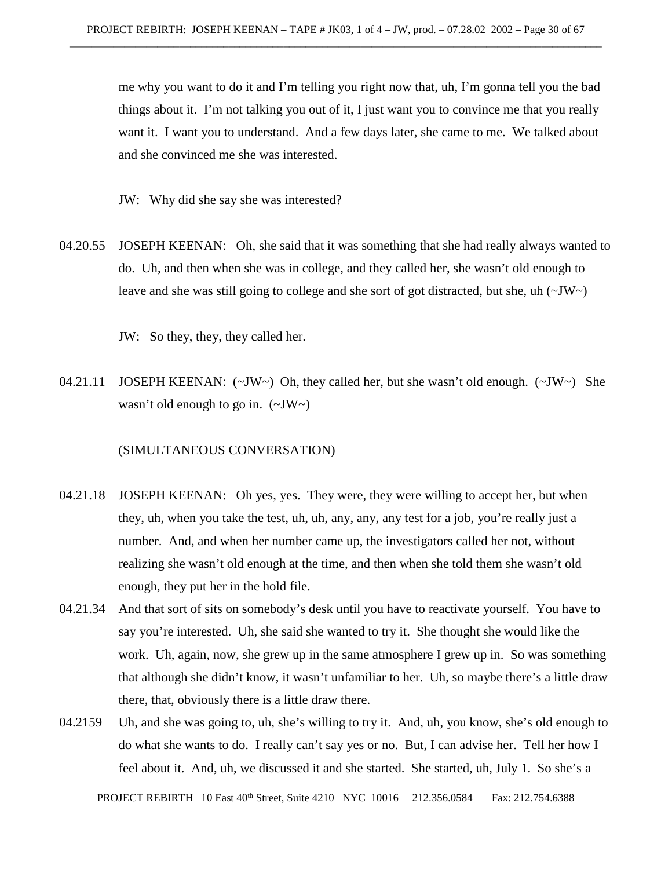me why you want to do it and I'm telling you right now that, uh, I'm gonna tell you the bad things about it. I'm not talking you out of it, I just want you to convince me that you really want it. I want you to understand. And a few days later, she came to me. We talked about and she convinced me she was interested.

JW: Why did she say she was interested?

04.20.55 JOSEPH KEENAN: Oh, she said that it was something that she had really always wanted to do. Uh, and then when she was in college, and they called her, she wasn't old enough to leave and she was still going to college and she sort of got distracted, but she, uh  $(\sim JW)$ 

JW: So they, they, they called her.

04.21.11 JOSEPH KEENAN:  $(\sim JW \sim)$  Oh, they called her, but she wasn't old enough.  $(\sim JW \sim)$  She wasn't old enough to go in.  $(\sim JW)$ 

# (SIMULTANEOUS CONVERSATION)

- 04.21.18 JOSEPH KEENAN: Oh yes, yes. They were, they were willing to accept her, but when they, uh, when you take the test, uh, uh, any, any, any test for a job, you're really just a number. And, and when her number came up, the investigators called her not, without realizing she wasn't old enough at the time, and then when she told them she wasn't old enough, they put her in the hold file.
- 04.21.34 And that sort of sits on somebody's desk until you have to reactivate yourself. You have to say you're interested. Uh, she said she wanted to try it. She thought she would like the work. Uh, again, now, she grew up in the same atmosphere I grew up in. So was something that although she didn't know, it wasn't unfamiliar to her. Uh, so maybe there's a little draw there, that, obviously there is a little draw there.
- 04.2159 Uh, and she was going to, uh, she's willing to try it. And, uh, you know, she's old enough to do what she wants to do. I really can't say yes or no. But, I can advise her. Tell her how I feel about it. And, uh, we discussed it and she started. She started, uh, July 1. So she's a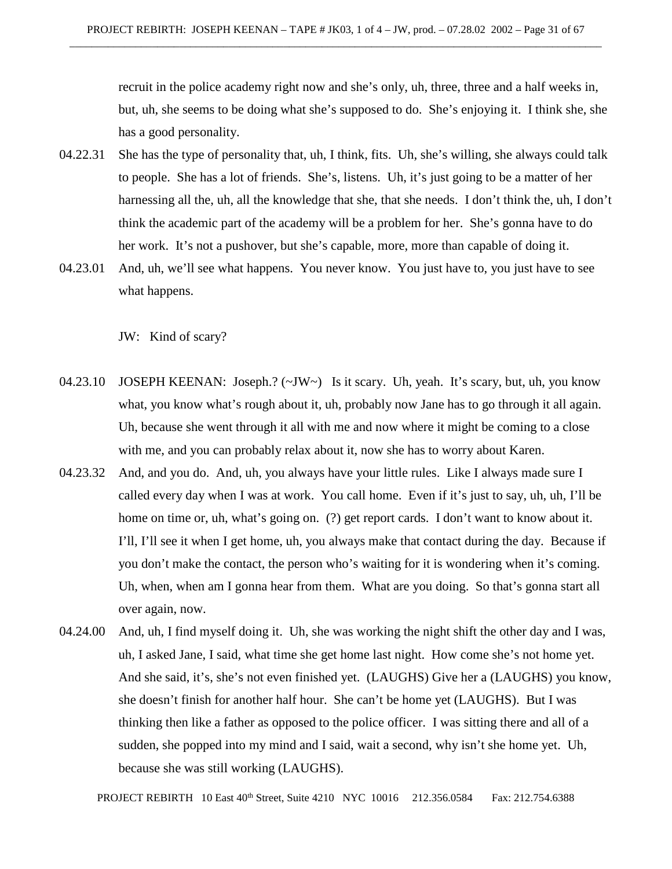recruit in the police academy right now and she's only, uh, three, three and a half weeks in, but, uh, she seems to be doing what she's supposed to do. She's enjoying it. I think she, she has a good personality.

- 04.22.31 She has the type of personality that, uh, I think, fits. Uh, she's willing, she always could talk to people. She has a lot of friends. She's, listens. Uh, it's just going to be a matter of her harnessing all the, uh, all the knowledge that she, that she needs. I don't think the, uh, I don't think the academic part of the academy will be a problem for her. She's gonna have to do her work. It's not a pushover, but she's capable, more, more than capable of doing it.
- 04.23.01 And, uh, we'll see what happens. You never know. You just have to, you just have to see what happens.

JW: Kind of scary?

- 04.23.10 JOSEPH KEENAN: Joseph.? (~JW~) Is it scary. Uh, yeah. It's scary, but, uh, you know what, you know what's rough about it, uh, probably now Jane has to go through it all again. Uh, because she went through it all with me and now where it might be coming to a close with me, and you can probably relax about it, now she has to worry about Karen.
- 04.23.32 And, and you do. And, uh, you always have your little rules. Like I always made sure I called every day when I was at work. You call home. Even if it's just to say, uh, uh, I'll be home on time or, uh, what's going on. (?) get report cards. I don't want to know about it. I'll, I'll see it when I get home, uh, you always make that contact during the day. Because if you don't make the contact, the person who's waiting for it is wondering when it's coming. Uh, when, when am I gonna hear from them. What are you doing. So that's gonna start all over again, now.
- 04.24.00 And, uh, I find myself doing it. Uh, she was working the night shift the other day and I was, uh, I asked Jane, I said, what time she get home last night. How come she's not home yet. And she said, it's, she's not even finished yet. (LAUGHS) Give her a (LAUGHS) you know, she doesn't finish for another half hour. She can't be home yet (LAUGHS). But I was thinking then like a father as opposed to the police officer. I was sitting there and all of a sudden, she popped into my mind and I said, wait a second, why isn't she home yet. Uh, because she was still working (LAUGHS).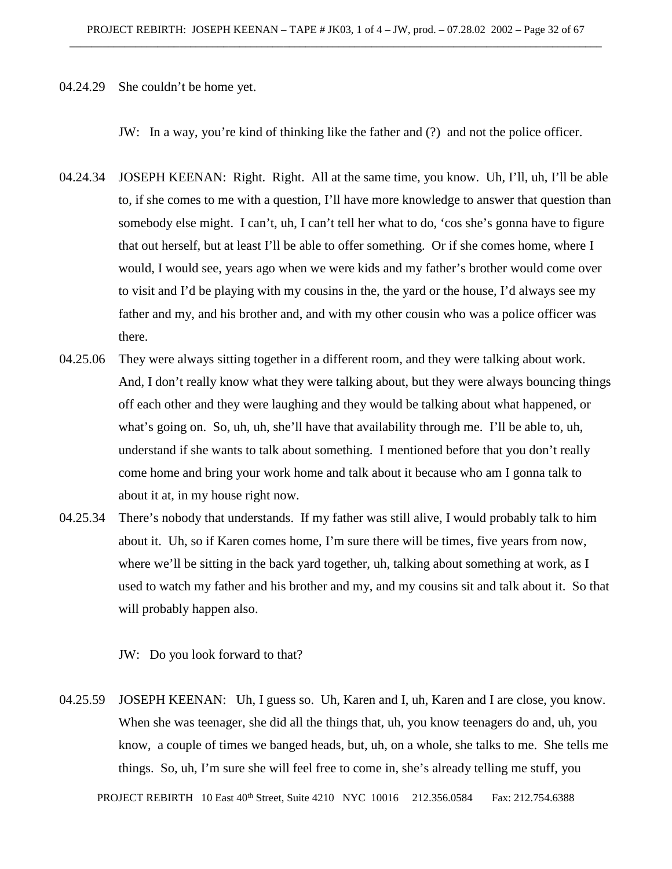04.24.29 She couldn't be home yet.

JW: In a way, you're kind of thinking like the father and (?) and not the police officer.

- 04.24.34 JOSEPH KEENAN: Right. Right. All at the same time, you know. Uh, I'll, uh, I'll be able to, if she comes to me with a question, I'll have more knowledge to answer that question than somebody else might. I can't, uh, I can't tell her what to do, 'cos she's gonna have to figure that out herself, but at least I'll be able to offer something. Or if she comes home, where I would, I would see, years ago when we were kids and my father's brother would come over to visit and I'd be playing with my cousins in the, the yard or the house, I'd always see my father and my, and his brother and, and with my other cousin who was a police officer was there.
- 04.25.06 They were always sitting together in a different room, and they were talking about work. And, I don't really know what they were talking about, but they were always bouncing things off each other and they were laughing and they would be talking about what happened, or what's going on. So, uh, uh, she'll have that availability through me. I'll be able to, uh, understand if she wants to talk about something. I mentioned before that you don't really come home and bring your work home and talk about it because who am I gonna talk to about it at, in my house right now.
- 04.25.34 There's nobody that understands. If my father was still alive, I would probably talk to him about it. Uh, so if Karen comes home, I'm sure there will be times, five years from now, where we'll be sitting in the back yard together, uh, talking about something at work, as I used to watch my father and his brother and my, and my cousins sit and talk about it. So that will probably happen also.

JW: Do you look forward to that?

04.25.59 JOSEPH KEENAN: Uh, I guess so. Uh, Karen and I, uh, Karen and I are close, you know. When she was teenager, she did all the things that, uh, you know teenagers do and, uh, you know, a couple of times we banged heads, but, uh, on a whole, she talks to me. She tells me things. So, uh, I'm sure she will feel free to come in, she's already telling me stuff, you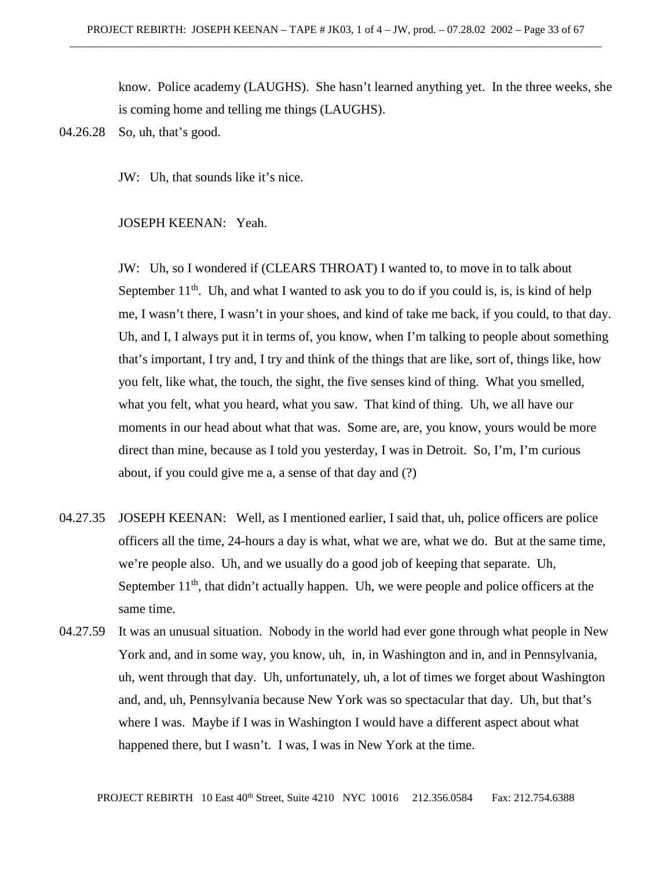know. Police academy (LAUGHS). She hasn't learned anything yet. In the three weeks, she is coming home and telling me things (LAUGHS).

JW: Uh, that sounds like it's nice.

## JOSEPH KEENAN: Yeah.

JW: Uh, so I wondered if (CLEARS THROAT) I wanted to, to move in to talk about September  $11<sup>th</sup>$ . Uh, and what I wanted to ask you to do if you could is, is, is kind of help me, I wasn't there, I wasn't in your shoes, and kind of take me back, if you could, to that day. Uh, and I, I always put it in terms of, you know, when I'm talking to people about something that's important, I try and, I try and think of the things that are like, sort of, things like, how you felt, like what, the touch, the sight, the five senses kind of thing. What you smelled, what you felt, what you heard, what you saw. That kind of thing. Uh, we all have our moments in our head about what that was. Some are, are, you know, yours would be more direct than mine, because as I told you yesterday, I was in Detroit. So, I'm, I'm curious about, if you could give me a, a sense of that day and (?)

- 04.27.35 JOSEPH KEENAN: Well, as I mentioned earlier, I said that, uh, police officers are police officers all the time, 24-hours a day is what, what we are, what we do. But at the same time, we're people also. Uh, and we usually do a good job of keeping that separate. Uh, September  $11<sup>th</sup>$ , that didn't actually happen. Uh, we were people and police officers at the same time.
- 04.27.59 It was an unusual situation. Nobody in the world had ever gone through what people in New York and, and in some way, you know, uh, in, in Washington and in, and in Pennsylvania, uh, went through that day. Uh, unfortunately, uh, a lot of times we forget about Washington and, and, uh, Pennsylvania because New York was so spectacular that day. Uh, but that's where I was. Maybe if I was in Washington I would have a different aspect about what happened there, but I wasn't. I was, I was in New York at the time.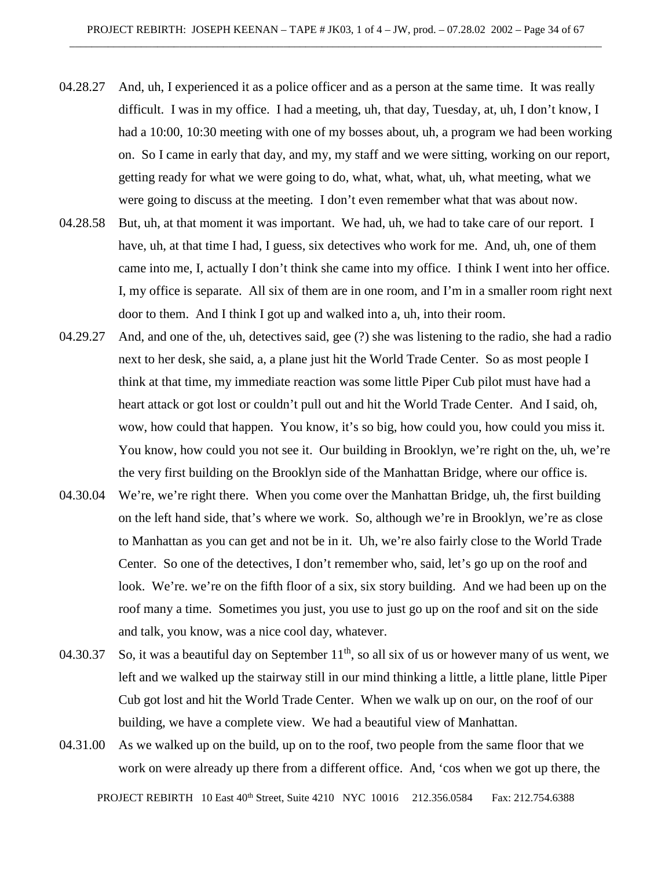- 04.28.27 And, uh, I experienced it as a police officer and as a person at the same time. It was really difficult. I was in my office. I had a meeting, uh, that day, Tuesday, at, uh, I don't know, I had a 10:00, 10:30 meeting with one of my bosses about, uh, a program we had been working on. So I came in early that day, and my, my staff and we were sitting, working on our report, getting ready for what we were going to do, what, what, what, uh, what meeting, what we were going to discuss at the meeting. I don't even remember what that was about now.
- 04.28.58 But, uh, at that moment it was important. We had, uh, we had to take care of our report. I have, uh, at that time I had, I guess, six detectives who work for me. And, uh, one of them came into me, I, actually I don't think she came into my office. I think I went into her office. I, my office is separate. All six of them are in one room, and I'm in a smaller room right next door to them. And I think I got up and walked into a, uh, into their room.
- 04.29.27 And, and one of the, uh, detectives said, gee (?) she was listening to the radio, she had a radio next to her desk, she said, a, a plane just hit the World Trade Center. So as most people I think at that time, my immediate reaction was some little Piper Cub pilot must have had a heart attack or got lost or couldn't pull out and hit the World Trade Center. And I said, oh, wow, how could that happen. You know, it's so big, how could you, how could you miss it. You know, how could you not see it. Our building in Brooklyn, we're right on the, uh, we're the very first building on the Brooklyn side of the Manhattan Bridge, where our office is.
- 04.30.04 We're, we're right there. When you come over the Manhattan Bridge, uh, the first building on the left hand side, that's where we work. So, although we're in Brooklyn, we're as close to Manhattan as you can get and not be in it. Uh, we're also fairly close to the World Trade Center. So one of the detectives, I don't remember who, said, let's go up on the roof and look. We're. we're on the fifth floor of a six, six story building. And we had been up on the roof many a time. Sometimes you just, you use to just go up on the roof and sit on the side and talk, you know, was a nice cool day, whatever.
- 04.30.37 So, it was a beautiful day on September  $11<sup>th</sup>$ , so all six of us or however many of us went, we left and we walked up the stairway still in our mind thinking a little, a little plane, little Piper Cub got lost and hit the World Trade Center. When we walk up on our, on the roof of our building, we have a complete view. We had a beautiful view of Manhattan.
- 04.31.00 As we walked up on the build, up on to the roof, two people from the same floor that we work on were already up there from a different office. And, 'cos when we got up there, the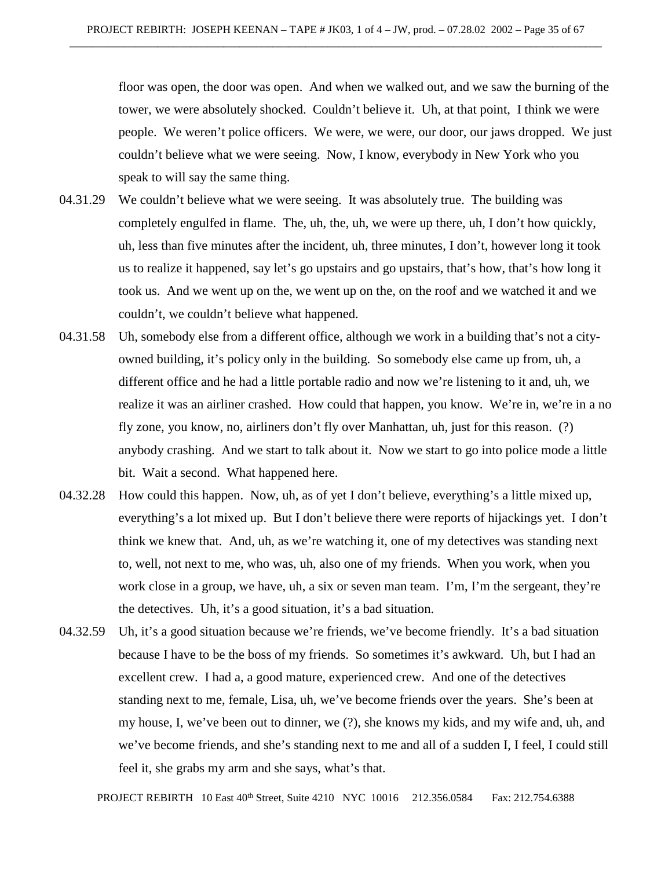floor was open, the door was open. And when we walked out, and we saw the burning of the tower, we were absolutely shocked. Couldn't believe it. Uh, at that point, I think we were people. We weren't police officers. We were, we were, our door, our jaws dropped. We just couldn't believe what we were seeing. Now, I know, everybody in New York who you speak to will say the same thing.

- 04.31.29 We couldn't believe what we were seeing. It was absolutely true. The building was completely engulfed in flame. The, uh, the, uh, we were up there, uh, I don't how quickly, uh, less than five minutes after the incident, uh, three minutes, I don't, however long it took us to realize it happened, say let's go upstairs and go upstairs, that's how, that's how long it took us. And we went up on the, we went up on the, on the roof and we watched it and we couldn't, we couldn't believe what happened.
- 04.31.58 Uh, somebody else from a different office, although we work in a building that's not a cityowned building, it's policy only in the building. So somebody else came up from, uh, a different office and he had a little portable radio and now we're listening to it and, uh, we realize it was an airliner crashed. How could that happen, you know. We're in, we're in a no fly zone, you know, no, airliners don't fly over Manhattan, uh, just for this reason. (?) anybody crashing. And we start to talk about it. Now we start to go into police mode a little bit. Wait a second. What happened here.
- 04.32.28 How could this happen. Now, uh, as of yet I don't believe, everything's a little mixed up, everything's a lot mixed up. But I don't believe there were reports of hijackings yet. I don't think we knew that. And, uh, as we're watching it, one of my detectives was standing next to, well, not next to me, who was, uh, also one of my friends. When you work, when you work close in a group, we have, uh, a six or seven man team. I'm, I'm the sergeant, they're the detectives. Uh, it's a good situation, it's a bad situation.
- 04.32.59 Uh, it's a good situation because we're friends, we've become friendly. It's a bad situation because I have to be the boss of my friends. So sometimes it's awkward. Uh, but I had an excellent crew. I had a, a good mature, experienced crew. And one of the detectives standing next to me, female, Lisa, uh, we've become friends over the years. She's been at my house, I, we've been out to dinner, we (?), she knows my kids, and my wife and, uh, and we've become friends, and she's standing next to me and all of a sudden I, I feel, I could still feel it, she grabs my arm and she says, what's that.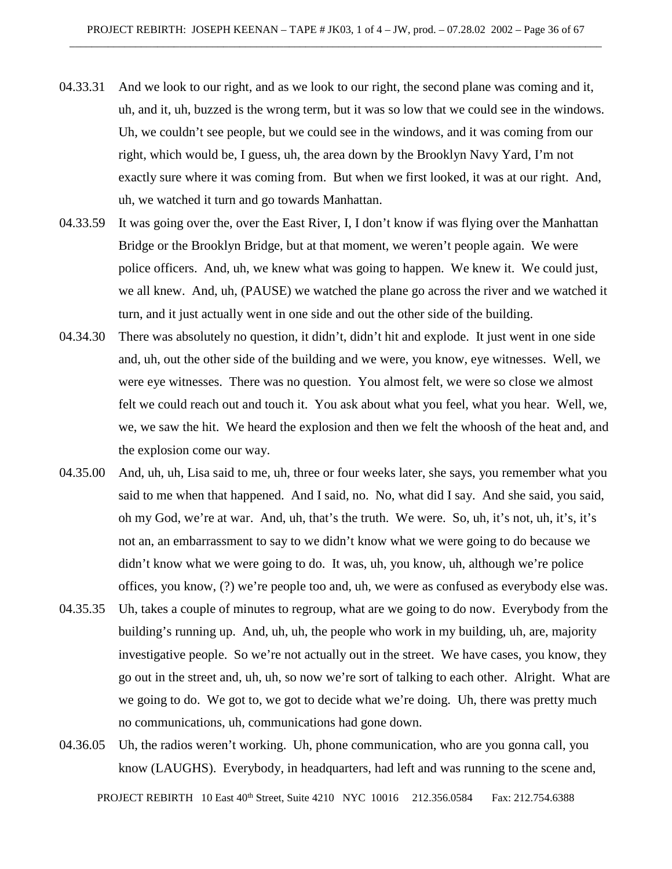- 04.33.31 And we look to our right, and as we look to our right, the second plane was coming and it, uh, and it, uh, buzzed is the wrong term, but it was so low that we could see in the windows. Uh, we couldn't see people, but we could see in the windows, and it was coming from our right, which would be, I guess, uh, the area down by the Brooklyn Navy Yard, I'm not exactly sure where it was coming from. But when we first looked, it was at our right. And, uh, we watched it turn and go towards Manhattan.
- 04.33.59 It was going over the, over the East River, I, I don't know if was flying over the Manhattan Bridge or the Brooklyn Bridge, but at that moment, we weren't people again. We were police officers. And, uh, we knew what was going to happen. We knew it. We could just, we all knew. And, uh, (PAUSE) we watched the plane go across the river and we watched it turn, and it just actually went in one side and out the other side of the building.
- 04.34.30 There was absolutely no question, it didn't, didn't hit and explode. It just went in one side and, uh, out the other side of the building and we were, you know, eye witnesses. Well, we were eye witnesses. There was no question. You almost felt, we were so close we almost felt we could reach out and touch it. You ask about what you feel, what you hear. Well, we, we, we saw the hit. We heard the explosion and then we felt the whoosh of the heat and, and the explosion come our way.
- 04.35.00 And, uh, uh, Lisa said to me, uh, three or four weeks later, she says, you remember what you said to me when that happened. And I said, no. No, what did I say. And she said, you said, oh my God, we're at war. And, uh, that's the truth. We were. So, uh, it's not, uh, it's, it's not an, an embarrassment to say to we didn't know what we were going to do because we didn't know what we were going to do. It was, uh, you know, uh, although we're police offices, you know, (?) we're people too and, uh, we were as confused as everybody else was.
- 04.35.35 Uh, takes a couple of minutes to regroup, what are we going to do now. Everybody from the building's running up. And, uh, uh, the people who work in my building, uh, are, majority investigative people. So we're not actually out in the street. We have cases, you know, they go out in the street and, uh, uh, so now we're sort of talking to each other. Alright. What are we going to do. We got to, we got to decide what we're doing. Uh, there was pretty much no communications, uh, communications had gone down.
- 04.36.05 Uh, the radios weren't working. Uh, phone communication, who are you gonna call, you know (LAUGHS). Everybody, in headquarters, had left and was running to the scene and,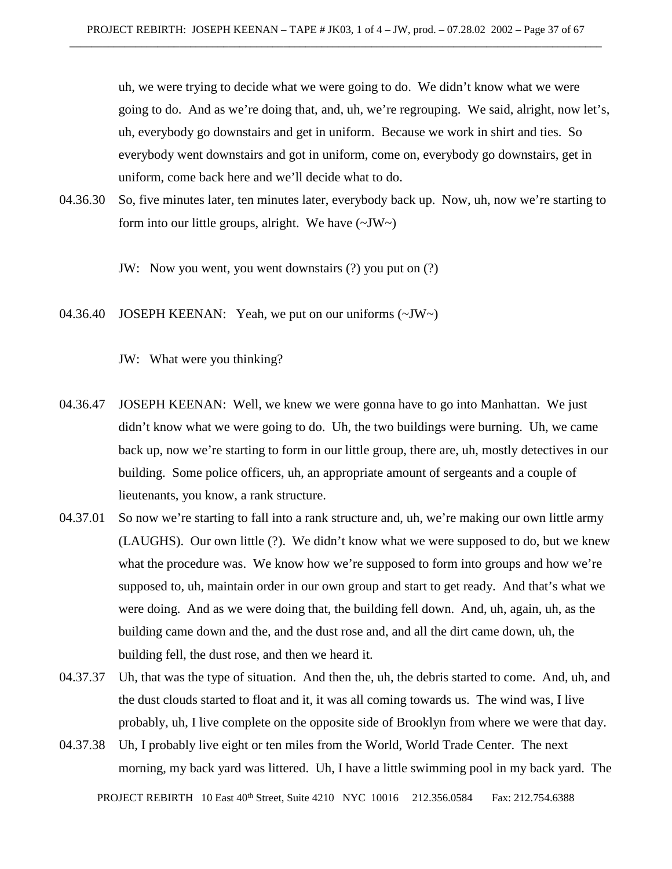uh, we were trying to decide what we were going to do. We didn't know what we were going to do. And as we're doing that, and, uh, we're regrouping. We said, alright, now let's, uh, everybody go downstairs and get in uniform. Because we work in shirt and ties. So everybody went downstairs and got in uniform, come on, everybody go downstairs, get in uniform, come back here and we'll decide what to do.

04.36.30 So, five minutes later, ten minutes later, everybody back up. Now, uh, now we're starting to form into our little groups, alright. We have  $(\sim JW \sim)$ 

JW: Now you went, you went downstairs (?) you put on (?)

04.36.40 JOSEPH KEENAN: Yeah, we put on our uniforms (~JW~)

JW: What were you thinking?

- 04.36.47 JOSEPH KEENAN: Well, we knew we were gonna have to go into Manhattan. We just didn't know what we were going to do. Uh, the two buildings were burning. Uh, we came back up, now we're starting to form in our little group, there are, uh, mostly detectives in our building. Some police officers, uh, an appropriate amount of sergeants and a couple of lieutenants, you know, a rank structure.
- 04.37.01 So now we're starting to fall into a rank structure and, uh, we're making our own little army (LAUGHS). Our own little (?). We didn't know what we were supposed to do, but we knew what the procedure was. We know how we're supposed to form into groups and how we're supposed to, uh, maintain order in our own group and start to get ready. And that's what we were doing. And as we were doing that, the building fell down. And, uh, again, uh, as the building came down and the, and the dust rose and, and all the dirt came down, uh, the building fell, the dust rose, and then we heard it.
- 04.37.37 Uh, that was the type of situation. And then the, uh, the debris started to come. And, uh, and the dust clouds started to float and it, it was all coming towards us. The wind was, I live probably, uh, I live complete on the opposite side of Brooklyn from where we were that day.
- PROJECT REBIRTH 10 East 40<sup>th</sup> Street, Suite 4210 NYC 10016 212.356.0584 Fax: 212.754.6388 04.37.38 Uh, I probably live eight or ten miles from the World, World Trade Center. The next morning, my back yard was littered. Uh, I have a little swimming pool in my back yard. The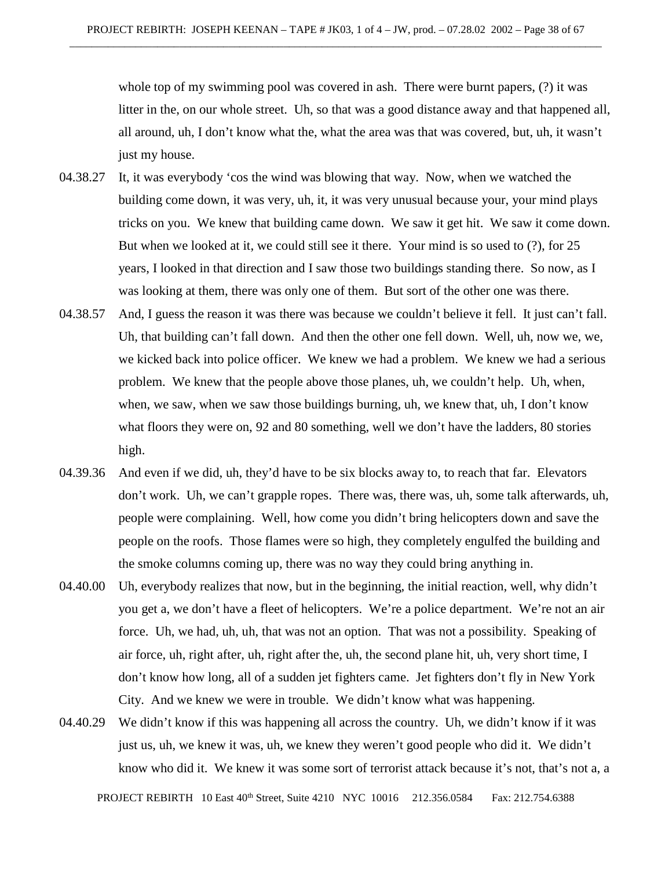whole top of my swimming pool was covered in ash. There were burnt papers, (?) it was litter in the, on our whole street. Uh, so that was a good distance away and that happened all, all around, uh, I don't know what the, what the area was that was covered, but, uh, it wasn't just my house.

- 04.38.27 It, it was everybody 'cos the wind was blowing that way. Now, when we watched the building come down, it was very, uh, it, it was very unusual because your, your mind plays tricks on you. We knew that building came down. We saw it get hit. We saw it come down. But when we looked at it, we could still see it there. Your mind is so used to (?), for 25 years, I looked in that direction and I saw those two buildings standing there. So now, as I was looking at them, there was only one of them. But sort of the other one was there.
- 04.38.57 And, I guess the reason it was there was because we couldn't believe it fell. It just can't fall. Uh, that building can't fall down. And then the other one fell down. Well, uh, now we, we, we kicked back into police officer. We knew we had a problem. We knew we had a serious problem. We knew that the people above those planes, uh, we couldn't help. Uh, when, when, we saw, when we saw those buildings burning, uh, we knew that, uh, I don't know what floors they were on, 92 and 80 something, well we don't have the ladders, 80 stories high.
- 04.39.36 And even if we did, uh, they'd have to be six blocks away to, to reach that far. Elevators don't work. Uh, we can't grapple ropes. There was, there was, uh, some talk afterwards, uh, people were complaining. Well, how come you didn't bring helicopters down and save the people on the roofs. Those flames were so high, they completely engulfed the building and the smoke columns coming up, there was no way they could bring anything in.
- 04.40.00 Uh, everybody realizes that now, but in the beginning, the initial reaction, well, why didn't you get a, we don't have a fleet of helicopters. We're a police department. We're not an air force. Uh, we had, uh, uh, that was not an option. That was not a possibility. Speaking of air force, uh, right after, uh, right after the, uh, the second plane hit, uh, very short time, I don't know how long, all of a sudden jet fighters came. Jet fighters don't fly in New York City. And we knew we were in trouble. We didn't know what was happening.
- 04.40.29 We didn't know if this was happening all across the country. Uh, we didn't know if it was just us, uh, we knew it was, uh, we knew they weren't good people who did it. We didn't know who did it. We knew it was some sort of terrorist attack because it's not, that's not a, a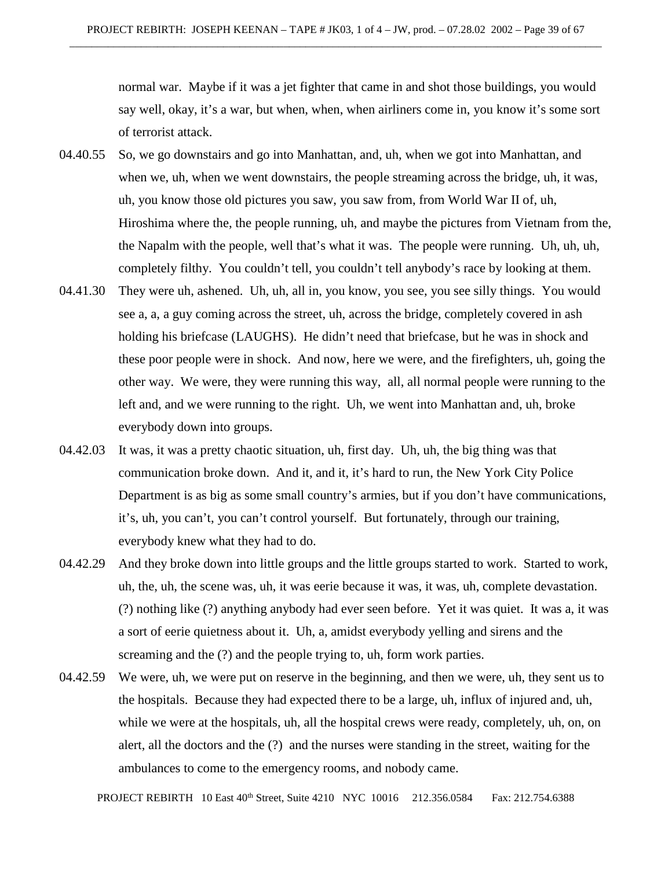normal war. Maybe if it was a jet fighter that came in and shot those buildings, you would say well, okay, it's a war, but when, when, when airliners come in, you know it's some sort of terrorist attack.

- 04.40.55 So, we go downstairs and go into Manhattan, and, uh, when we got into Manhattan, and when we, uh, when we went downstairs, the people streaming across the bridge, uh, it was, uh, you know those old pictures you saw, you saw from, from World War II of, uh, Hiroshima where the, the people running, uh, and maybe the pictures from Vietnam from the, the Napalm with the people, well that's what it was. The people were running. Uh, uh, uh, completely filthy. You couldn't tell, you couldn't tell anybody's race by looking at them.
- 04.41.30 They were uh, ashened. Uh, uh, all in, you know, you see, you see silly things. You would see a, a, a guy coming across the street, uh, across the bridge, completely covered in ash holding his briefcase (LAUGHS). He didn't need that briefcase, but he was in shock and these poor people were in shock. And now, here we were, and the firefighters, uh, going the other way. We were, they were running this way, all, all normal people were running to the left and, and we were running to the right. Uh, we went into Manhattan and, uh, broke everybody down into groups.
- 04.42.03 It was, it was a pretty chaotic situation, uh, first day. Uh, uh, the big thing was that communication broke down. And it, and it, it's hard to run, the New York City Police Department is as big as some small country's armies, but if you don't have communications, it's, uh, you can't, you can't control yourself. But fortunately, through our training, everybody knew what they had to do.
- 04.42.29 And they broke down into little groups and the little groups started to work. Started to work, uh, the, uh, the scene was, uh, it was eerie because it was, it was, uh, complete devastation. (?) nothing like (?) anything anybody had ever seen before. Yet it was quiet. It was a, it was a sort of eerie quietness about it. Uh, a, amidst everybody yelling and sirens and the screaming and the  $(?)$  and the people trying to, uh, form work parties.
- 04.42.59 We were, uh, we were put on reserve in the beginning, and then we were, uh, they sent us to the hospitals. Because they had expected there to be a large, uh, influx of injured and, uh, while we were at the hospitals, uh, all the hospital crews were ready, completely, uh, on, on alert, all the doctors and the (?) and the nurses were standing in the street, waiting for the ambulances to come to the emergency rooms, and nobody came.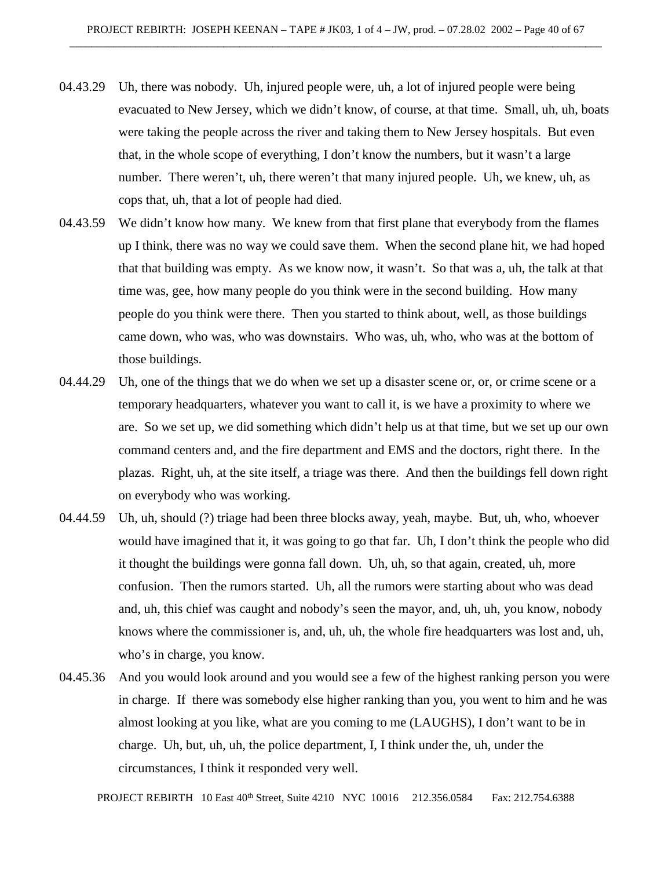- 04.43.29 Uh, there was nobody. Uh, injured people were, uh, a lot of injured people were being evacuated to New Jersey, which we didn't know, of course, at that time. Small, uh, uh, boats were taking the people across the river and taking them to New Jersey hospitals. But even that, in the whole scope of everything, I don't know the numbers, but it wasn't a large number. There weren't, uh, there weren't that many injured people. Uh, we knew, uh, as cops that, uh, that a lot of people had died.
- 04.43.59 We didn't know how many. We knew from that first plane that everybody from the flames up I think, there was no way we could save them. When the second plane hit, we had hoped that that building was empty. As we know now, it wasn't. So that was a, uh, the talk at that time was, gee, how many people do you think were in the second building. How many people do you think were there. Then you started to think about, well, as those buildings came down, who was, who was downstairs. Who was, uh, who, who was at the bottom of those buildings.
- 04.44.29 Uh, one of the things that we do when we set up a disaster scene or, or, or crime scene or a temporary headquarters, whatever you want to call it, is we have a proximity to where we are. So we set up, we did something which didn't help us at that time, but we set up our own command centers and, and the fire department and EMS and the doctors, right there. In the plazas. Right, uh, at the site itself, a triage was there. And then the buildings fell down right on everybody who was working.
- 04.44.59 Uh, uh, should (?) triage had been three blocks away, yeah, maybe. But, uh, who, whoever would have imagined that it, it was going to go that far. Uh, I don't think the people who did it thought the buildings were gonna fall down. Uh, uh, so that again, created, uh, more confusion. Then the rumors started. Uh, all the rumors were starting about who was dead and, uh, this chief was caught and nobody's seen the mayor, and, uh, uh, you know, nobody knows where the commissioner is, and, uh, uh, the whole fire headquarters was lost and, uh, who's in charge, you know.
- 04.45.36 And you would look around and you would see a few of the highest ranking person you were in charge. If there was somebody else higher ranking than you, you went to him and he was almost looking at you like, what are you coming to me (LAUGHS), I don't want to be in charge. Uh, but, uh, uh, the police department, I, I think under the, uh, under the circumstances, I think it responded very well.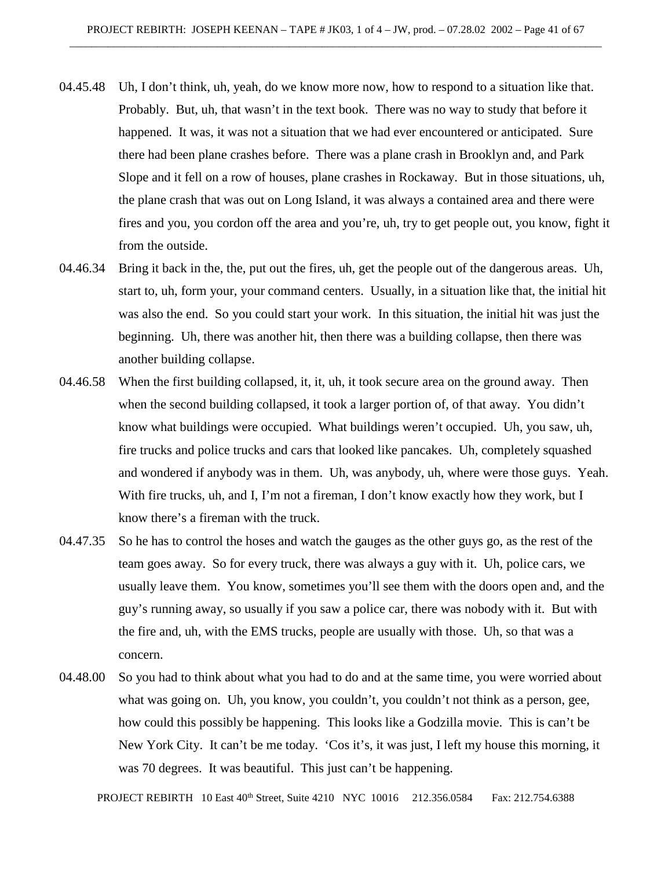- 04.45.48 Uh, I don't think, uh, yeah, do we know more now, how to respond to a situation like that. Probably. But, uh, that wasn't in the text book. There was no way to study that before it happened. It was, it was not a situation that we had ever encountered or anticipated. Sure there had been plane crashes before. There was a plane crash in Brooklyn and, and Park Slope and it fell on a row of houses, plane crashes in Rockaway. But in those situations, uh, the plane crash that was out on Long Island, it was always a contained area and there were fires and you, you cordon off the area and you're, uh, try to get people out, you know, fight it from the outside.
- 04.46.34 Bring it back in the, the, put out the fires, uh, get the people out of the dangerous areas. Uh, start to, uh, form your, your command centers. Usually, in a situation like that, the initial hit was also the end. So you could start your work. In this situation, the initial hit was just the beginning. Uh, there was another hit, then there was a building collapse, then there was another building collapse.
- 04.46.58 When the first building collapsed, it, it, uh, it took secure area on the ground away. Then when the second building collapsed, it took a larger portion of, of that away. You didn't know what buildings were occupied. What buildings weren't occupied. Uh, you saw, uh, fire trucks and police trucks and cars that looked like pancakes. Uh, completely squashed and wondered if anybody was in them. Uh, was anybody, uh, where were those guys. Yeah. With fire trucks, uh, and I, I'm not a fireman, I don't know exactly how they work, but I know there's a fireman with the truck.
- 04.47.35 So he has to control the hoses and watch the gauges as the other guys go, as the rest of the team goes away. So for every truck, there was always a guy with it. Uh, police cars, we usually leave them. You know, sometimes you'll see them with the doors open and, and the guy's running away, so usually if you saw a police car, there was nobody with it. But with the fire and, uh, with the EMS trucks, people are usually with those. Uh, so that was a concern.
- 04.48.00 So you had to think about what you had to do and at the same time, you were worried about what was going on. Uh, you know, you couldn't, you couldn't not think as a person, gee, how could this possibly be happening. This looks like a Godzilla movie. This is can't be New York City. It can't be me today. 'Cos it's, it was just, I left my house this morning, it was 70 degrees. It was beautiful. This just can't be happening.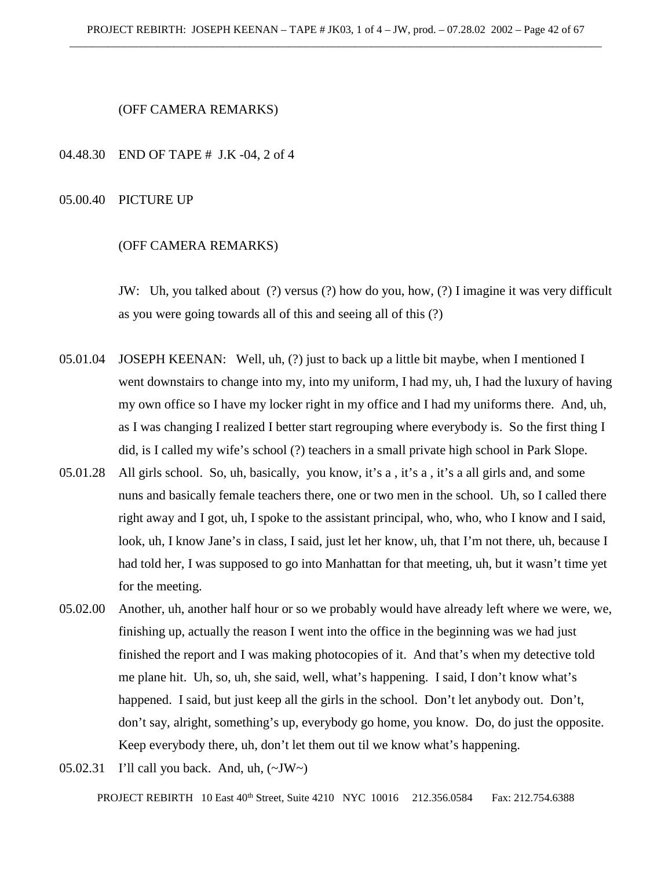#### (OFF CAMERA REMARKS)

#### 04.48.30 END OF TAPE # J.K -04, 2 of 4

#### 05.00.40 PICTURE UP

#### (OFF CAMERA REMARKS)

JW: Uh, you talked about (?) versus (?) how do you, how, (?) I imagine it was very difficult as you were going towards all of this and seeing all of this (?)

- 05.01.04 JOSEPH KEENAN: Well, uh, (?) just to back up a little bit maybe, when I mentioned I went downstairs to change into my, into my uniform, I had my, uh, I had the luxury of having my own office so I have my locker right in my office and I had my uniforms there. And, uh, as I was changing I realized I better start regrouping where everybody is. So the first thing I did, is I called my wife's school (?) teachers in a small private high school in Park Slope.
- 05.01.28 All girls school. So, uh, basically, you know, it's a , it's a , it's a all girls and, and some nuns and basically female teachers there, one or two men in the school. Uh, so I called there right away and I got, uh, I spoke to the assistant principal, who, who, who I know and I said, look, uh, I know Jane's in class, I said, just let her know, uh, that I'm not there, uh, because I had told her, I was supposed to go into Manhattan for that meeting, uh, but it wasn't time yet for the meeting.
- 05.02.00 Another, uh, another half hour or so we probably would have already left where we were, we, finishing up, actually the reason I went into the office in the beginning was we had just finished the report and I was making photocopies of it. And that's when my detective told me plane hit. Uh, so, uh, she said, well, what's happening. I said, I don't know what's happened. I said, but just keep all the girls in the school. Don't let anybody out. Don't, don't say, alright, something's up, everybody go home, you know. Do, do just the opposite. Keep everybody there, uh, don't let them out til we know what's happening.
- 05.02.31 I'll call you back. And, uh,  $(\sim JW)$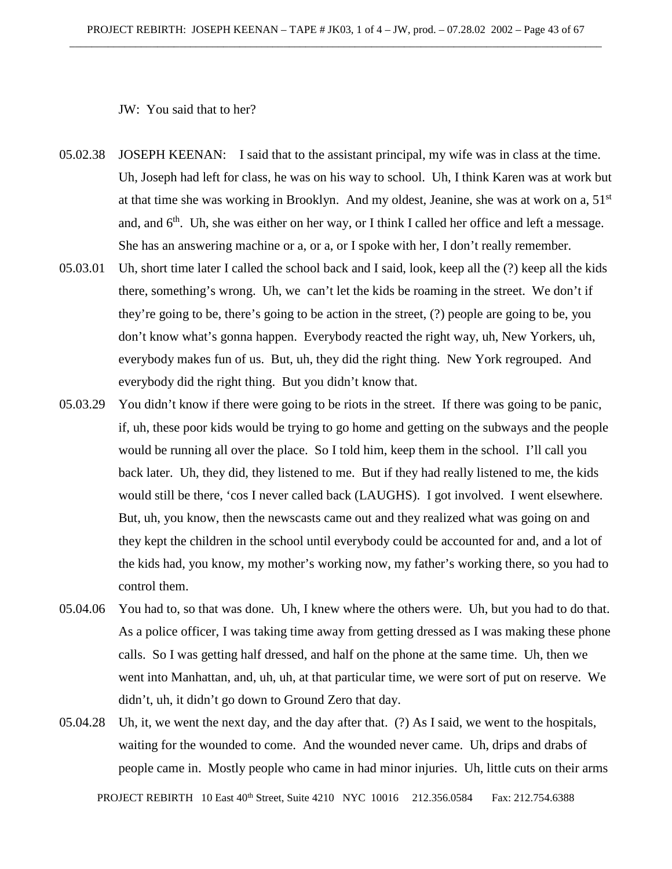JW: You said that to her?

- 05.02.38 JOSEPH KEENAN: I said that to the assistant principal, my wife was in class at the time. Uh, Joseph had left for class, he was on his way to school. Uh, I think Karen was at work but at that time she was working in Brooklyn. And my oldest, Jeanine, she was at work on a,  $51<sup>st</sup>$ and, and  $6<sup>th</sup>$ . Uh, she was either on her way, or I think I called her office and left a message. She has an answering machine or a, or a, or I spoke with her, I don't really remember.
- 05.03.01 Uh, short time later I called the school back and I said, look, keep all the (?) keep all the kids there, something's wrong. Uh, we can't let the kids be roaming in the street. We don't if they're going to be, there's going to be action in the street, (?) people are going to be, you don't know what's gonna happen. Everybody reacted the right way, uh, New Yorkers, uh, everybody makes fun of us. But, uh, they did the right thing. New York regrouped. And everybody did the right thing. But you didn't know that.
- 05.03.29 You didn't know if there were going to be riots in the street. If there was going to be panic, if, uh, these poor kids would be trying to go home and getting on the subways and the people would be running all over the place. So I told him, keep them in the school. I'll call you back later. Uh, they did, they listened to me. But if they had really listened to me, the kids would still be there, 'cos I never called back (LAUGHS). I got involved. I went elsewhere. But, uh, you know, then the newscasts came out and they realized what was going on and they kept the children in the school until everybody could be accounted for and, and a lot of the kids had, you know, my mother's working now, my father's working there, so you had to control them.
- 05.04.06 You had to, so that was done. Uh, I knew where the others were. Uh, but you had to do that. As a police officer, I was taking time away from getting dressed as I was making these phone calls. So I was getting half dressed, and half on the phone at the same time. Uh, then we went into Manhattan, and, uh, uh, at that particular time, we were sort of put on reserve. We didn't, uh, it didn't go down to Ground Zero that day.
- 05.04.28 Uh, it, we went the next day, and the day after that. (?) As I said, we went to the hospitals, waiting for the wounded to come. And the wounded never came. Uh, drips and drabs of people came in. Mostly people who came in had minor injuries. Uh, little cuts on their arms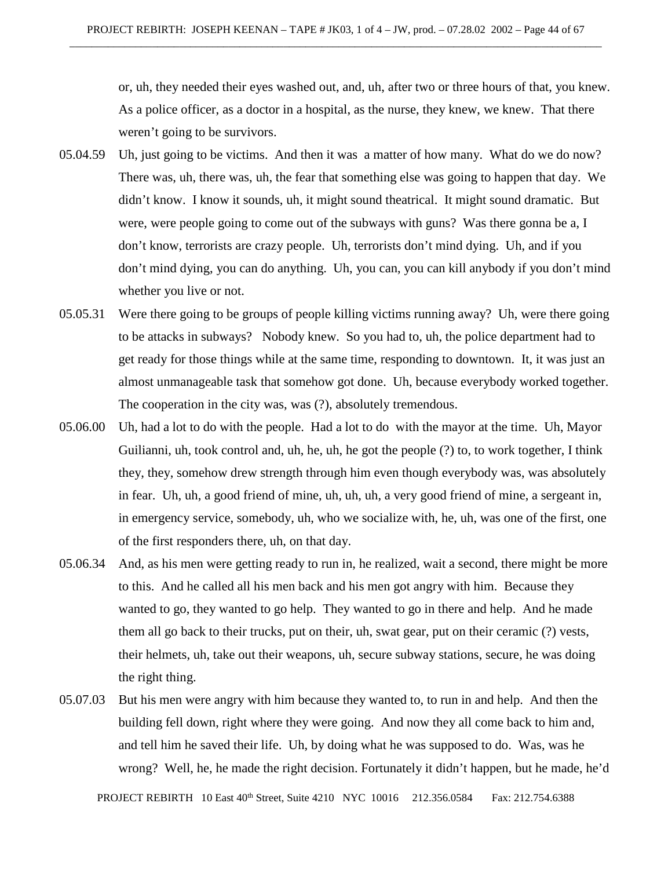or, uh, they needed their eyes washed out, and, uh, after two or three hours of that, you knew. As a police officer, as a doctor in a hospital, as the nurse, they knew, we knew. That there weren't going to be survivors.

- 05.04.59 Uh, just going to be victims. And then it was a matter of how many. What do we do now? There was, uh, there was, uh, the fear that something else was going to happen that day. We didn't know. I know it sounds, uh, it might sound theatrical. It might sound dramatic. But were, were people going to come out of the subways with guns? Was there gonna be a, I don't know, terrorists are crazy people. Uh, terrorists don't mind dying. Uh, and if you don't mind dying, you can do anything. Uh, you can, you can kill anybody if you don't mind whether you live or not.
- 05.05.31 Were there going to be groups of people killing victims running away? Uh, were there going to be attacks in subways? Nobody knew. So you had to, uh, the police department had to get ready for those things while at the same time, responding to downtown. It, it was just an almost unmanageable task that somehow got done. Uh, because everybody worked together. The cooperation in the city was, was (?), absolutely tremendous.
- 05.06.00 Uh, had a lot to do with the people. Had a lot to do with the mayor at the time. Uh, Mayor Guilianni, uh, took control and, uh, he, uh, he got the people (?) to, to work together, I think they, they, somehow drew strength through him even though everybody was, was absolutely in fear. Uh, uh, a good friend of mine, uh, uh, uh, a very good friend of mine, a sergeant in, in emergency service, somebody, uh, who we socialize with, he, uh, was one of the first, one of the first responders there, uh, on that day.
- 05.06.34 And, as his men were getting ready to run in, he realized, wait a second, there might be more to this. And he called all his men back and his men got angry with him. Because they wanted to go, they wanted to go help. They wanted to go in there and help. And he made them all go back to their trucks, put on their, uh, swat gear, put on their ceramic (?) vests, their helmets, uh, take out their weapons, uh, secure subway stations, secure, he was doing the right thing.
- 05.07.03 But his men were angry with him because they wanted to, to run in and help. And then the building fell down, right where they were going. And now they all come back to him and, and tell him he saved their life. Uh, by doing what he was supposed to do. Was, was he wrong? Well, he, he made the right decision. Fortunately it didn't happen, but he made, he'd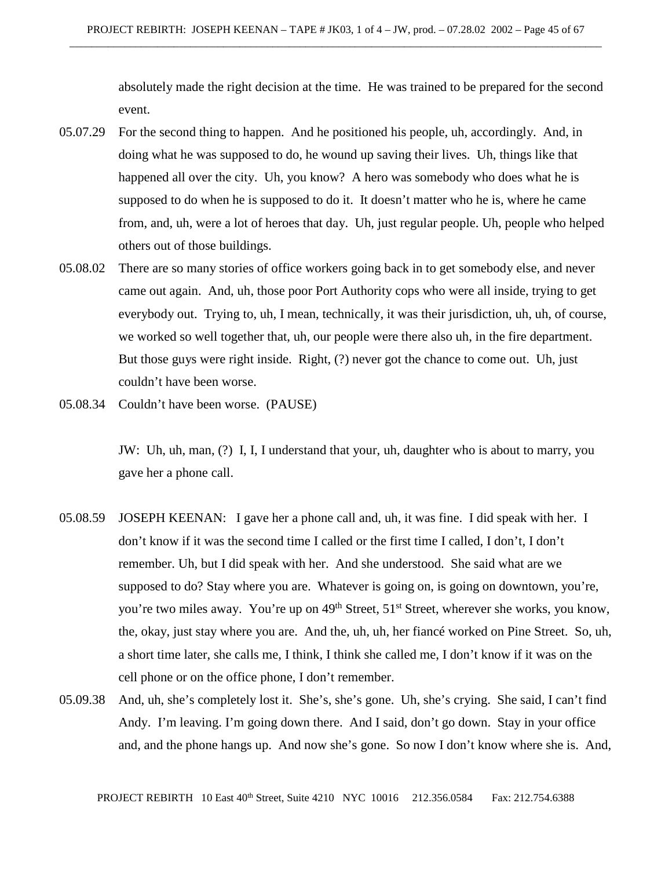absolutely made the right decision at the time. He was trained to be prepared for the second event.

- 05.07.29 For the second thing to happen. And he positioned his people, uh, accordingly. And, in doing what he was supposed to do, he wound up saving their lives. Uh, things like that happened all over the city. Uh, you know? A hero was somebody who does what he is supposed to do when he is supposed to do it. It doesn't matter who he is, where he came from, and, uh, were a lot of heroes that day. Uh, just regular people. Uh, people who helped others out of those buildings.
- 05.08.02 There are so many stories of office workers going back in to get somebody else, and never came out again. And, uh, those poor Port Authority cops who were all inside, trying to get everybody out. Trying to, uh, I mean, technically, it was their jurisdiction, uh, uh, of course, we worked so well together that, uh, our people were there also uh, in the fire department. But those guys were right inside. Right, (?) never got the chance to come out. Uh, just couldn't have been worse.
- 05.08.34 Couldn't have been worse. (PAUSE)

JW: Uh, uh, man, (?) I, I, I understand that your, uh, daughter who is about to marry, you gave her a phone call.

- 05.08.59 JOSEPH KEENAN: I gave her a phone call and, uh, it was fine. I did speak with her. I don't know if it was the second time I called or the first time I called, I don't, I don't remember. Uh, but I did speak with her. And she understood. She said what are we supposed to do? Stay where you are. Whatever is going on, is going on downtown, you're, you're two miles away. You're up on  $49<sup>th</sup>$  Street, 51<sup>st</sup> Street, wherever she works, you know, the, okay, just stay where you are. And the, uh, uh, her fiancé worked on Pine Street. So, uh, a short time later, she calls me, I think, I think she called me, I don't know if it was on the cell phone or on the office phone, I don't remember.
- 05.09.38 And, uh, she's completely lost it. She's, she's gone. Uh, she's crying. She said, I can't find Andy. I'm leaving. I'm going down there. And I said, don't go down. Stay in your office and, and the phone hangs up. And now she's gone. So now I don't know where she is. And,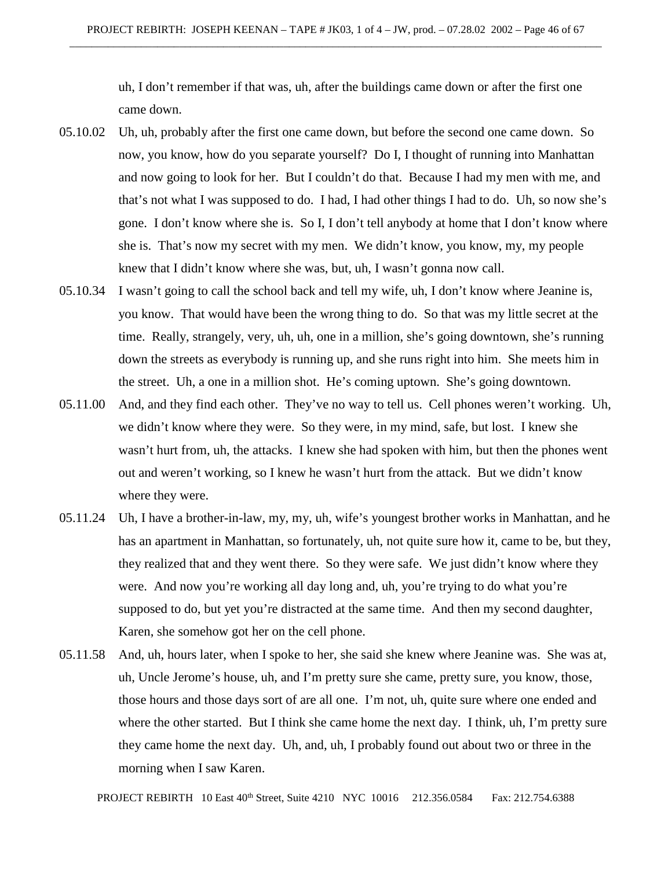uh, I don't remember if that was, uh, after the buildings came down or after the first one came down.

- 05.10.02 Uh, uh, probably after the first one came down, but before the second one came down. So now, you know, how do you separate yourself? Do I, I thought of running into Manhattan and now going to look for her. But I couldn't do that. Because I had my men with me, and that's not what I was supposed to do. I had, I had other things I had to do. Uh, so now she's gone. I don't know where she is. So I, I don't tell anybody at home that I don't know where she is. That's now my secret with my men. We didn't know, you know, my, my people knew that I didn't know where she was, but, uh, I wasn't gonna now call.
- 05.10.34 I wasn't going to call the school back and tell my wife, uh, I don't know where Jeanine is, you know. That would have been the wrong thing to do. So that was my little secret at the time. Really, strangely, very, uh, uh, one in a million, she's going downtown, she's running down the streets as everybody is running up, and she runs right into him. She meets him in the street. Uh, a one in a million shot. He's coming uptown. She's going downtown.
- 05.11.00 And, and they find each other. They've no way to tell us. Cell phones weren't working. Uh, we didn't know where they were. So they were, in my mind, safe, but lost. I knew she wasn't hurt from, uh, the attacks. I knew she had spoken with him, but then the phones went out and weren't working, so I knew he wasn't hurt from the attack. But we didn't know where they were.
- 05.11.24 Uh, I have a brother-in-law, my, my, uh, wife's youngest brother works in Manhattan, and he has an apartment in Manhattan, so fortunately, uh, not quite sure how it, came to be, but they, they realized that and they went there. So they were safe. We just didn't know where they were. And now you're working all day long and, uh, you're trying to do what you're supposed to do, but yet you're distracted at the same time. And then my second daughter, Karen, she somehow got her on the cell phone.
- 05.11.58 And, uh, hours later, when I spoke to her, she said she knew where Jeanine was. She was at, uh, Uncle Jerome's house, uh, and I'm pretty sure she came, pretty sure, you know, those, those hours and those days sort of are all one. I'm not, uh, quite sure where one ended and where the other started. But I think she came home the next day. I think, uh, I'm pretty sure they came home the next day. Uh, and, uh, I probably found out about two or three in the morning when I saw Karen.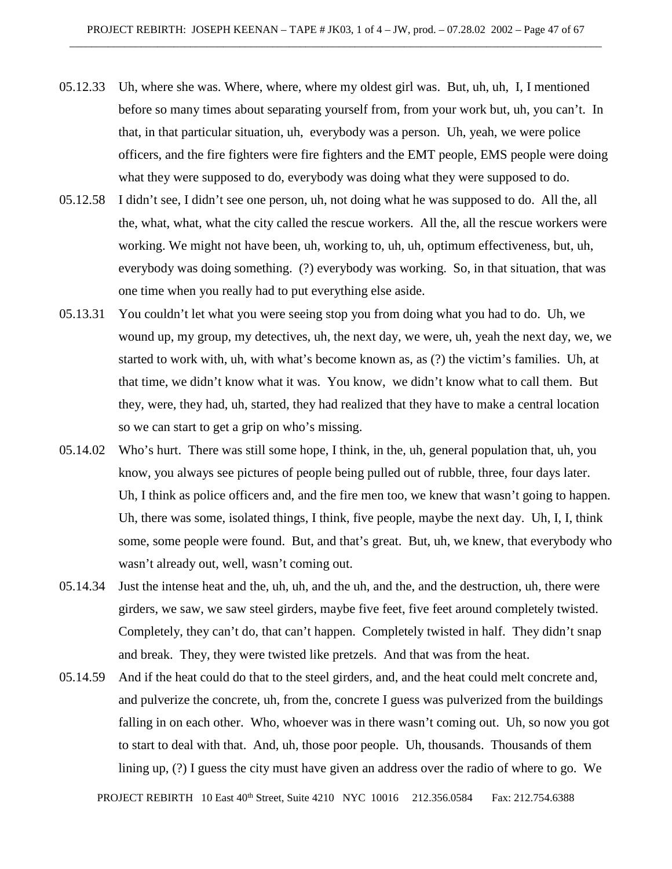- 05.12.33 Uh, where she was. Where, where, where my oldest girl was. But, uh, uh, I, I mentioned before so many times about separating yourself from, from your work but, uh, you can't. In that, in that particular situation, uh, everybody was a person. Uh, yeah, we were police officers, and the fire fighters were fire fighters and the EMT people, EMS people were doing what they were supposed to do, everybody was doing what they were supposed to do.
- 05.12.58 I didn't see, I didn't see one person, uh, not doing what he was supposed to do. All the, all the, what, what, what the city called the rescue workers. All the, all the rescue workers were working. We might not have been, uh, working to, uh, uh, optimum effectiveness, but, uh, everybody was doing something. (?) everybody was working. So, in that situation, that was one time when you really had to put everything else aside.
- 05.13.31 You couldn't let what you were seeing stop you from doing what you had to do. Uh, we wound up, my group, my detectives, uh, the next day, we were, uh, yeah the next day, we, we started to work with, uh, with what's become known as, as (?) the victim's families. Uh, at that time, we didn't know what it was. You know, we didn't know what to call them. But they, were, they had, uh, started, they had realized that they have to make a central location so we can start to get a grip on who's missing.
- 05.14.02 Who's hurt. There was still some hope, I think, in the, uh, general population that, uh, you know, you always see pictures of people being pulled out of rubble, three, four days later. Uh, I think as police officers and, and the fire men too, we knew that wasn't going to happen. Uh, there was some, isolated things, I think, five people, maybe the next day. Uh, I, I, think some, some people were found. But, and that's great. But, uh, we knew, that everybody who wasn't already out, well, wasn't coming out.
- 05.14.34 Just the intense heat and the, uh, uh, and the uh, and the, and the destruction, uh, there were girders, we saw, we saw steel girders, maybe five feet, five feet around completely twisted. Completely, they can't do, that can't happen. Completely twisted in half. They didn't snap and break. They, they were twisted like pretzels. And that was from the heat.
- 05.14.59 And if the heat could do that to the steel girders, and, and the heat could melt concrete and, and pulverize the concrete, uh, from the, concrete I guess was pulverized from the buildings falling in on each other. Who, whoever was in there wasn't coming out. Uh, so now you got to start to deal with that. And, uh, those poor people. Uh, thousands. Thousands of them lining up, (?) I guess the city must have given an address over the radio of where to go. We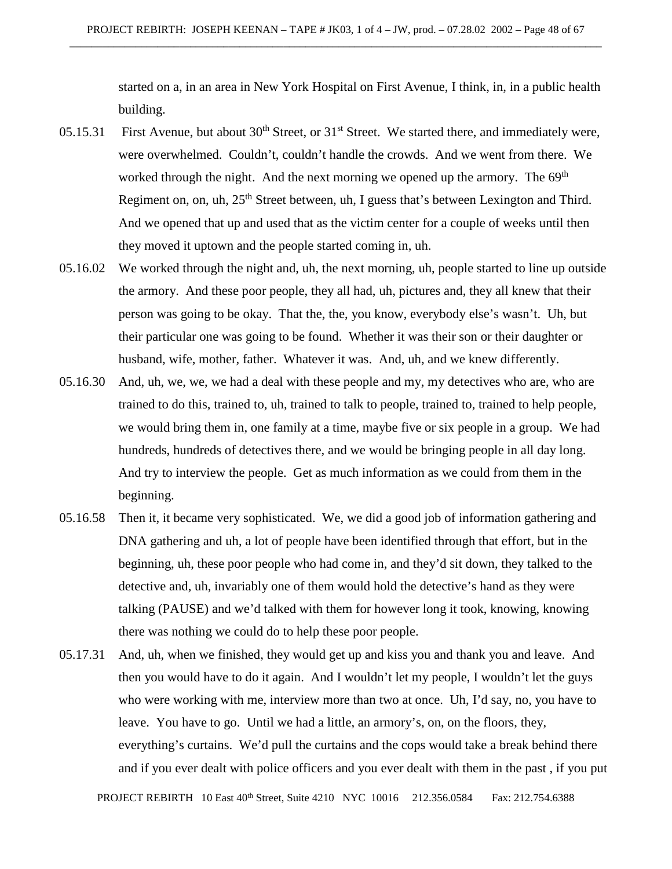started on a, in an area in New York Hospital on First Avenue, I think, in, in a public health building.

- 05.15.31 First Avenue, but about 30<sup>th</sup> Street, or 31<sup>st</sup> Street. We started there, and immediately were, were overwhelmed. Couldn't, couldn't handle the crowds. And we went from there. We worked through the night. And the next morning we opened up the armory. The  $69<sup>th</sup>$ Regiment on, on, uh,  $25<sup>th</sup>$  Street between, uh, I guess that's between Lexington and Third. And we opened that up and used that as the victim center for a couple of weeks until then they moved it uptown and the people started coming in, uh.
- 05.16.02 We worked through the night and, uh, the next morning, uh, people started to line up outside the armory. And these poor people, they all had, uh, pictures and, they all knew that their person was going to be okay. That the, the, you know, everybody else's wasn't. Uh, but their particular one was going to be found. Whether it was their son or their daughter or husband, wife, mother, father. Whatever it was. And, uh, and we knew differently.
- 05.16.30 And, uh, we, we, we had a deal with these people and my, my detectives who are, who are trained to do this, trained to, uh, trained to talk to people, trained to, trained to help people, we would bring them in, one family at a time, maybe five or six people in a group. We had hundreds, hundreds of detectives there, and we would be bringing people in all day long. And try to interview the people. Get as much information as we could from them in the beginning.
- 05.16.58 Then it, it became very sophisticated. We, we did a good job of information gathering and DNA gathering and uh, a lot of people have been identified through that effort, but in the beginning, uh, these poor people who had come in, and they'd sit down, they talked to the detective and, uh, invariably one of them would hold the detective's hand as they were talking (PAUSE) and we'd talked with them for however long it took, knowing, knowing there was nothing we could do to help these poor people.
- 05.17.31 And, uh, when we finished, they would get up and kiss you and thank you and leave. And then you would have to do it again. And I wouldn't let my people, I wouldn't let the guys who were working with me, interview more than two at once. Uh, I'd say, no, you have to leave. You have to go. Until we had a little, an armory's, on, on the floors, they, everything's curtains. We'd pull the curtains and the cops would take a break behind there and if you ever dealt with police officers and you ever dealt with them in the past , if you put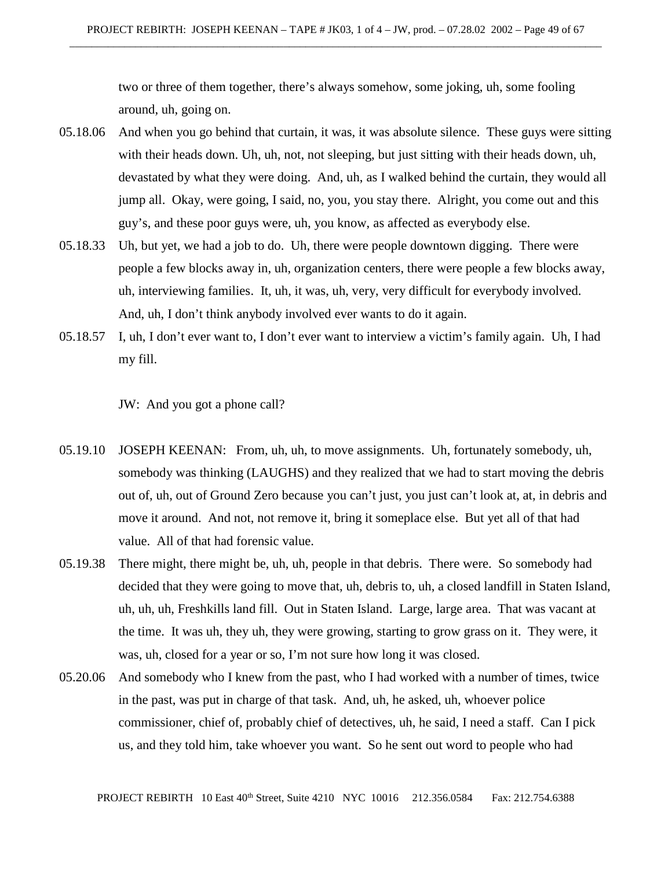two or three of them together, there's always somehow, some joking, uh, some fooling around, uh, going on.

- 05.18.06 And when you go behind that curtain, it was, it was absolute silence. These guys were sitting with their heads down. Uh, uh, not, not sleeping, but just sitting with their heads down, uh, devastated by what they were doing. And, uh, as I walked behind the curtain, they would all jump all. Okay, were going, I said, no, you, you stay there. Alright, you come out and this guy's, and these poor guys were, uh, you know, as affected as everybody else.
- 05.18.33 Uh, but yet, we had a job to do. Uh, there were people downtown digging. There were people a few blocks away in, uh, organization centers, there were people a few blocks away, uh, interviewing families. It, uh, it was, uh, very, very difficult for everybody involved. And, uh, I don't think anybody involved ever wants to do it again.
- 05.18.57 I, uh, I don't ever want to, I don't ever want to interview a victim's family again. Uh, I had my fill.

JW: And you got a phone call?

- 05.19.10 JOSEPH KEENAN: From, uh, uh, to move assignments. Uh, fortunately somebody, uh, somebody was thinking (LAUGHS) and they realized that we had to start moving the debris out of, uh, out of Ground Zero because you can't just, you just can't look at, at, in debris and move it around. And not, not remove it, bring it someplace else. But yet all of that had value. All of that had forensic value.
- 05.19.38 There might, there might be, uh, uh, people in that debris. There were. So somebody had decided that they were going to move that, uh, debris to, uh, a closed landfill in Staten Island, uh, uh, uh, Freshkills land fill. Out in Staten Island. Large, large area. That was vacant at the time. It was uh, they uh, they were growing, starting to grow grass on it. They were, it was, uh, closed for a year or so, I'm not sure how long it was closed.
- 05.20.06 And somebody who I knew from the past, who I had worked with a number of times, twice in the past, was put in charge of that task. And, uh, he asked, uh, whoever police commissioner, chief of, probably chief of detectives, uh, he said, I need a staff. Can I pick us, and they told him, take whoever you want. So he sent out word to people who had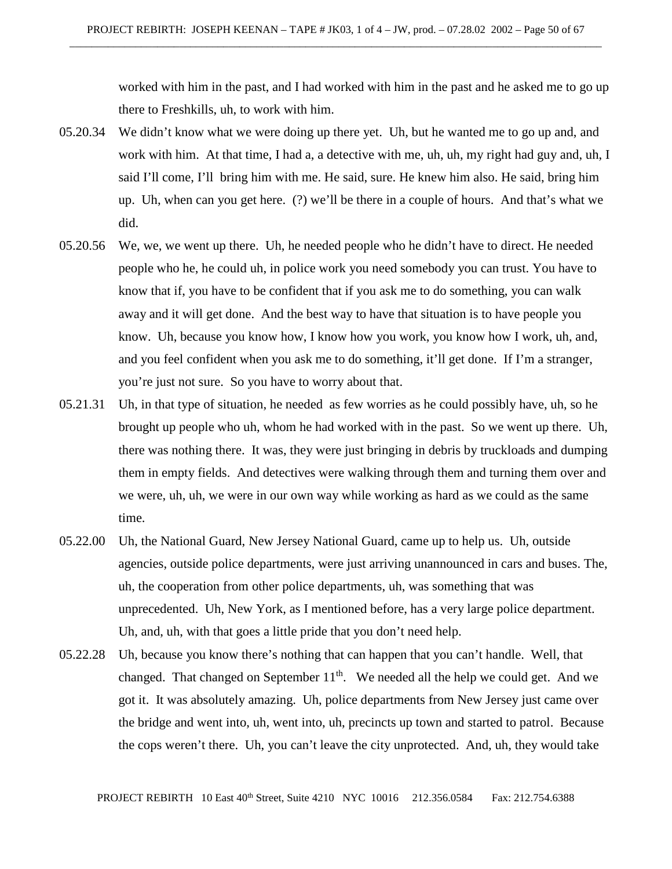worked with him in the past, and I had worked with him in the past and he asked me to go up there to Freshkills, uh, to work with him.

- 05.20.34 We didn't know what we were doing up there yet. Uh, but he wanted me to go up and, and work with him. At that time, I had a, a detective with me, uh, uh, my right had guy and, uh, I said I'll come, I'll bring him with me. He said, sure. He knew him also. He said, bring him up. Uh, when can you get here. (?) we'll be there in a couple of hours. And that's what we did.
- 05.20.56 We, we, we went up there. Uh, he needed people who he didn't have to direct. He needed people who he, he could uh, in police work you need somebody you can trust. You have to know that if, you have to be confident that if you ask me to do something, you can walk away and it will get done. And the best way to have that situation is to have people you know. Uh, because you know how, I know how you work, you know how I work, uh, and, and you feel confident when you ask me to do something, it'll get done. If I'm a stranger, you're just not sure. So you have to worry about that.
- 05.21.31 Uh, in that type of situation, he needed as few worries as he could possibly have, uh, so he brought up people who uh, whom he had worked with in the past. So we went up there. Uh, there was nothing there. It was, they were just bringing in debris by truckloads and dumping them in empty fields. And detectives were walking through them and turning them over and we were, uh, uh, we were in our own way while working as hard as we could as the same time.
- 05.22.00 Uh, the National Guard, New Jersey National Guard, came up to help us. Uh, outside agencies, outside police departments, were just arriving unannounced in cars and buses. The, uh, the cooperation from other police departments, uh, was something that was unprecedented. Uh, New York, as I mentioned before, has a very large police department. Uh, and, uh, with that goes a little pride that you don't need help.
- 05.22.28 Uh, because you know there's nothing that can happen that you can't handle. Well, that changed. That changed on September  $11<sup>th</sup>$ . We needed all the help we could get. And we got it. It was absolutely amazing. Uh, police departments from New Jersey just came over the bridge and went into, uh, went into, uh, precincts up town and started to patrol. Because the cops weren't there. Uh, you can't leave the city unprotected. And, uh, they would take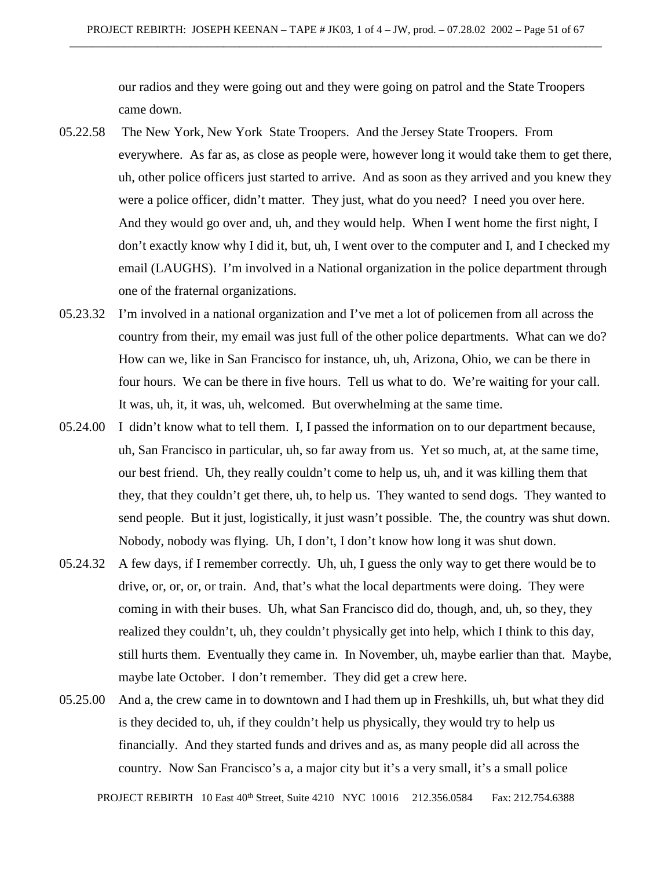our radios and they were going out and they were going on patrol and the State Troopers came down.

- 05.22.58 The New York, New York State Troopers. And the Jersey State Troopers. From everywhere. As far as, as close as people were, however long it would take them to get there, uh, other police officers just started to arrive. And as soon as they arrived and you knew they were a police officer, didn't matter. They just, what do you need? I need you over here. And they would go over and, uh, and they would help. When I went home the first night, I don't exactly know why I did it, but, uh, I went over to the computer and I, and I checked my email (LAUGHS). I'm involved in a National organization in the police department through one of the fraternal organizations.
- 05.23.32 I'm involved in a national organization and I've met a lot of policemen from all across the country from their, my email was just full of the other police departments. What can we do? How can we, like in San Francisco for instance, uh, uh, Arizona, Ohio, we can be there in four hours. We can be there in five hours. Tell us what to do. We're waiting for your call. It was, uh, it, it was, uh, welcomed. But overwhelming at the same time.
- 05.24.00 I didn't know what to tell them. I, I passed the information on to our department because, uh, San Francisco in particular, uh, so far away from us. Yet so much, at, at the same time, our best friend. Uh, they really couldn't come to help us, uh, and it was killing them that they, that they couldn't get there, uh, to help us. They wanted to send dogs. They wanted to send people. But it just, logistically, it just wasn't possible. The, the country was shut down. Nobody, nobody was flying. Uh, I don't, I don't know how long it was shut down.
- 05.24.32 A few days, if I remember correctly. Uh, uh, I guess the only way to get there would be to drive, or, or, or, or train. And, that's what the local departments were doing. They were coming in with their buses. Uh, what San Francisco did do, though, and, uh, so they, they realized they couldn't, uh, they couldn't physically get into help, which I think to this day, still hurts them. Eventually they came in. In November, uh, maybe earlier than that. Maybe, maybe late October. I don't remember. They did get a crew here.
- 05.25.00 And a, the crew came in to downtown and I had them up in Freshkills, uh, but what they did is they decided to, uh, if they couldn't help us physically, they would try to help us financially. And they started funds and drives and as, as many people did all across the country. Now San Francisco's a, a major city but it's a very small, it's a small police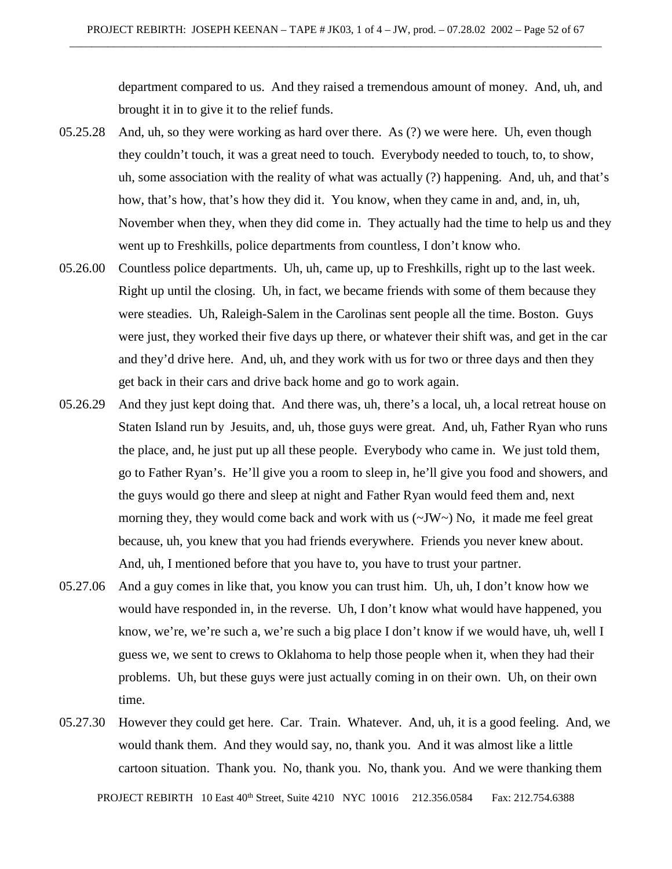department compared to us. And they raised a tremendous amount of money. And, uh, and brought it in to give it to the relief funds.

- 05.25.28 And, uh, so they were working as hard over there. As (?) we were here. Uh, even though they couldn't touch, it was a great need to touch. Everybody needed to touch, to, to show, uh, some association with the reality of what was actually (?) happening. And, uh, and that's how, that's how, that's how they did it. You know, when they came in and, and, in, uh, November when they, when they did come in. They actually had the time to help us and they went up to Freshkills, police departments from countless, I don't know who.
- 05.26.00 Countless police departments. Uh, uh, came up, up to Freshkills, right up to the last week. Right up until the closing. Uh, in fact, we became friends with some of them because they were steadies. Uh, Raleigh-Salem in the Carolinas sent people all the time. Boston. Guys were just, they worked their five days up there, or whatever their shift was, and get in the car and they'd drive here. And, uh, and they work with us for two or three days and then they get back in their cars and drive back home and go to work again.
- 05.26.29 And they just kept doing that. And there was, uh, there's a local, uh, a local retreat house on Staten Island run by Jesuits, and, uh, those guys were great. And, uh, Father Ryan who runs the place, and, he just put up all these people. Everybody who came in. We just told them, go to Father Ryan's. He'll give you a room to sleep in, he'll give you food and showers, and the guys would go there and sleep at night and Father Ryan would feed them and, next morning they, they would come back and work with us  $(\sim JW \sim)$  No, it made me feel great because, uh, you knew that you had friends everywhere. Friends you never knew about. And, uh, I mentioned before that you have to, you have to trust your partner.
- 05.27.06 And a guy comes in like that, you know you can trust him. Uh, uh, I don't know how we would have responded in, in the reverse. Uh, I don't know what would have happened, you know, we're, we're such a, we're such a big place I don't know if we would have, uh, well I guess we, we sent to crews to Oklahoma to help those people when it, when they had their problems. Uh, but these guys were just actually coming in on their own. Uh, on their own time.
- 05.27.30 However they could get here. Car. Train. Whatever. And, uh, it is a good feeling. And, we would thank them. And they would say, no, thank you. And it was almost like a little cartoon situation. Thank you. No, thank you. No, thank you. And we were thanking them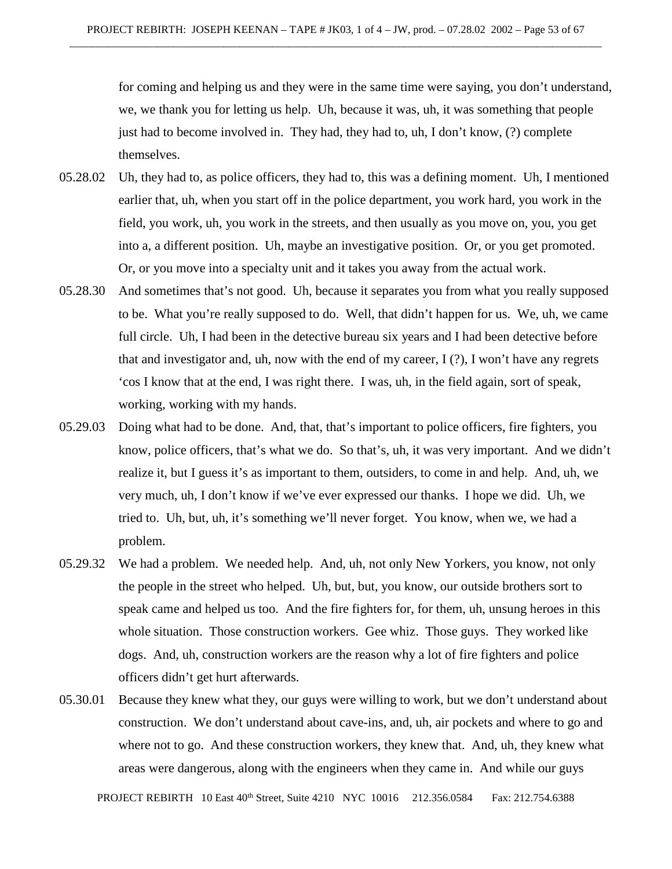for coming and helping us and they were in the same time were saying, you don't understand, we, we thank you for letting us help. Uh, because it was, uh, it was something that people just had to become involved in. They had, they had to, uh, I don't know, (?) complete themselves.

- 05.28.02 Uh, they had to, as police officers, they had to, this was a defining moment. Uh, I mentioned earlier that, uh, when you start off in the police department, you work hard, you work in the field, you work, uh, you work in the streets, and then usually as you move on, you, you get into a, a different position. Uh, maybe an investigative position. Or, or you get promoted. Or, or you move into a specialty unit and it takes you away from the actual work.
- 05.28.30 And sometimes that's not good. Uh, because it separates you from what you really supposed to be. What you're really supposed to do. Well, that didn't happen for us. We, uh, we came full circle. Uh, I had been in the detective bureau six years and I had been detective before that and investigator and, uh, now with the end of my career,  $I(?)$ , I won't have any regrets 'cos I know that at the end, I was right there. I was, uh, in the field again, sort of speak, working, working with my hands.
- 05.29.03 Doing what had to be done. And, that, that's important to police officers, fire fighters, you know, police officers, that's what we do. So that's, uh, it was very important. And we didn't realize it, but I guess it's as important to them, outsiders, to come in and help. And, uh, we very much, uh, I don't know if we've ever expressed our thanks. I hope we did. Uh, we tried to. Uh, but, uh, it's something we'll never forget. You know, when we, we had a problem.
- 05.29.32 We had a problem. We needed help. And, uh, not only New Yorkers, you know, not only the people in the street who helped. Uh, but, but, you know, our outside brothers sort to speak came and helped us too. And the fire fighters for, for them, uh, unsung heroes in this whole situation. Those construction workers. Gee whiz. Those guys. They worked like dogs. And, uh, construction workers are the reason why a lot of fire fighters and police officers didn't get hurt afterwards.
- 05.30.01 Because they knew what they, our guys were willing to work, but we don't understand about construction. We don't understand about cave-ins, and, uh, air pockets and where to go and where not to go. And these construction workers, they knew that. And, uh, they knew what areas were dangerous, along with the engineers when they came in. And while our guys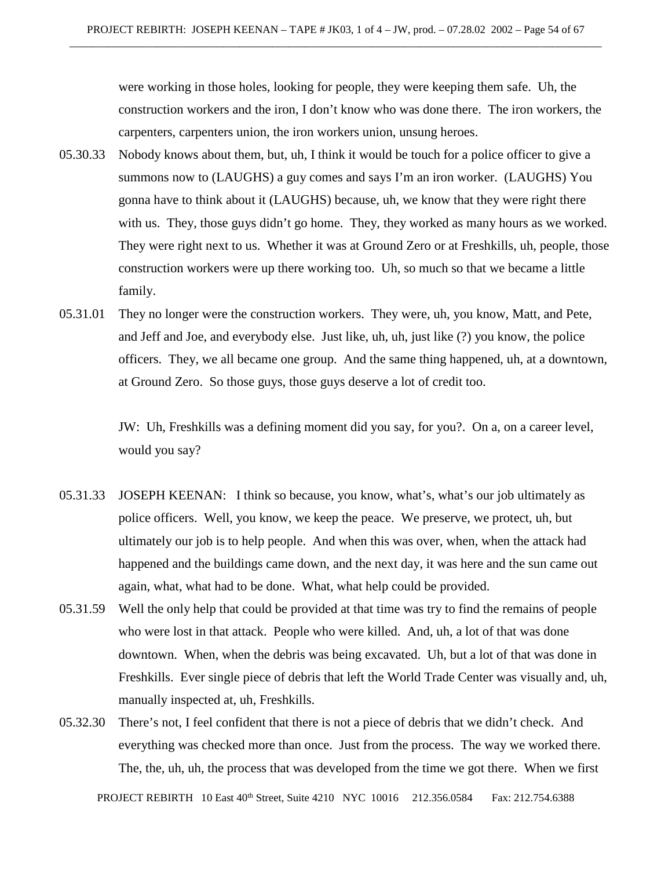were working in those holes, looking for people, they were keeping them safe. Uh, the construction workers and the iron, I don't know who was done there. The iron workers, the carpenters, carpenters union, the iron workers union, unsung heroes.

- 05.30.33 Nobody knows about them, but, uh, I think it would be touch for a police officer to give a summons now to (LAUGHS) a guy comes and says I'm an iron worker. (LAUGHS) You gonna have to think about it (LAUGHS) because, uh, we know that they were right there with us. They, those guys didn't go home. They, they worked as many hours as we worked. They were right next to us. Whether it was at Ground Zero or at Freshkills, uh, people, those construction workers were up there working too. Uh, so much so that we became a little family.
- 05.31.01 They no longer were the construction workers. They were, uh, you know, Matt, and Pete, and Jeff and Joe, and everybody else. Just like, uh, uh, just like (?) you know, the police officers. They, we all became one group. And the same thing happened, uh, at a downtown, at Ground Zero. So those guys, those guys deserve a lot of credit too.

JW: Uh, Freshkills was a defining moment did you say, for you?. On a, on a career level, would you say?

- 05.31.33 JOSEPH KEENAN: I think so because, you know, what's, what's our job ultimately as police officers. Well, you know, we keep the peace. We preserve, we protect, uh, but ultimately our job is to help people. And when this was over, when, when the attack had happened and the buildings came down, and the next day, it was here and the sun came out again, what, what had to be done. What, what help could be provided.
- 05.31.59 Well the only help that could be provided at that time was try to find the remains of people who were lost in that attack. People who were killed. And, uh, a lot of that was done downtown. When, when the debris was being excavated. Uh, but a lot of that was done in Freshkills. Ever single piece of debris that left the World Trade Center was visually and, uh, manually inspected at, uh, Freshkills.
- 05.32.30 There's not, I feel confident that there is not a piece of debris that we didn't check. And everything was checked more than once. Just from the process. The way we worked there. The, the, uh, uh, the process that was developed from the time we got there. When we first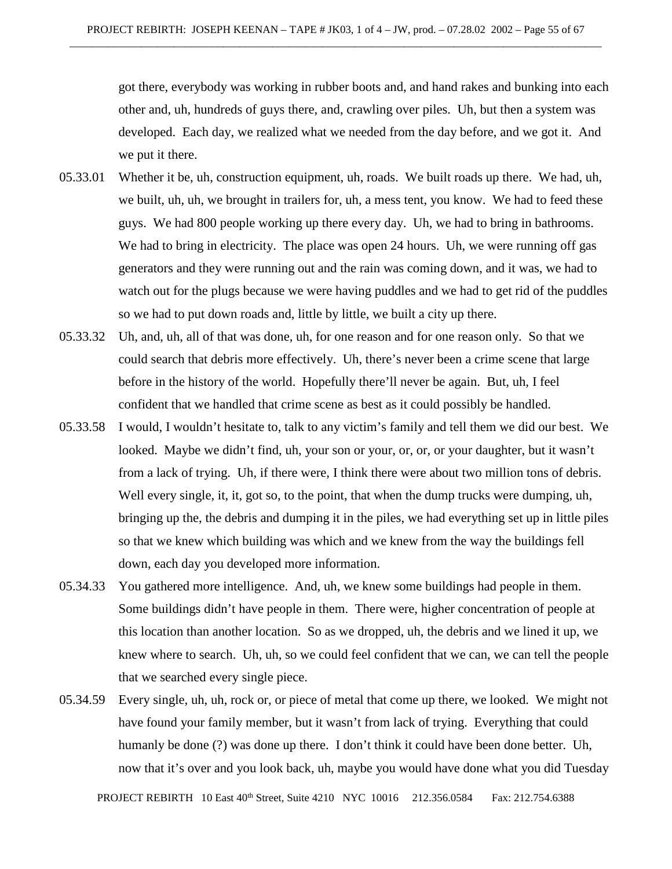got there, everybody was working in rubber boots and, and hand rakes and bunking into each other and, uh, hundreds of guys there, and, crawling over piles. Uh, but then a system was developed. Each day, we realized what we needed from the day before, and we got it. And we put it there.

- 05.33.01 Whether it be, uh, construction equipment, uh, roads. We built roads up there. We had, uh, we built, uh, uh, we brought in trailers for, uh, a mess tent, you know. We had to feed these guys. We had 800 people working up there every day. Uh, we had to bring in bathrooms. We had to bring in electricity. The place was open 24 hours. Uh, we were running off gas generators and they were running out and the rain was coming down, and it was, we had to watch out for the plugs because we were having puddles and we had to get rid of the puddles so we had to put down roads and, little by little, we built a city up there.
- 05.33.32 Uh, and, uh, all of that was done, uh, for one reason and for one reason only. So that we could search that debris more effectively. Uh, there's never been a crime scene that large before in the history of the world. Hopefully there'll never be again. But, uh, I feel confident that we handled that crime scene as best as it could possibly be handled.
- 05.33.58 I would, I wouldn't hesitate to, talk to any victim's family and tell them we did our best. We looked. Maybe we didn't find, uh, your son or your, or, or, or your daughter, but it wasn't from a lack of trying. Uh, if there were, I think there were about two million tons of debris. Well every single, it, it, got so, to the point, that when the dump trucks were dumping, uh, bringing up the, the debris and dumping it in the piles, we had everything set up in little piles so that we knew which building was which and we knew from the way the buildings fell down, each day you developed more information.
- 05.34.33 You gathered more intelligence. And, uh, we knew some buildings had people in them. Some buildings didn't have people in them. There were, higher concentration of people at this location than another location. So as we dropped, uh, the debris and we lined it up, we knew where to search. Uh, uh, so we could feel confident that we can, we can tell the people that we searched every single piece.
- 05.34.59 Every single, uh, uh, rock or, or piece of metal that come up there, we looked. We might not have found your family member, but it wasn't from lack of trying. Everything that could humanly be done (?) was done up there. I don't think it could have been done better. Uh, now that it's over and you look back, uh, maybe you would have done what you did Tuesday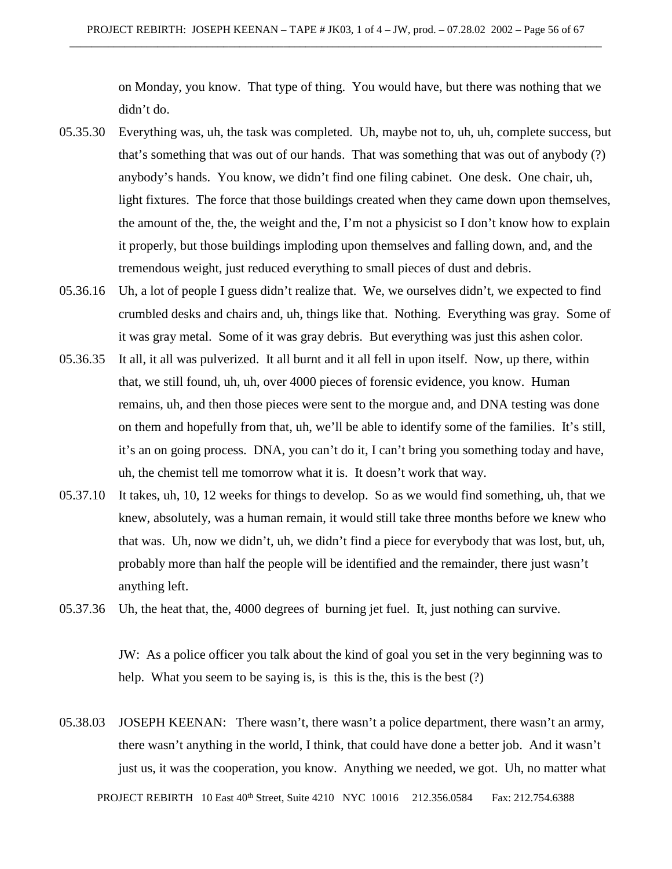on Monday, you know. That type of thing. You would have, but there was nothing that we didn't do.

- 05.35.30 Everything was, uh, the task was completed. Uh, maybe not to, uh, uh, complete success, but that's something that was out of our hands. That was something that was out of anybody (?) anybody's hands. You know, we didn't find one filing cabinet. One desk. One chair, uh, light fixtures. The force that those buildings created when they came down upon themselves, the amount of the, the, the weight and the, I'm not a physicist so I don't know how to explain it properly, but those buildings imploding upon themselves and falling down, and, and the tremendous weight, just reduced everything to small pieces of dust and debris.
- 05.36.16 Uh, a lot of people I guess didn't realize that. We, we ourselves didn't, we expected to find crumbled desks and chairs and, uh, things like that. Nothing. Everything was gray. Some of it was gray metal. Some of it was gray debris. But everything was just this ashen color.
- 05.36.35 It all, it all was pulverized. It all burnt and it all fell in upon itself. Now, up there, within that, we still found, uh, uh, over 4000 pieces of forensic evidence, you know. Human remains, uh, and then those pieces were sent to the morgue and, and DNA testing was done on them and hopefully from that, uh, we'll be able to identify some of the families. It's still, it's an on going process. DNA, you can't do it, I can't bring you something today and have, uh, the chemist tell me tomorrow what it is. It doesn't work that way.
- 05.37.10 It takes, uh, 10, 12 weeks for things to develop. So as we would find something, uh, that we knew, absolutely, was a human remain, it would still take three months before we knew who that was. Uh, now we didn't, uh, we didn't find a piece for everybody that was lost, but, uh, probably more than half the people will be identified and the remainder, there just wasn't anything left.
- 05.37.36 Uh, the heat that, the, 4000 degrees of burning jet fuel. It, just nothing can survive.

JW: As a police officer you talk about the kind of goal you set in the very beginning was to help. What you seem to be saying is, is this is the, this is the best (?)

05.38.03 JOSEPH KEENAN: There wasn't, there wasn't a police department, there wasn't an army, there wasn't anything in the world, I think, that could have done a better job. And it wasn't just us, it was the cooperation, you know. Anything we needed, we got. Uh, no matter what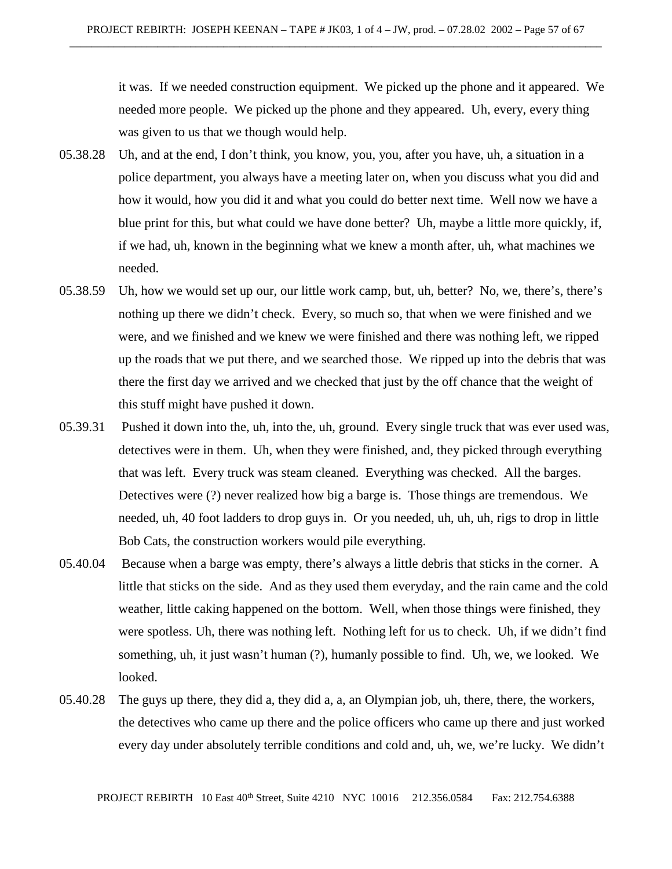it was. If we needed construction equipment. We picked up the phone and it appeared. We needed more people. We picked up the phone and they appeared. Uh, every, every thing was given to us that we though would help.

- 05.38.28 Uh, and at the end, I don't think, you know, you, you, after you have, uh, a situation in a police department, you always have a meeting later on, when you discuss what you did and how it would, how you did it and what you could do better next time. Well now we have a blue print for this, but what could we have done better? Uh, maybe a little more quickly, if, if we had, uh, known in the beginning what we knew a month after, uh, what machines we needed.
- 05.38.59 Uh, how we would set up our, our little work camp, but, uh, better? No, we, there's, there's nothing up there we didn't check. Every, so much so, that when we were finished and we were, and we finished and we knew we were finished and there was nothing left, we ripped up the roads that we put there, and we searched those. We ripped up into the debris that was there the first day we arrived and we checked that just by the off chance that the weight of this stuff might have pushed it down.
- 05.39.31 Pushed it down into the, uh, into the, uh, ground. Every single truck that was ever used was, detectives were in them. Uh, when they were finished, and, they picked through everything that was left. Every truck was steam cleaned. Everything was checked. All the barges. Detectives were (?) never realized how big a barge is. Those things are tremendous. We needed, uh, 40 foot ladders to drop guys in. Or you needed, uh, uh, uh, rigs to drop in little Bob Cats, the construction workers would pile everything.
- 05.40.04 Because when a barge was empty, there's always a little debris that sticks in the corner. A little that sticks on the side. And as they used them everyday, and the rain came and the cold weather, little caking happened on the bottom. Well, when those things were finished, they were spotless. Uh, there was nothing left. Nothing left for us to check. Uh, if we didn't find something, uh, it just wasn't human (?), humanly possible to find. Uh, we, we looked. We looked.
- 05.40.28 The guys up there, they did a, they did a, a, an Olympian job, uh, there, there, the workers, the detectives who came up there and the police officers who came up there and just worked every day under absolutely terrible conditions and cold and, uh, we, we're lucky. We didn't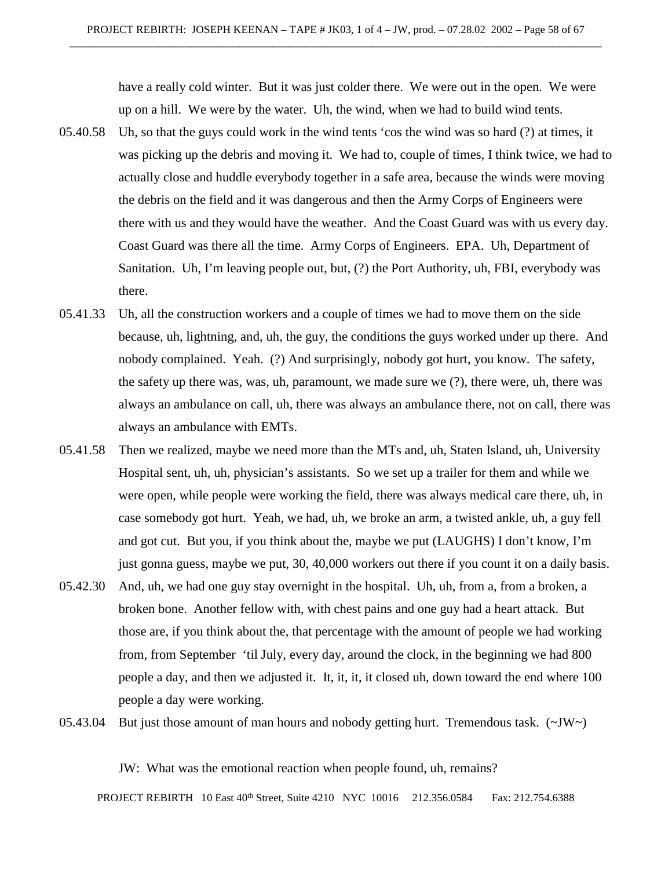have a really cold winter. But it was just colder there. We were out in the open. We were up on a hill. We were by the water. Uh, the wind, when we had to build wind tents.

- 05.40.58 Uh, so that the guys could work in the wind tents 'cos the wind was so hard (?) at times, it was picking up the debris and moving it. We had to, couple of times, I think twice, we had to actually close and huddle everybody together in a safe area, because the winds were moving the debris on the field and it was dangerous and then the Army Corps of Engineers were there with us and they would have the weather. And the Coast Guard was with us every day. Coast Guard was there all the time. Army Corps of Engineers. EPA. Uh, Department of Sanitation. Uh, I'm leaving people out, but, (?) the Port Authority, uh, FBI, everybody was there.
- 05.41.33 Uh, all the construction workers and a couple of times we had to move them on the side because, uh, lightning, and, uh, the guy, the conditions the guys worked under up there. And nobody complained. Yeah. (?) And surprisingly, nobody got hurt, you know. The safety, the safety up there was, was, uh, paramount, we made sure we (?), there were, uh, there was always an ambulance on call, uh, there was always an ambulance there, not on call, there was always an ambulance with EMTs.
- 05.41.58 Then we realized, maybe we need more than the MTs and, uh, Staten Island, uh, University Hospital sent, uh, uh, physician's assistants. So we set up a trailer for them and while we were open, while people were working the field, there was always medical care there, uh, in case somebody got hurt. Yeah, we had, uh, we broke an arm, a twisted ankle, uh, a guy fell and got cut. But you, if you think about the, maybe we put (LAUGHS) I don't know, I'm just gonna guess, maybe we put, 30, 40,000 workers out there if you count it on a daily basis.
- 05.42.30 And, uh, we had one guy stay overnight in the hospital. Uh, uh, from a, from a broken, a broken bone. Another fellow with, with chest pains and one guy had a heart attack. But those are, if you think about the, that percentage with the amount of people we had working from, from September 'til July, every day, around the clock, in the beginning we had 800 people a day, and then we adjusted it. It, it, it, it closed uh, down toward the end where 100 people a day were working.
- 05.43.04 But just those amount of man hours and nobody getting hurt. Tremendous task.  $(\sim JW)$

JW: What was the emotional reaction when people found, uh, remains?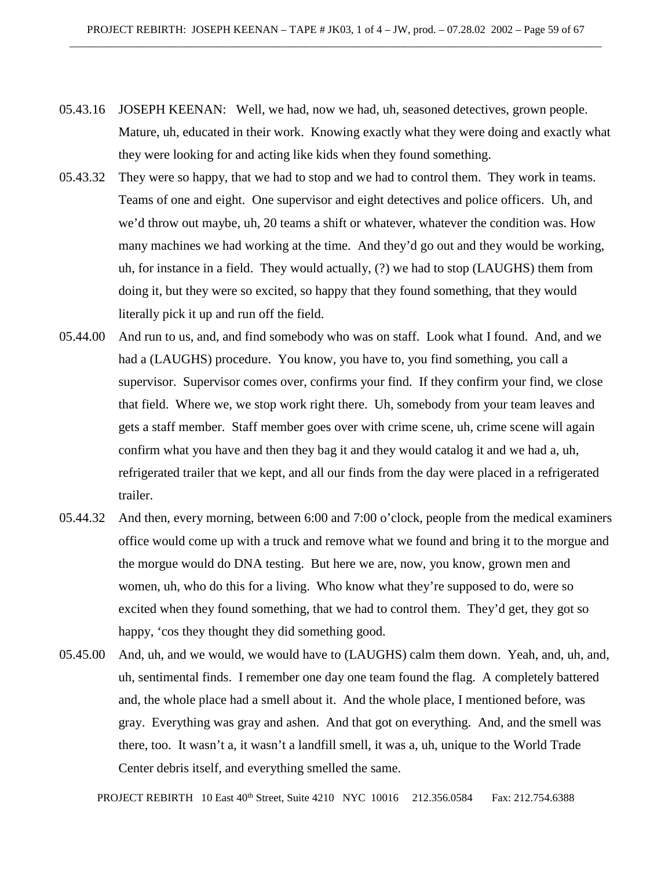- 05.43.16 JOSEPH KEENAN: Well, we had, now we had, uh, seasoned detectives, grown people. Mature, uh, educated in their work. Knowing exactly what they were doing and exactly what they were looking for and acting like kids when they found something.
- 05.43.32 They were so happy, that we had to stop and we had to control them. They work in teams. Teams of one and eight. One supervisor and eight detectives and police officers. Uh, and we'd throw out maybe, uh, 20 teams a shift or whatever, whatever the condition was. How many machines we had working at the time. And they'd go out and they would be working, uh, for instance in a field. They would actually, (?) we had to stop (LAUGHS) them from doing it, but they were so excited, so happy that they found something, that they would literally pick it up and run off the field.
- 05.44.00 And run to us, and, and find somebody who was on staff. Look what I found. And, and we had a (LAUGHS) procedure. You know, you have to, you find something, you call a supervisor. Supervisor comes over, confirms your find. If they confirm your find, we close that field. Where we, we stop work right there. Uh, somebody from your team leaves and gets a staff member. Staff member goes over with crime scene, uh, crime scene will again confirm what you have and then they bag it and they would catalog it and we had a, uh, refrigerated trailer that we kept, and all our finds from the day were placed in a refrigerated trailer.
- 05.44.32 And then, every morning, between 6:00 and 7:00 o'clock, people from the medical examiners office would come up with a truck and remove what we found and bring it to the morgue and the morgue would do DNA testing. But here we are, now, you know, grown men and women, uh, who do this for a living. Who know what they're supposed to do, were so excited when they found something, that we had to control them. They'd get, they got so happy, 'cos they thought they did something good.
- 05.45.00 And, uh, and we would, we would have to (LAUGHS) calm them down. Yeah, and, uh, and, uh, sentimental finds. I remember one day one team found the flag. A completely battered and, the whole place had a smell about it. And the whole place, I mentioned before, was gray. Everything was gray and ashen. And that got on everything. And, and the smell was there, too. It wasn't a, it wasn't a landfill smell, it was a, uh, unique to the World Trade Center debris itself, and everything smelled the same.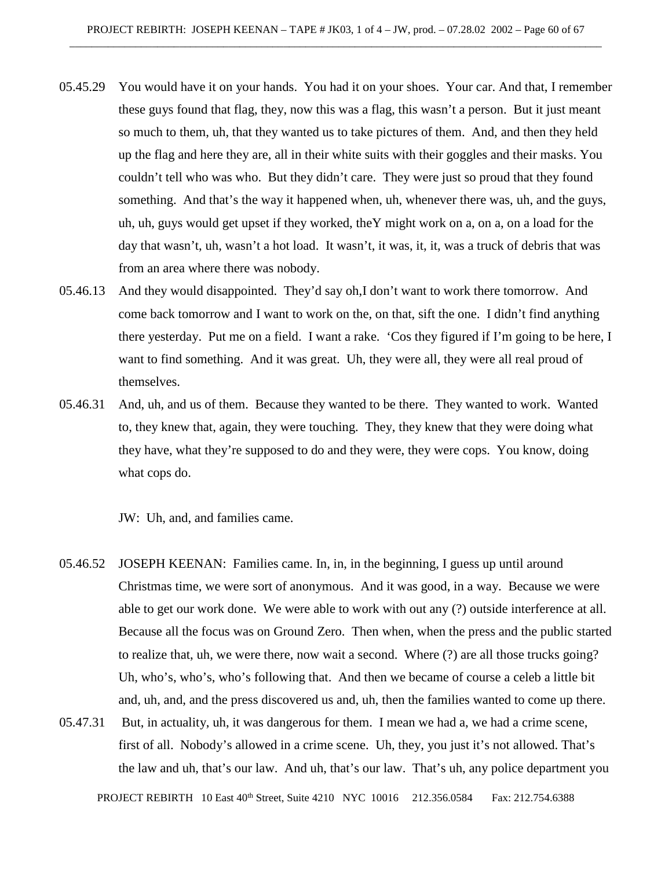- 05.45.29 You would have it on your hands. You had it on your shoes. Your car. And that, I remember these guys found that flag, they, now this was a flag, this wasn't a person. But it just meant so much to them, uh, that they wanted us to take pictures of them. And, and then they held up the flag and here they are, all in their white suits with their goggles and their masks. You couldn't tell who was who. But they didn't care. They were just so proud that they found something. And that's the way it happened when, uh, whenever there was, uh, and the guys, uh, uh, guys would get upset if they worked, theY might work on a, on a, on a load for the day that wasn't, uh, wasn't a hot load. It wasn't, it was, it, it, was a truck of debris that was from an area where there was nobody.
- 05.46.13 And they would disappointed. They'd say oh,I don't want to work there tomorrow. And come back tomorrow and I want to work on the, on that, sift the one. I didn't find anything there yesterday. Put me on a field. I want a rake. 'Cos they figured if I'm going to be here, I want to find something. And it was great. Uh, they were all, they were all real proud of themselves.
- 05.46.31 And, uh, and us of them. Because they wanted to be there. They wanted to work. Wanted to, they knew that, again, they were touching. They, they knew that they were doing what they have, what they're supposed to do and they were, they were cops. You know, doing what cops do.

JW: Uh, and, and families came.

- 05.46.52 JOSEPH KEENAN: Families came. In, in, in the beginning, I guess up until around Christmas time, we were sort of anonymous. And it was good, in a way. Because we were able to get our work done. We were able to work with out any (?) outside interference at all. Because all the focus was on Ground Zero. Then when, when the press and the public started to realize that, uh, we were there, now wait a second. Where (?) are all those trucks going? Uh, who's, who's, who's following that. And then we became of course a celeb a little bit and, uh, and, and the press discovered us and, uh, then the families wanted to come up there.
- 05.47.31 But, in actuality, uh, it was dangerous for them. I mean we had a, we had a crime scene, first of all. Nobody's allowed in a crime scene. Uh, they, you just it's not allowed. That's the law and uh, that's our law. And uh, that's our law. That's uh, any police department you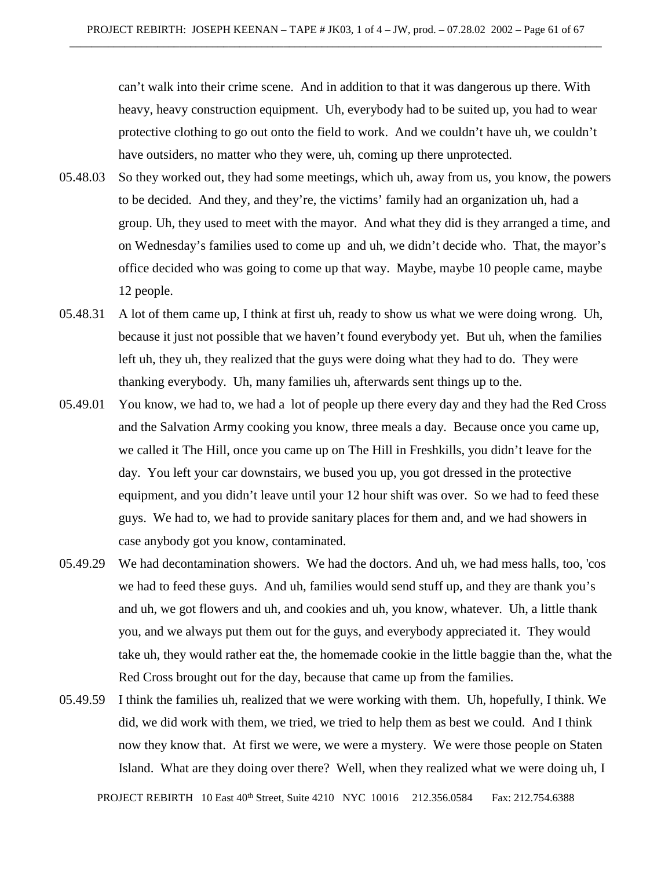can't walk into their crime scene. And in addition to that it was dangerous up there. With heavy, heavy construction equipment. Uh, everybody had to be suited up, you had to wear protective clothing to go out onto the field to work. And we couldn't have uh, we couldn't have outsiders, no matter who they were, uh, coming up there unprotected.

- 05.48.03 So they worked out, they had some meetings, which uh, away from us, you know, the powers to be decided. And they, and they're, the victims' family had an organization uh, had a group. Uh, they used to meet with the mayor. And what they did is they arranged a time, and on Wednesday's families used to come up and uh, we didn't decide who. That, the mayor's office decided who was going to come up that way. Maybe, maybe 10 people came, maybe 12 people.
- 05.48.31 A lot of them came up, I think at first uh, ready to show us what we were doing wrong. Uh, because it just not possible that we haven't found everybody yet. But uh, when the families left uh, they uh, they realized that the guys were doing what they had to do. They were thanking everybody. Uh, many families uh, afterwards sent things up to the.
- 05.49.01 You know, we had to, we had a lot of people up there every day and they had the Red Cross and the Salvation Army cooking you know, three meals a day. Because once you came up, we called it The Hill, once you came up on The Hill in Freshkills, you didn't leave for the day. You left your car downstairs, we bused you up, you got dressed in the protective equipment, and you didn't leave until your 12 hour shift was over. So we had to feed these guys. We had to, we had to provide sanitary places for them and, and we had showers in case anybody got you know, contaminated.
- 05.49.29 We had decontamination showers. We had the doctors. And uh, we had mess halls, too, 'cos we had to feed these guys. And uh, families would send stuff up, and they are thank you's and uh, we got flowers and uh, and cookies and uh, you know, whatever. Uh, a little thank you, and we always put them out for the guys, and everybody appreciated it. They would take uh, they would rather eat the, the homemade cookie in the little baggie than the, what the Red Cross brought out for the day, because that came up from the families.
- 05.49.59 I think the families uh, realized that we were working with them. Uh, hopefully, I think. We did, we did work with them, we tried, we tried to help them as best we could. And I think now they know that. At first we were, we were a mystery. We were those people on Staten Island. What are they doing over there? Well, when they realized what we were doing uh, I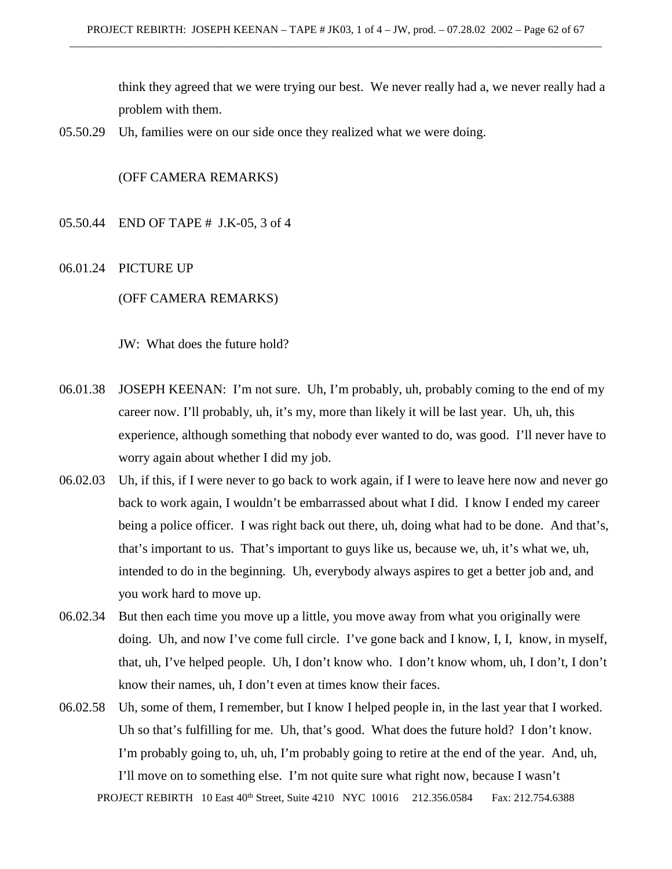think they agreed that we were trying our best. We never really had a, we never really had a problem with them.

05.50.29 Uh, families were on our side once they realized what we were doing.

# (OFF CAMERA REMARKS)

- 05.50.44 END OF TAPE # J.K-05, 3 of 4
- 06.01.24 PICTURE UP

(OFF CAMERA REMARKS)

JW: What does the future hold?

- 06.01.38 JOSEPH KEENAN: I'm not sure. Uh, I'm probably, uh, probably coming to the end of my career now. I'll probably, uh, it's my, more than likely it will be last year. Uh, uh, this experience, although something that nobody ever wanted to do, was good. I'll never have to worry again about whether I did my job.
- 06.02.03 Uh, if this, if I were never to go back to work again, if I were to leave here now and never go back to work again, I wouldn't be embarrassed about what I did. I know I ended my career being a police officer. I was right back out there, uh, doing what had to be done. And that's, that's important to us. That's important to guys like us, because we, uh, it's what we, uh, intended to do in the beginning. Uh, everybody always aspires to get a better job and, and you work hard to move up.
- 06.02.34 But then each time you move up a little, you move away from what you originally were doing. Uh, and now I've come full circle. I've gone back and I know, I, I, know, in myself, that, uh, I've helped people. Uh, I don't know who. I don't know whom, uh, I don't, I don't know their names, uh, I don't even at times know their faces.
- 06.02.58 Uh, some of them, I remember, but I know I helped people in, in the last year that I worked. Uh so that's fulfilling for me. Uh, that's good. What does the future hold? I don't know. I'm probably going to, uh, uh, I'm probably going to retire at the end of the year. And, uh, I'll move on to something else. I'm not quite sure what right now, because I wasn't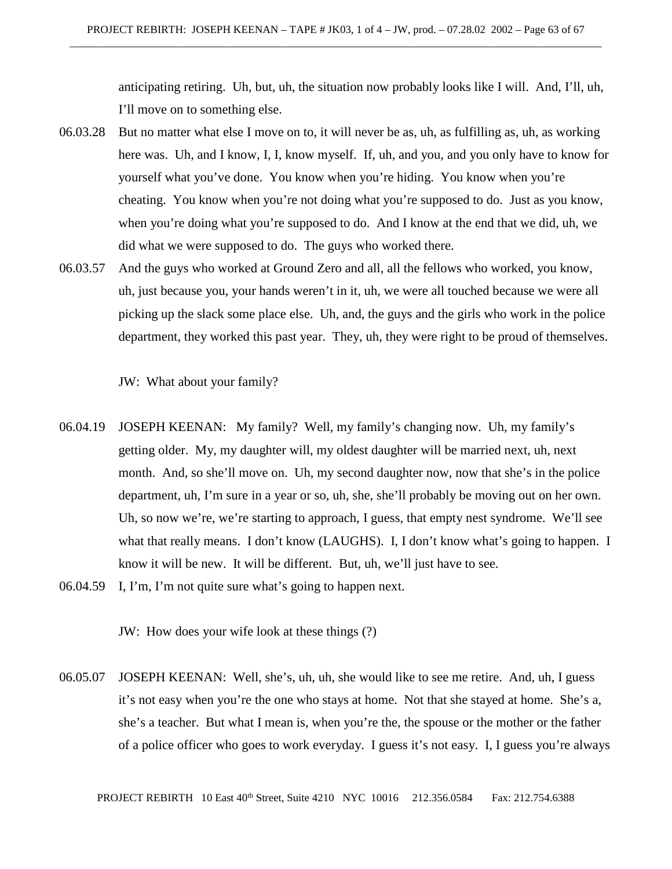anticipating retiring. Uh, but, uh, the situation now probably looks like I will. And, I'll, uh, I'll move on to something else.

- 06.03.28 But no matter what else I move on to, it will never be as, uh, as fulfilling as, uh, as working here was. Uh, and I know, I, I, know myself. If, uh, and you, and you only have to know for yourself what you've done. You know when you're hiding. You know when you're cheating. You know when you're not doing what you're supposed to do. Just as you know, when you're doing what you're supposed to do. And I know at the end that we did, uh, we did what we were supposed to do. The guys who worked there.
- 06.03.57 And the guys who worked at Ground Zero and all, all the fellows who worked, you know, uh, just because you, your hands weren't in it, uh, we were all touched because we were all picking up the slack some place else. Uh, and, the guys and the girls who work in the police department, they worked this past year. They, uh, they were right to be proud of themselves.

JW: What about your family?

- 06.04.19 JOSEPH KEENAN: My family? Well, my family's changing now. Uh, my family's getting older. My, my daughter will, my oldest daughter will be married next, uh, next month. And, so she'll move on. Uh, my second daughter now, now that she's in the police department, uh, I'm sure in a year or so, uh, she, she'll probably be moving out on her own. Uh, so now we're, we're starting to approach, I guess, that empty nest syndrome. We'll see what that really means. I don't know (LAUGHS). I, I don't know what's going to happen. I know it will be new. It will be different. But, uh, we'll just have to see.
- 06.04.59 I, I'm, I'm not quite sure what's going to happen next.

JW: How does your wife look at these things (?)

06.05.07 JOSEPH KEENAN: Well, she's, uh, uh, she would like to see me retire. And, uh, I guess it's not easy when you're the one who stays at home. Not that she stayed at home. She's a, she's a teacher. But what I mean is, when you're the, the spouse or the mother or the father of a police officer who goes to work everyday. I guess it's not easy. I, I guess you're always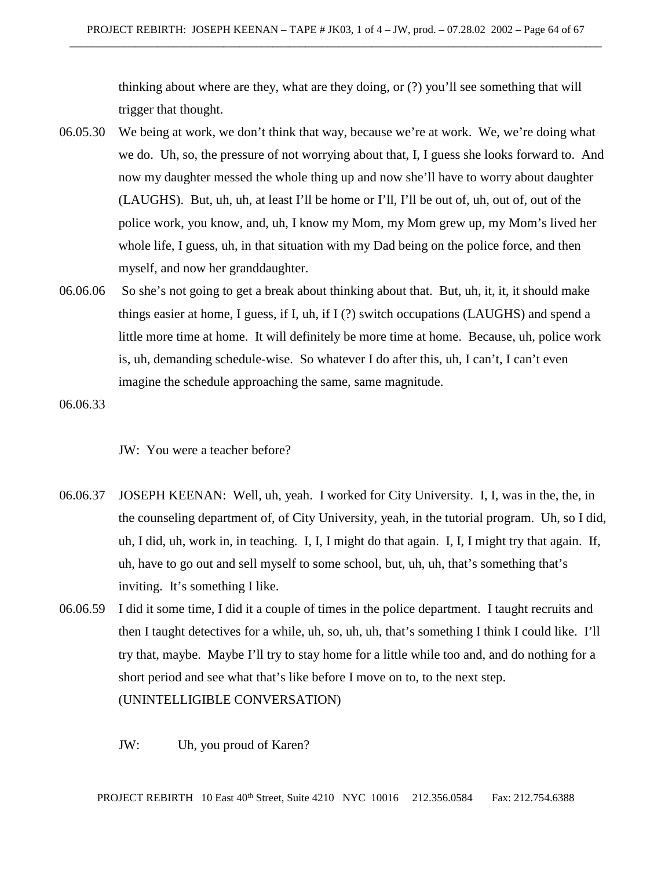thinking about where are they, what are they doing, or (?) you'll see something that will trigger that thought.

- 06.05.30 We being at work, we don't think that way, because we're at work. We, we're doing what we do. Uh, so, the pressure of not worrying about that, I, I guess she looks forward to. And now my daughter messed the whole thing up and now she'll have to worry about daughter (LAUGHS). But, uh, uh, at least I'll be home or I'll, I'll be out of, uh, out of, out of the police work, you know, and, uh, I know my Mom, my Mom grew up, my Mom's lived her whole life, I guess, uh, in that situation with my Dad being on the police force, and then myself, and now her granddaughter.
- 06.06.06 So she's not going to get a break about thinking about that. But, uh, it, it, it should make things easier at home, I guess, if I, uh, if I (?) switch occupations (LAUGHS) and spend a little more time at home. It will definitely be more time at home. Because, uh, police work is, uh, demanding schedule-wise. So whatever I do after this, uh, I can't, I can't even imagine the schedule approaching the same, same magnitude.

06.06.33

JW: You were a teacher before?

- 06.06.37 JOSEPH KEENAN: Well, uh, yeah. I worked for City University. I, I, was in the, the, in the counseling department of, of City University, yeah, in the tutorial program. Uh, so I did, uh, I did, uh, work in, in teaching. I, I, I might do that again. I, I, I might try that again. If, uh, have to go out and sell myself to some school, but, uh, uh, that's something that's inviting. It's something I like.
- 06.06.59 I did it some time, I did it a couple of times in the police department. I taught recruits and then I taught detectives for a while, uh, so, uh, uh, that's something I think I could like. I'll try that, maybe. Maybe I'll try to stay home for a little while too and, and do nothing for a short period and see what that's like before I move on to, to the next step. (UNINTELLIGIBLE CONVERSATION)
	- JW: Uh, you proud of Karen?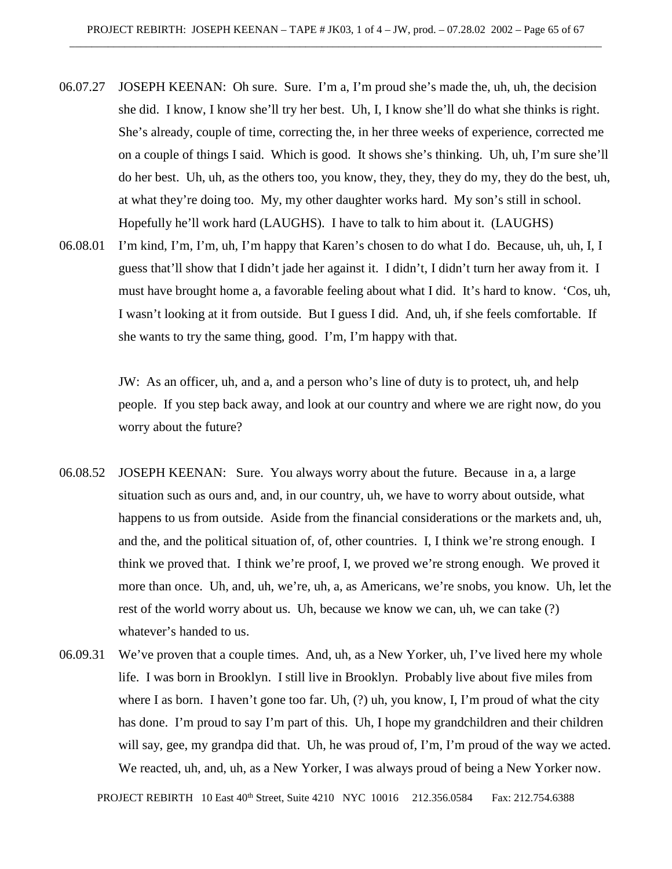- 06.07.27 JOSEPH KEENAN: Oh sure. Sure. I'm a, I'm proud she's made the, uh, uh, the decision she did. I know, I know she'll try her best. Uh, I, I know she'll do what she thinks is right. She's already, couple of time, correcting the, in her three weeks of experience, corrected me on a couple of things I said. Which is good. It shows she's thinking. Uh, uh, I'm sure she'll do her best. Uh, uh, as the others too, you know, they, they, they do my, they do the best, uh, at what they're doing too. My, my other daughter works hard. My son's still in school. Hopefully he'll work hard (LAUGHS). I have to talk to him about it. (LAUGHS)
- 06.08.01 I'm kind, I'm, I'm, uh, I'm happy that Karen's chosen to do what I do. Because, uh, uh, I, I guess that'll show that I didn't jade her against it. I didn't, I didn't turn her away from it. I must have brought home a, a favorable feeling about what I did. It's hard to know. 'Cos, uh, I wasn't looking at it from outside. But I guess I did. And, uh, if she feels comfortable. If she wants to try the same thing, good. I'm, I'm happy with that.

JW: As an officer, uh, and a, and a person who's line of duty is to protect, uh, and help people. If you step back away, and look at our country and where we are right now, do you worry about the future?

- 06.08.52 JOSEPH KEENAN: Sure. You always worry about the future. Because in a, a large situation such as ours and, and, in our country, uh, we have to worry about outside, what happens to us from outside. Aside from the financial considerations or the markets and, uh, and the, and the political situation of, of, other countries. I, I think we're strong enough. I think we proved that. I think we're proof, I, we proved we're strong enough. We proved it more than once. Uh, and, uh, we're, uh, a, as Americans, we're snobs, you know. Uh, let the rest of the world worry about us. Uh, because we know we can, uh, we can take (?) whatever's handed to us.
- 06.09.31 We've proven that a couple times. And, uh, as a New Yorker, uh, I've lived here my whole life. I was born in Brooklyn. I still live in Brooklyn. Probably live about five miles from where I as born. I haven't gone too far. Uh, (?) uh, you know, I, I'm proud of what the city has done. I'm proud to say I'm part of this. Uh, I hope my grandchildren and their children will say, gee, my grandpa did that. Uh, he was proud of, I'm, I'm proud of the way we acted. We reacted, uh, and, uh, as a New Yorker, I was always proud of being a New Yorker now.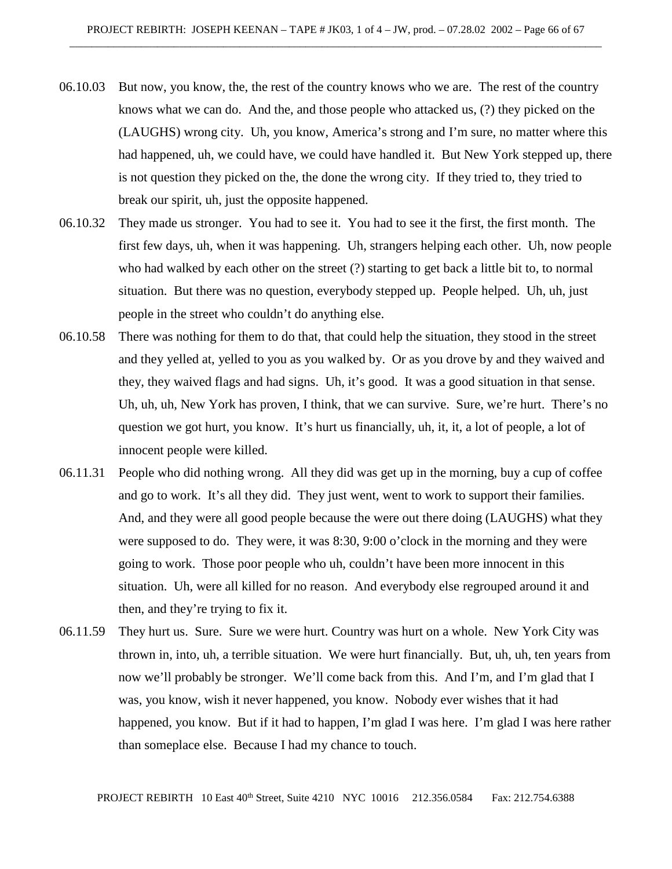- 06.10.03 But now, you know, the, the rest of the country knows who we are. The rest of the country knows what we can do. And the, and those people who attacked us, (?) they picked on the (LAUGHS) wrong city. Uh, you know, America's strong and I'm sure, no matter where this had happened, uh, we could have, we could have handled it. But New York stepped up, there is not question they picked on the, the done the wrong city. If they tried to, they tried to break our spirit, uh, just the opposite happened.
- 06.10.32 They made us stronger. You had to see it. You had to see it the first, the first month. The first few days, uh, when it was happening. Uh, strangers helping each other. Uh, now people who had walked by each other on the street (?) starting to get back a little bit to, to normal situation. But there was no question, everybody stepped up. People helped. Uh, uh, just people in the street who couldn't do anything else.
- 06.10.58 There was nothing for them to do that, that could help the situation, they stood in the street and they yelled at, yelled to you as you walked by. Or as you drove by and they waived and they, they waived flags and had signs. Uh, it's good. It was a good situation in that sense. Uh, uh, uh, New York has proven, I think, that we can survive. Sure, we're hurt. There's no question we got hurt, you know. It's hurt us financially, uh, it, it, a lot of people, a lot of innocent people were killed.
- 06.11.31 People who did nothing wrong. All they did was get up in the morning, buy a cup of coffee and go to work. It's all they did. They just went, went to work to support their families. And, and they were all good people because the were out there doing (LAUGHS) what they were supposed to do. They were, it was 8:30, 9:00 o'clock in the morning and they were going to work. Those poor people who uh, couldn't have been more innocent in this situation. Uh, were all killed for no reason. And everybody else regrouped around it and then, and they're trying to fix it.
- 06.11.59 They hurt us. Sure. Sure we were hurt. Country was hurt on a whole. New York City was thrown in, into, uh, a terrible situation. We were hurt financially. But, uh, uh, ten years from now we'll probably be stronger. We'll come back from this. And I'm, and I'm glad that I was, you know, wish it never happened, you know. Nobody ever wishes that it had happened, you know. But if it had to happen, I'm glad I was here. I'm glad I was here rather than someplace else. Because I had my chance to touch.